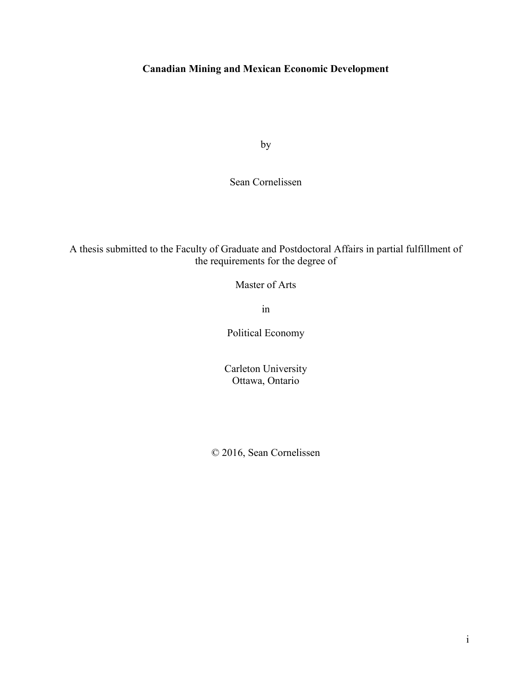## **Canadian Mining and Mexican Economic Development**

by

Sean Cornelissen

A thesis submitted to the Faculty of Graduate and Postdoctoral Affairs in partial fulfillment of the requirements for the degree of

Master of Arts

in

Political Economy

Carleton University Ottawa, Ontario

© 2016, Sean Cornelissen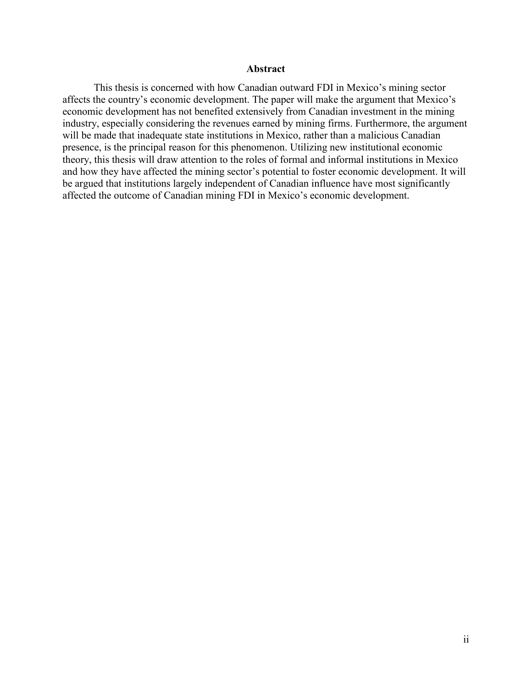#### **Abstract**

This thesis is concerned with how Canadian outward FDI in Mexico's mining sector affects the country's economic development. The paper will make the argument that Mexico's economic development has not benefited extensively from Canadian investment in the mining industry, especially considering the revenues earned by mining firms. Furthermore, the argument will be made that inadequate state institutions in Mexico, rather than a malicious Canadian presence, is the principal reason for this phenomenon. Utilizing new institutional economic theory, this thesis will draw attention to the roles of formal and informal institutions in Mexico and how they have affected the mining sector's potential to foster economic development. It will be argued that institutions largely independent of Canadian influence have most significantly affected the outcome of Canadian mining FDI in Mexico's economic development.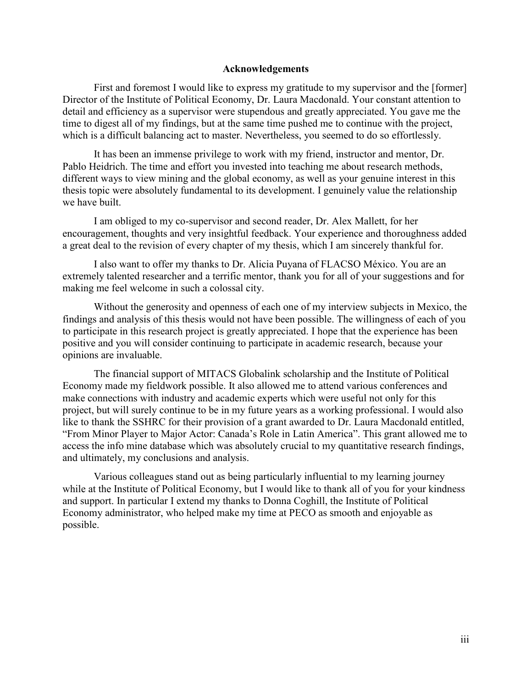#### **Acknowledgements**

First and foremost I would like to express my gratitude to my supervisor and the [former] Director of the Institute of Political Economy, Dr. Laura Macdonald. Your constant attention to detail and efficiency as a supervisor were stupendous and greatly appreciated. You gave me the time to digest all of my findings, but at the same time pushed me to continue with the project, which is a difficult balancing act to master. Nevertheless, you seemed to do so effortlessly.

It has been an immense privilege to work with my friend, instructor and mentor, Dr. Pablo Heidrich. The time and effort you invested into teaching me about research methods, different ways to view mining and the global economy, as well as your genuine interest in this thesis topic were absolutely fundamental to its development. I genuinely value the relationship we have built.

I am obliged to my co-supervisor and second reader, Dr. Alex Mallett, for her encouragement, thoughts and very insightful feedback. Your experience and thoroughness added a great deal to the revision of every chapter of my thesis, which I am sincerely thankful for.

I also want to offer my thanks to Dr. Alicia Puyana of FLACSO México. You are an extremely talented researcher and a terrific mentor, thank you for all of your suggestions and for making me feel welcome in such a colossal city.

Without the generosity and openness of each one of my interview subjects in Mexico, the findings and analysis of this thesis would not have been possible. The willingness of each of you to participate in this research project is greatly appreciated. I hope that the experience has been positive and you will consider continuing to participate in academic research, because your opinions are invaluable.

The financial support of MITACS Globalink scholarship and the Institute of Political Economy made my fieldwork possible. It also allowed me to attend various conferences and make connections with industry and academic experts which were useful not only for this project, but will surely continue to be in my future years as a working professional. I would also like to thank the SSHRC for their provision of a grant awarded to Dr. Laura Macdonald entitled, "From Minor Player to Major Actor: Canada's Role in Latin America". This grant allowed me to access the info mine database which was absolutely crucial to my quantitative research findings, and ultimately, my conclusions and analysis.

Various colleagues stand out as being particularly influential to my learning journey while at the Institute of Political Economy, but I would like to thank all of you for your kindness and support. In particular I extend my thanks to Donna Coghill, the Institute of Political Economy administrator, who helped make my time at PECO as smooth and enjoyable as possible.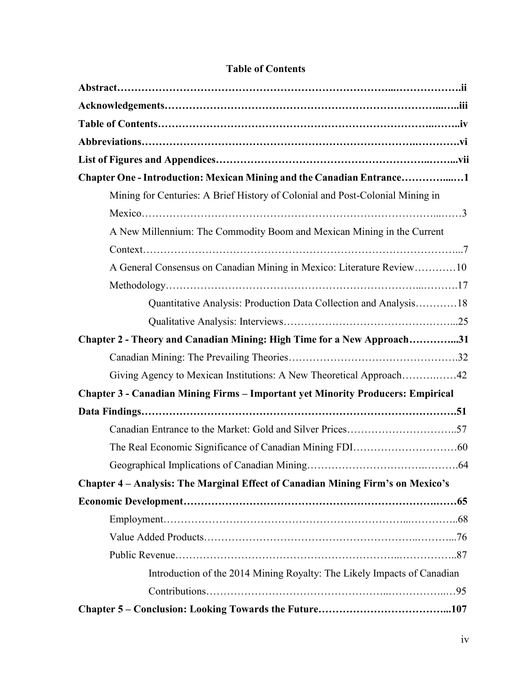| Chapter One - Introduction: Mexican Mining and the Canadian Entrance1                  |
|----------------------------------------------------------------------------------------|
| Mining for Centuries: A Brief History of Colonial and Post-Colonial Mining in          |
|                                                                                        |
| A New Millennium: The Commodity Boom and Mexican Mining in the Current                 |
|                                                                                        |
| A General Consensus on Canadian Mining in Mexico: Literature Review10                  |
|                                                                                        |
| Quantitative Analysis: Production Data Collection and Analysis18                       |
|                                                                                        |
| Chapter 2 - Theory and Canadian Mining: High Time for a New Approach31                 |
|                                                                                        |
| Giving Agency to Mexican Institutions: A New Theoretical Approach42                    |
| <b>Chapter 3 - Canadian Mining Firms – Important yet Minority Producers: Empirical</b> |
|                                                                                        |
|                                                                                        |
|                                                                                        |
|                                                                                        |
| Chapter 4 - Analysis: The Marginal Effect of Canadian Mining Firm's on Mexico's        |
|                                                                                        |
|                                                                                        |
|                                                                                        |
|                                                                                        |
| Introduction of the 2014 Mining Royalty: The Likely Impacts of Canadian                |
|                                                                                        |
|                                                                                        |

# **Table of Contents**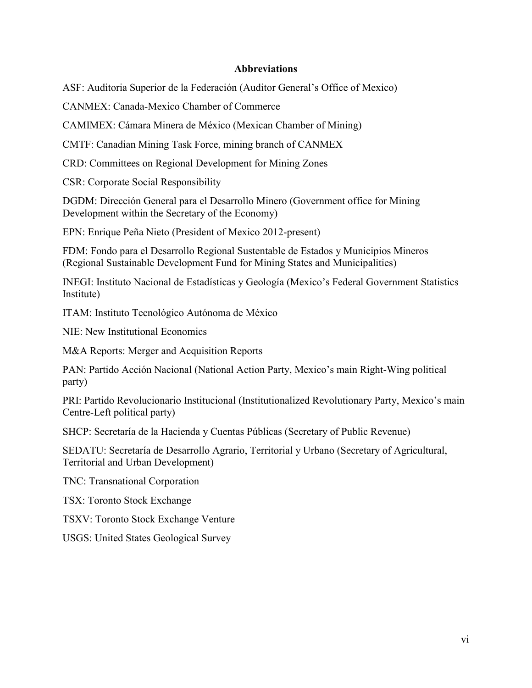## **Abbreviations**

ASF: Auditoria Superior de la Federación (Auditor General's Office of Mexico)

CANMEX: Canada-Mexico Chamber of Commerce

CAMIMEX: Cámara Minera de México (Mexican Chamber of Mining)

CMTF: Canadian Mining Task Force, mining branch of CANMEX

CRD: Committees on Regional Development for Mining Zones

CSR: Corporate Social Responsibility

DGDM: Dirección General para el Desarrollo Minero (Government office for Mining Development within the Secretary of the Economy)

EPN: Enrique Peña Nieto (President of Mexico 2012-present)

FDM: Fondo para el Desarrollo Regional Sustentable de Estados y Municipios Mineros (Regional Sustainable Development Fund for Mining States and Municipalities)

INEGI: Instituto Nacional de Estadísticas y Geología (Mexico's Federal Government Statistics Institute)

ITAM: Instituto Tecnológico Autónoma de México

NIE: New Institutional Economics

M&A Reports: Merger and Acquisition Reports

PAN: Partido Acción Nacional (National Action Party, Mexico's main Right-Wing political party)

PRI: Partido Revolucionario Institucional (Institutionalized Revolutionary Party, Mexico's main Centre-Left political party)

SHCP: Secretaría de la Hacienda y Cuentas Públicas (Secretary of Public Revenue)

SEDATU: Secretaría de Desarrollo Agrario, Territorial y Urbano (Secretary of Agricultural, Territorial and Urban Development)

TNC: Transnational Corporation

TSX: Toronto Stock Exchange

TSXV: Toronto Stock Exchange Venture

USGS: United States Geological Survey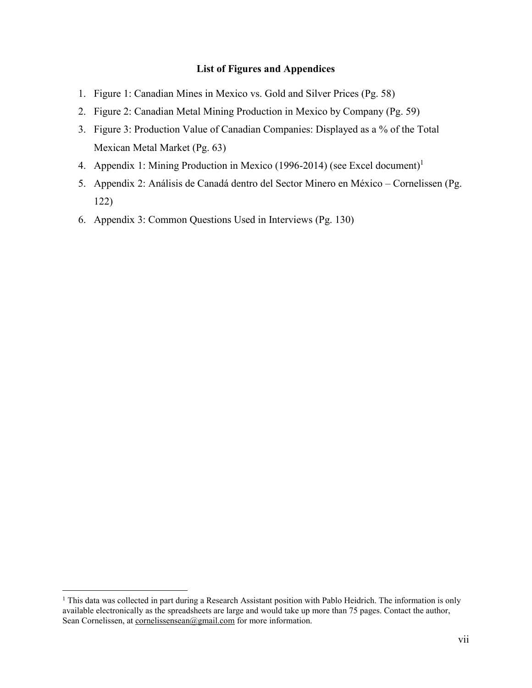## **List of Figures and Appendices**

- 1. Figure 1: Canadian Mines in Mexico vs. Gold and Silver Prices (Pg. 58)
- 2. Figure 2: Canadian Metal Mining Production in Mexico by Company (Pg. 59)
- 3. Figure 3: Production Value of Canadian Companies: Displayed as a % of the Total Mexican Metal Market (Pg. 63)
- 4. Appendix 1: Mining Production in Mexico (1996-2014) (see Excel document)<sup>1</sup>
- 5. Appendix 2: Análisis de Canadá dentro del Sector Minero en México Cornelissen (Pg. 122)
- 6. Appendix 3: Common Questions Used in Interviews (Pg. 130)

<sup>&</sup>lt;sup>1</sup> This data was collected in part during a Research Assistant position with Pablo Heidrich. The information is only available electronically as the spreadsheets are large and would take up more than 75 pages. Contact the author, Sean Cornelissen, at [cornelissensean@gmail.com f](mailto:cornelissensean@gmail.com)or more information.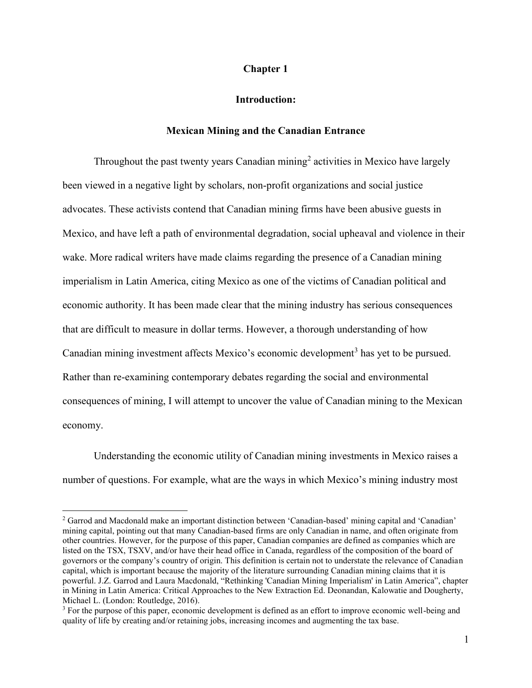## **Chapter 1**

#### **Introduction:**

## **Mexican Mining and the Canadian Entrance**

Throughout the past twenty years Canadian mining<sup>2</sup> activities in Mexico have largely been viewed in a negative light by scholars, non-profit organizations and social justice advocates. These activists contend that Canadian mining firms have been abusive guests in Mexico, and have left a path of environmental degradation, social upheaval and violence in their wake. More radical writers have made claims regarding the presence of a Canadian mining imperialism in Latin America, citing Mexico as one of the victims of Canadian political and economic authority. It has been made clear that the mining industry has serious consequences that are difficult to measure in dollar terms. However, a thorough understanding of how Canadian mining investment affects Mexico's economic development<sup>3</sup> has yet to be pursued. Rather than re-examining contemporary debates regarding the social and environmental consequences of mining, I will attempt to uncover the value of Canadian mining to the Mexican economy.

Understanding the economic utility of Canadian mining investments in Mexico raises a number of questions. For example, what are the ways in which Mexico's mining industry most

<sup>&</sup>lt;sup>2</sup> Garrod and Macdonald make an important distinction between 'Canadian-based' mining capital and 'Canadian' mining capital, pointing out that many Canadian-based firms are only Canadian in name, and often originate from other countries. However, for the purpose of this paper, Canadian companies are defined as companies which are listed on the TSX, TSXV, and/or have their head office in Canada, regardless of the composition of the board of governors or the company's country of origin. This definition is certain not to understate the relevance of Canadian capital, which is important because the majority of the literature surrounding Canadian mining claims that it is powerful. J.Z. Garrod and Laura Macdonald, "Rethinking 'Canadian Mining Imperialism' in Latin America", chapter in Mining in Latin America: Critical Approaches to the New Extraction Ed. Deonandan, Kalowatie and Dougherty, Michael L. (London: Routledge, 2016).

<sup>&</sup>lt;sup>3</sup> For the purpose of this paper, economic development is defined as an effort to improve economic well-being and quality of life by creating and/or retaining jobs, increasing incomes and augmenting the tax base.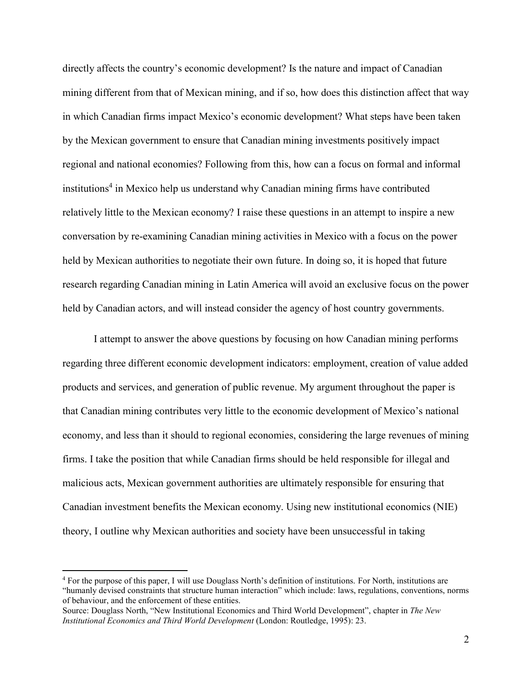directly affects the country's economic development? Is the nature and impact of Canadian mining different from that of Mexican mining, and if so, how does this distinction affect that way in which Canadian firms impact Mexico's economic development? What steps have been taken by the Mexican government to ensure that Canadian mining investments positively impact regional and national economies? Following from this, how can a focus on formal and informal institutions<sup>4</sup> in Mexico help us understand why Canadian mining firms have contributed relatively little to the Mexican economy? I raise these questions in an attempt to inspire a new conversation by re-examining Canadian mining activities in Mexico with a focus on the power held by Mexican authorities to negotiate their own future. In doing so, it is hoped that future research regarding Canadian mining in Latin America will avoid an exclusive focus on the power held by Canadian actors, and will instead consider the agency of host country governments.

I attempt to answer the above questions by focusing on how Canadian mining performs regarding three different economic development indicators: employment, creation of value added products and services, and generation of public revenue. My argument throughout the paper is that Canadian mining contributes very little to the economic development of Mexico's national economy, and less than it should to regional economies, considering the large revenues of mining firms. I take the position that while Canadian firms should be held responsible for illegal and malicious acts, Mexican government authorities are ultimately responsible for ensuring that Canadian investment benefits the Mexican economy. Using new institutional economics (NIE) theory, I outline why Mexican authorities and society have been unsuccessful in taking

<sup>4</sup> For the purpose of this paper, I will use Douglass North's definition of institutions. For North, institutions are "humanly devised constraints that structure human interaction" which include: laws, regulations, conventions, norms of behaviour, and the enforcement of these entities.

Source: Douglass North, "New Institutional Economics and Third World Development", chapter in *The New Institutional Economics and Third World Development* (London: Routledge, 1995): 23.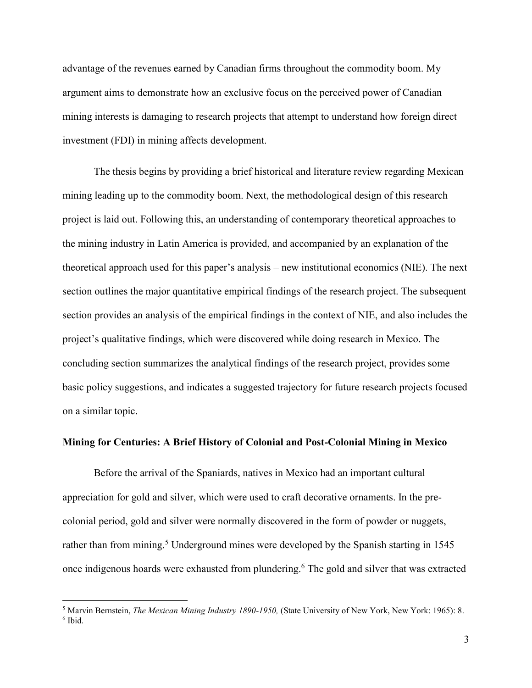advantage of the revenues earned by Canadian firms throughout the commodity boom. My argument aims to demonstrate how an exclusive focus on the perceived power of Canadian mining interests is damaging to research projects that attempt to understand how foreign direct investment (FDI) in mining affects development.

The thesis begins by providing a brief historical and literature review regarding Mexican mining leading up to the commodity boom. Next, the methodological design of this research project is laid out. Following this, an understanding of contemporary theoretical approaches to the mining industry in Latin America is provided, and accompanied by an explanation of the theoretical approach used for this paper's analysis – new institutional economics (NIE). The next section outlines the major quantitative empirical findings of the research project. The subsequent section provides an analysis of the empirical findings in the context of NIE, and also includes the project's qualitative findings, which were discovered while doing research in Mexico. The concluding section summarizes the analytical findings of the research project, provides some basic policy suggestions, and indicates a suggested trajectory for future research projects focused on a similar topic.

#### **Mining for Centuries: A Brief History of Colonial and Post-Colonial Mining in Mexico**

 Before the arrival of the Spaniards, natives in Mexico had an important cultural appreciation for gold and silver, which were used to craft decorative ornaments. In the precolonial period, gold and silver were normally discovered in the form of powder or nuggets, rather than from mining.<sup>5</sup> Underground mines were developed by the Spanish starting in 1545 once indigenous hoards were exhausted from plundering.<sup>6</sup> The gold and silver that was extracted

<sup>5</sup> Marvin Bernstein, *The Mexican Mining Industry 1890-1950,* (State University of New York, New York: 1965): 8. 6 Ibid.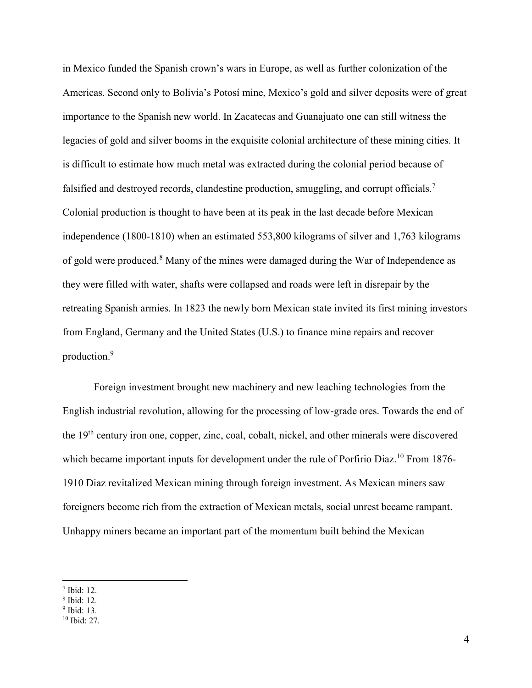in Mexico funded the Spanish crown's wars in Europe, as well as further colonization of the Americas. Second only to Bolivia's Potosí mine, Mexico's gold and silver deposits were of great importance to the Spanish new world. In Zacatecas and Guanajuato one can still witness the legacies of gold and silver booms in the exquisite colonial architecture of these mining cities. It is difficult to estimate how much metal was extracted during the colonial period because of falsified and destroyed records, clandestine production, smuggling, and corrupt officials.<sup>7</sup> Colonial production is thought to have been at its peak in the last decade before Mexican independence (1800-1810) when an estimated 553,800 kilograms of silver and 1,763 kilograms of gold were produced.<sup>8</sup> Many of the mines were damaged during the War of Independence as they were filled with water, shafts were collapsed and roads were left in disrepair by the retreating Spanish armies. In 1823 the newly born Mexican state invited its first mining investors from England, Germany and the United States (U.S.) to finance mine repairs and recover production.<sup>9</sup>

 Foreign investment brought new machinery and new leaching technologies from the English industrial revolution, allowing for the processing of low-grade ores. Towards the end of the 19th century iron one, copper, zinc, coal, cobalt, nickel, and other minerals were discovered which became important inputs for development under the rule of Porfirio Diaz.<sup>10</sup> From 1876-1910 Diaz revitalized Mexican mining through foreign investment. As Mexican miners saw foreigners become rich from the extraction of Mexican metals, social unrest became rampant. Unhappy miners became an important part of the momentum built behind the Mexican

<sup>7</sup> Ibid: 12.

<sup>8</sup> Ibid: 12.

<sup>9</sup> Ibid: 13.

<sup>10</sup> Ibid: 27.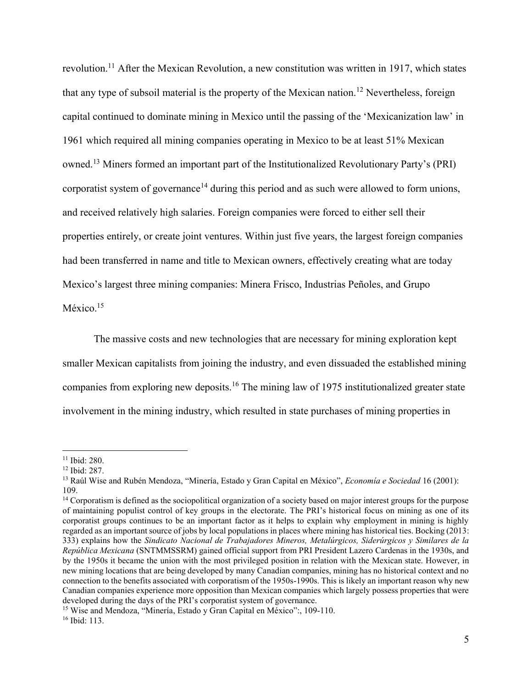revolution.<sup>11</sup> After the Mexican Revolution, a new constitution was written in 1917, which states that any type of subsoil material is the property of the Mexican nation.<sup>12</sup> Nevertheless, foreign capital continued to dominate mining in Mexico until the passing of the 'Mexicanization law' in 1961 which required all mining companies operating in Mexico to be at least 51% Mexican owned.<sup>13</sup> Miners formed an important part of the Institutionalized Revolutionary Party's (PRI) corporatist system of governance<sup>14</sup> during this period and as such were allowed to form unions, and received relatively high salaries. Foreign companies were forced to either sell their properties entirely, or create joint ventures. Within just five years, the largest foreign companies had been transferred in name and title to Mexican owners, effectively creating what are today Mexico's largest three mining companies: Minera Frisco, Industrias Peñoles, and Grupo México.<sup>15</sup>

 The massive costs and new technologies that are necessary for mining exploration kept smaller Mexican capitalists from joining the industry, and even dissuaded the established mining companies from exploring new deposits.<sup>16</sup> The mining law of 1975 institutionalized greater state involvement in the mining industry, which resulted in state purchases of mining properties in

<sup>11</sup> Ibid: 280.

 $12$  Ibid: 287.

<sup>13</sup> Raúl Wise and Rubén Mendoza, "Minería, Estado y Gran Capital en México", *Economía e Sociedad* 16 (2001): 109.

<sup>&</sup>lt;sup>14</sup> Corporatism is defined as the sociopolitical organization of a society based on major interest groups for the purpose of maintaining populist control of key groups in the electorate. The PRI's historical focus on mining as one of its corporatist groups continues to be an important factor as it helps to explain why employment in mining is highly regarded as an important source of jobs by local populations in places where mining has historical ties. Bocking (2013: 333) explains how the *Sindicato Nacional de Trabajadores Mineros, Metalúrgicos, Siderúrgicos y Similares de la República Mexicana* (SNTMMSSRM) gained official support from PRI President Lazero Cardenas in the 1930s, and by the 1950s it became the union with the most privileged position in relation with the Mexican state. However, in new mining locations that are being developed by many Canadian companies, mining has no historical context and no connection to the benefits associated with corporatism of the 1950s-1990s. This is likely an important reason why new Canadian companies experience more opposition than Mexican companies which largely possess properties that were developed during the days of the PRI's corporatist system of governance.

<sup>&</sup>lt;sup>15</sup> Wise and Mendoza, "Minería, Estado y Gran Capital en México":, 109-110. 16 Ibid: 113.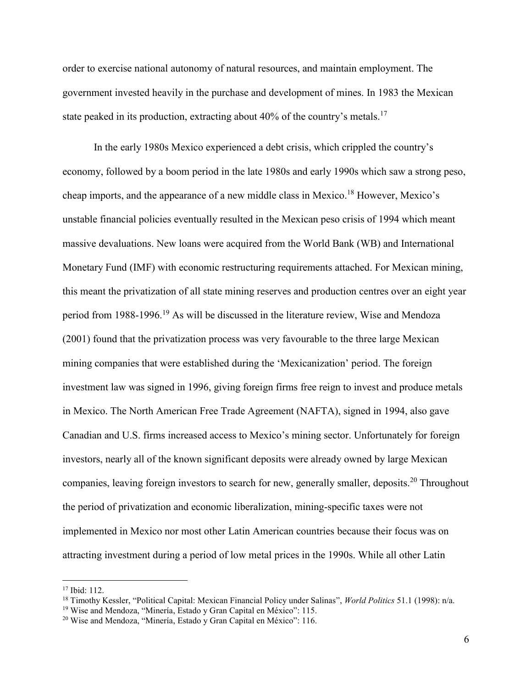order to exercise national autonomy of natural resources, and maintain employment. The government invested heavily in the purchase and development of mines. In 1983 the Mexican state peaked in its production, extracting about  $40\%$  of the country's metals.<sup>17</sup>

 In the early 1980s Mexico experienced a debt crisis, which crippled the country's economy, followed by a boom period in the late 1980s and early 1990s which saw a strong peso, cheap imports, and the appearance of a new middle class in Mexico.<sup>18</sup> However, Mexico's unstable financial policies eventually resulted in the Mexican peso crisis of 1994 which meant massive devaluations. New loans were acquired from the World Bank (WB) and International Monetary Fund (IMF) with economic restructuring requirements attached. For Mexican mining, this meant the privatization of all state mining reserves and production centres over an eight year period from 1988-1996.<sup>19</sup> As will be discussed in the literature review, Wise and Mendoza (2001) found that the privatization process was very favourable to the three large Mexican mining companies that were established during the 'Mexicanization' period. The foreign investment law was signed in 1996, giving foreign firms free reign to invest and produce metals in Mexico. The North American Free Trade Agreement (NAFTA), signed in 1994, also gave Canadian and U.S. firms increased access to Mexico's mining sector. Unfortunately for foreign investors, nearly all of the known significant deposits were already owned by large Mexican companies, leaving foreign investors to search for new, generally smaller, deposits.<sup>20</sup> Throughout the period of privatization and economic liberalization, mining-specific taxes were not implemented in Mexico nor most other Latin American countries because their focus was on attracting investment during a period of low metal prices in the 1990s. While all other Latin

 $17$  Ibid:  $112$ .

<sup>18</sup> Timothy Kessler, "Political Capital: Mexican Financial Policy under Salinas", *World Politics* 51.1 (1998): n/a.

<sup>19</sup> Wise and Mendoza, "Minería, Estado y Gran Capital en México": 115.

<sup>20</sup> Wise and Mendoza, "Minería, Estado y Gran Capital en México": 116.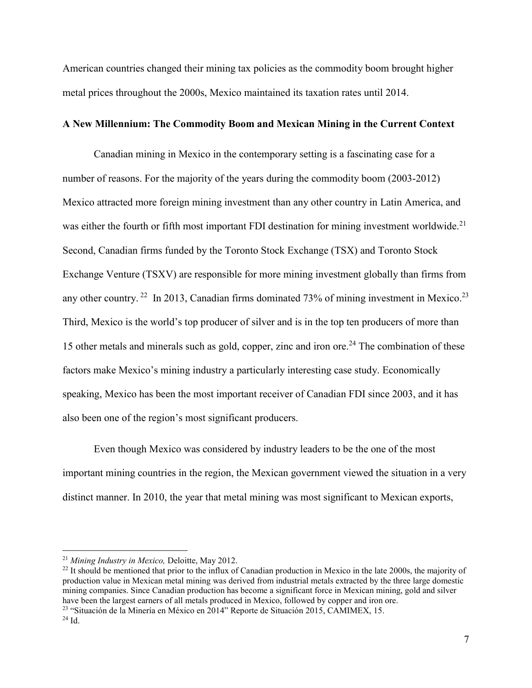American countries changed their mining tax policies as the commodity boom brought higher metal prices throughout the 2000s, Mexico maintained its taxation rates until 2014.

### **A New Millennium: The Commodity Boom and Mexican Mining in the Current Context**

Canadian mining in Mexico in the contemporary setting is a fascinating case for a number of reasons. For the majority of the years during the commodity boom (2003-2012) Mexico attracted more foreign mining investment than any other country in Latin America, and was either the fourth or fifth most important FDI destination for mining investment worldwide.<sup>21</sup> Second, Canadian firms funded by the Toronto Stock Exchange (TSX) and Toronto Stock Exchange Venture (TSXV) are responsible for more mining investment globally than firms from any other country. <sup>22</sup> In 2013, Canadian firms dominated 73% of mining investment in Mexico.<sup>23</sup> Third, Mexico is the world's top producer of silver and is in the top ten producers of more than 15 other metals and minerals such as gold, copper, zinc and iron ore.<sup>24</sup> The combination of these factors make Mexico's mining industry a particularly interesting case study. Economically speaking, Mexico has been the most important receiver of Canadian FDI since 2003, and it has also been one of the region's most significant producers.

Even though Mexico was considered by industry leaders to be the one of the most important mining countries in the region, the Mexican government viewed the situation in a very distinct manner. In 2010, the year that metal mining was most significant to Mexican exports,

<sup>21</sup> *Mining Industry in Mexico,* Deloitte, May 2012.

 $^{22}$  It should be mentioned that prior to the influx of Canadian production in Mexico in the late 2000s, the majority of production value in Mexican metal mining was derived from industrial metals extracted by the three large domestic mining companies. Since Canadian production has become a significant force in Mexican mining, gold and silver have been the largest earners of all metals produced in Mexico, followed by copper and iron ore.

<sup>23</sup> "Situación de la Minería en México en 2014" Reporte de Situación 2015, CAMIMEX, 15.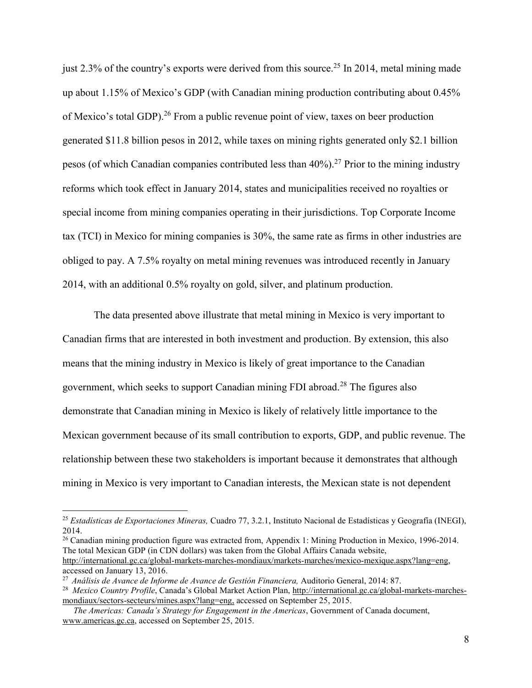just 2.3% of the country's exports were derived from this source.<sup>25</sup> In 2014, metal mining made up about 1.15% of Mexico's GDP (with Canadian mining production contributing about 0.45% of Mexico's total GDP).<sup>26</sup> From a public revenue point of view, taxes on beer production generated \$11.8 billion pesos in 2012, while taxes on mining rights generated only \$2.1 billion pesos (of which Canadian companies contributed less than  $40\%$ ).<sup>27</sup> Prior to the mining industry reforms which took effect in January 2014, states and municipalities received no royalties or special income from mining companies operating in their jurisdictions. Top Corporate Income tax (TCI) in Mexico for mining companies is 30%, the same rate as firms in other industries are obliged to pay. A 7.5% royalty on metal mining revenues was introduced recently in January 2014, with an additional 0.5% royalty on gold, silver, and platinum production.

The data presented above illustrate that metal mining in Mexico is very important to Canadian firms that are interested in both investment and production. By extension, this also means that the mining industry in Mexico is likely of great importance to the Canadian government, which seeks to support Canadian mining FDI abroad.<sup>28</sup> The figures also demonstrate that Canadian mining in Mexico is likely of relatively little importance to the Mexican government because of its small contribution to exports, GDP, and public revenue. The relationship between these two stakeholders is important because it demonstrates that although mining in Mexico is very important to Canadian interests, the Mexican state is not dependent

<sup>26</sup> Canadian mining production figure was extracted from, Appendix 1: Mining Production in Mexico, 1996-2014. The total Mexican GDP (in CDN dollars) was taken from the Global Affairs Canada website, [http://international.gc.ca/global-markets-marches-mondiaux/markets-marches/mexico-mexique.aspx?lang=eng,](http://international.gc.ca/global-markets-marches-mondiaux/markets-marches/mexico-mexique.aspx?lang=eng) accessed on January 13, 2016.

<sup>25</sup> *Estadísticas de Exportaciones Mineras,* Cuadro 77, 3.2.1, Instituto Nacional de Estadísticas y Geografía (INEGI), 2014.

<sup>27</sup> *Análisis de Avance de Informe de Avance de Gestión Financiera,* Auditorio General, 2014: 87.

<sup>&</sup>lt;sup>28</sup> *Mexico Country Profile*, Canada's Global Market Action Plan, [http://international.gc.ca/global-markets-marches](http://international.gc.ca/global-markets-marches-mondiaux/sectors-secteurs/mines.aspx?lang=eng)[mondiaux/sectors-secteurs/mines.aspx?lang=eng,](http://international.gc.ca/global-markets-marches-mondiaux/sectors-secteurs/mines.aspx?lang=eng) accessed on September 25, 2015.

*The Americas: Canada's Strategy for Engagement in the Americas*, Government of Canada document, [www.americas.gc.ca,](file:///C:/Users/Shon/Desktop/Thesis/THESIS%20WRITING/www.americas.gc.ca) accessed on September 25, 2015.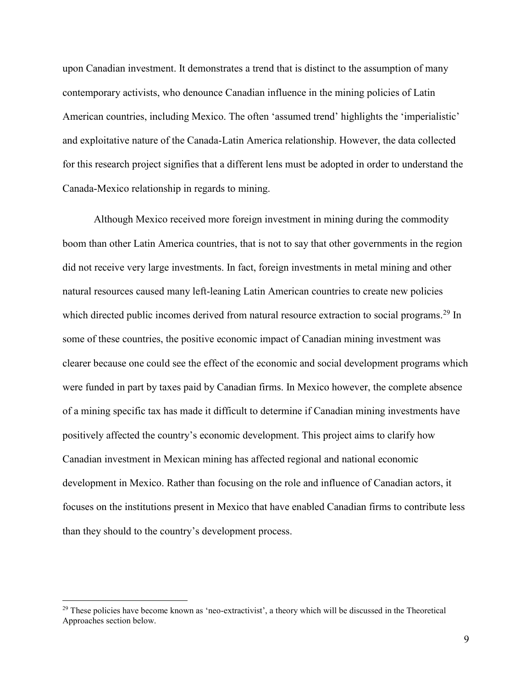upon Canadian investment. It demonstrates a trend that is distinct to the assumption of many contemporary activists, who denounce Canadian influence in the mining policies of Latin American countries, including Mexico. The often 'assumed trend' highlights the 'imperialistic' and exploitative nature of the Canada-Latin America relationship. However, the data collected for this research project signifies that a different lens must be adopted in order to understand the Canada-Mexico relationship in regards to mining.

Although Mexico received more foreign investment in mining during the commodity boom than other Latin America countries, that is not to say that other governments in the region did not receive very large investments. In fact, foreign investments in metal mining and other natural resources caused many left-leaning Latin American countries to create new policies which directed public incomes derived from natural resource extraction to social programs.<sup>29</sup> In some of these countries, the positive economic impact of Canadian mining investment was clearer because one could see the effect of the economic and social development programs which were funded in part by taxes paid by Canadian firms. In Mexico however, the complete absence of a mining specific tax has made it difficult to determine if Canadian mining investments have positively affected the country's economic development. This project aims to clarify how Canadian investment in Mexican mining has affected regional and national economic development in Mexico. Rather than focusing on the role and influence of Canadian actors, it focuses on the institutions present in Mexico that have enabled Canadian firms to contribute less than they should to the country's development process.

<sup>&</sup>lt;sup>29</sup> These policies have become known as 'neo-extractivist', a theory which will be discussed in the Theoretical Approaches section below.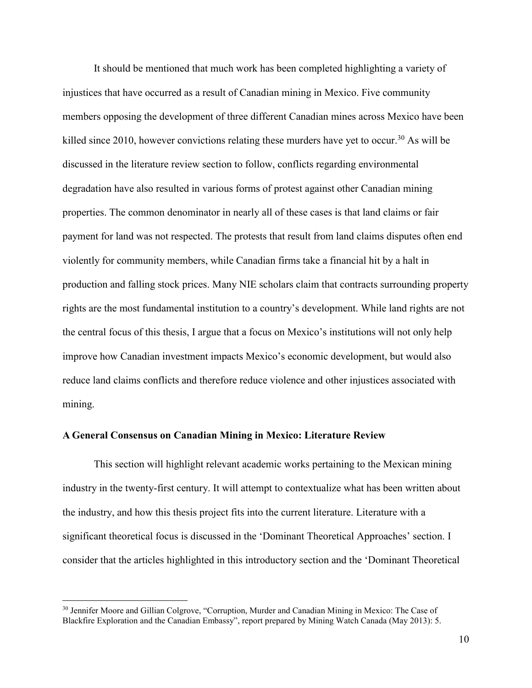It should be mentioned that much work has been completed highlighting a variety of injustices that have occurred as a result of Canadian mining in Mexico. Five community members opposing the development of three different Canadian mines across Mexico have been killed since 2010, however convictions relating these murders have yet to occur.<sup>30</sup> As will be discussed in the literature review section to follow, conflicts regarding environmental degradation have also resulted in various forms of protest against other Canadian mining properties. The common denominator in nearly all of these cases is that land claims or fair payment for land was not respected. The protests that result from land claims disputes often end violently for community members, while Canadian firms take a financial hit by a halt in production and falling stock prices. Many NIE scholars claim that contracts surrounding property rights are the most fundamental institution to a country's development. While land rights are not the central focus of this thesis, I argue that a focus on Mexico's institutions will not only help improve how Canadian investment impacts Mexico's economic development, but would also reduce land claims conflicts and therefore reduce violence and other injustices associated with mining.

#### **A General Consensus on Canadian Mining in Mexico: Literature Review**

This section will highlight relevant academic works pertaining to the Mexican mining industry in the twenty-first century. It will attempt to contextualize what has been written about the industry, and how this thesis project fits into the current literature. Literature with a significant theoretical focus is discussed in the 'Dominant Theoretical Approaches' section. I consider that the articles highlighted in this introductory section and the 'Dominant Theoretical

<sup>30</sup> Jennifer Moore and Gillian Colgrove, "Corruption, Murder and Canadian Mining in Mexico: The Case of Blackfire Exploration and the Canadian Embassy", report prepared by Mining Watch Canada (May 2013): 5.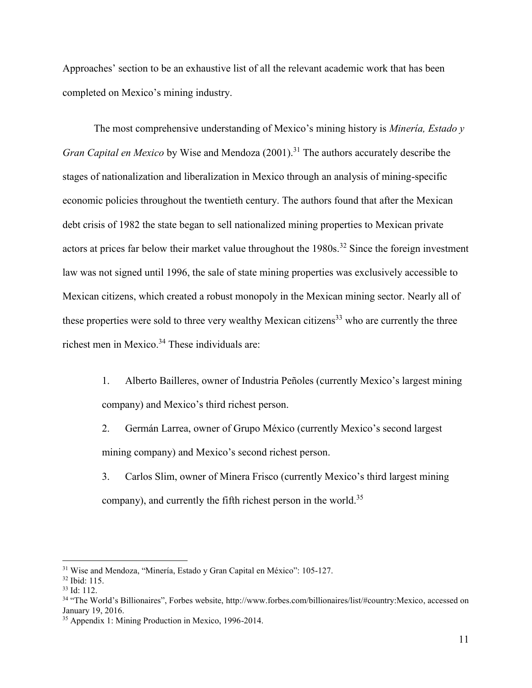Approaches' section to be an exhaustive list of all the relevant academic work that has been completed on Mexico's mining industry.

The most comprehensive understanding of Mexico's mining history is *Minería, Estado y Gran Capital en Mexico* by Wise and Mendoza (2001).<sup>31</sup> The authors accurately describe the stages of nationalization and liberalization in Mexico through an analysis of mining-specific economic policies throughout the twentieth century. The authors found that after the Mexican debt crisis of 1982 the state began to sell nationalized mining properties to Mexican private actors at prices far below their market value throughout the  $1980s$ .<sup>32</sup> Since the foreign investment law was not signed until 1996, the sale of state mining properties was exclusively accessible to Mexican citizens, which created a robust monopoly in the Mexican mining sector. Nearly all of these properties were sold to three very wealthy Mexican citizens<sup>33</sup> who are currently the three richest men in Mexico.<sup>34</sup> These individuals are:

- 1. Alberto Bailleres, owner of Industria Peñoles (currently Mexico's largest mining company) and Mexico's third richest person.
- 2. Germán Larrea, owner of Grupo México (currently Mexico's second largest mining company) and Mexico's second richest person.
- 3. Carlos Slim, owner of Minera Frisco (currently Mexico's third largest mining company), and currently the fifth richest person in the world.<sup>35</sup>

<sup>&</sup>lt;sup>31</sup> Wise and Mendoza, "Minería, Estado y Gran Capital en México": 105-127.

<sup>32</sup> Ibid: 115.

 $33$  Id: 112.

<sup>34</sup> "The World's Billionaires", Forbes website, http://www.forbes.com/billionaires/list/#country:Mexico, accessed on January 19, 2016.

<sup>35</sup> Appendix 1: Mining Production in Mexico, 1996-2014.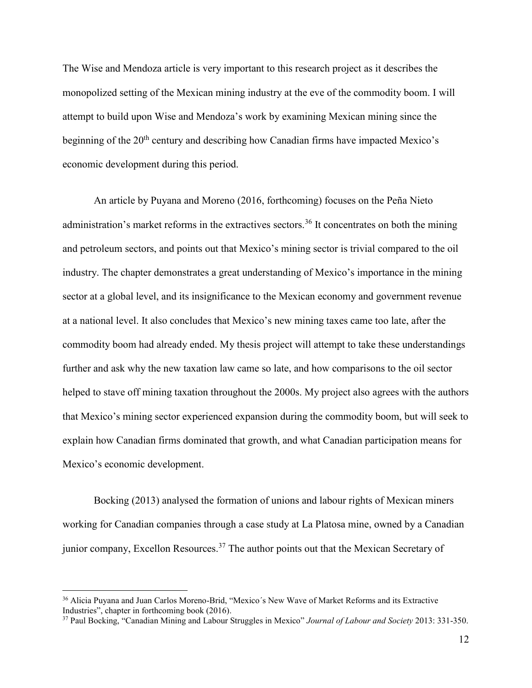The Wise and Mendoza article is very important to this research project as it describes the monopolized setting of the Mexican mining industry at the eve of the commodity boom. I will attempt to build upon Wise and Mendoza's work by examining Mexican mining since the beginning of the  $20<sup>th</sup>$  century and describing how Canadian firms have impacted Mexico's economic development during this period.

An article by Puyana and Moreno (2016, forthcoming) focuses on the Peña Nieto administration's market reforms in the extractives sectors.<sup>36</sup> It concentrates on both the mining and petroleum sectors, and points out that Mexico's mining sector is trivial compared to the oil industry. The chapter demonstrates a great understanding of Mexico's importance in the mining sector at a global level, and its insignificance to the Mexican economy and government revenue at a national level. It also concludes that Mexico's new mining taxes came too late, after the commodity boom had already ended. My thesis project will attempt to take these understandings further and ask why the new taxation law came so late, and how comparisons to the oil sector helped to stave off mining taxation throughout the 2000s. My project also agrees with the authors that Mexico's mining sector experienced expansion during the commodity boom, but will seek to explain how Canadian firms dominated that growth, and what Canadian participation means for Mexico's economic development.

 Bocking (2013) analysed the formation of unions and labour rights of Mexican miners working for Canadian companies through a case study at La Platosa mine, owned by a Canadian junior company, Excellon Resources.<sup>37</sup> The author points out that the Mexican Secretary of

<sup>36</sup> Alicia Puyana and Juan Carlos Moreno-Brid, "Mexico´s New Wave of Market Reforms and its Extractive Industries", chapter in forthcoming book (2016).

<sup>37</sup> Paul Bocking, "Canadian Mining and Labour Struggles in Mexico" *Journal of Labour and Society* 2013: 331-350.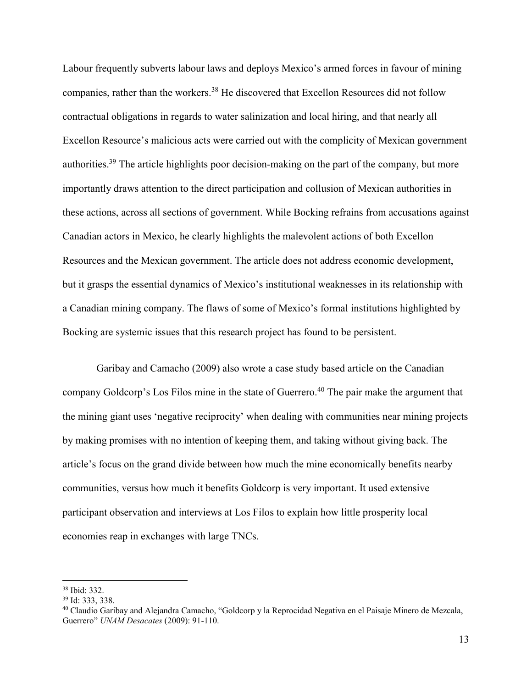Labour frequently subverts labour laws and deploys Mexico's armed forces in favour of mining companies, rather than the workers.<sup>38</sup> He discovered that Excellon Resources did not follow contractual obligations in regards to water salinization and local hiring, and that nearly all Excellon Resource's malicious acts were carried out with the complicity of Mexican government authorities.<sup>39</sup> The article highlights poor decision-making on the part of the company, but more importantly draws attention to the direct participation and collusion of Mexican authorities in these actions, across all sections of government. While Bocking refrains from accusations against Canadian actors in Mexico, he clearly highlights the malevolent actions of both Excellon Resources and the Mexican government. The article does not address economic development, but it grasps the essential dynamics of Mexico's institutional weaknesses in its relationship with a Canadian mining company. The flaws of some of Mexico's formal institutions highlighted by Bocking are systemic issues that this research project has found to be persistent.

 Garibay and Camacho (2009) also wrote a case study based article on the Canadian company Goldcorp's Los Filos mine in the state of Guerrero.<sup>40</sup> The pair make the argument that the mining giant uses 'negative reciprocity' when dealing with communities near mining projects by making promises with no intention of keeping them, and taking without giving back. The article's focus on the grand divide between how much the mine economically benefits nearby communities, versus how much it benefits Goldcorp is very important. It used extensive participant observation and interviews at Los Filos to explain how little prosperity local economies reap in exchanges with large TNCs.

<sup>38</sup> Ibid: 332.

<sup>39</sup> Id: 333, 338.

<sup>40</sup> Claudio Garibay and Alejandra Camacho, "Goldcorp y la Reprocidad Negativa en el Paisaje Minero de Mezcala, Guerrero" *UNAM Desacates* (2009): 91-110.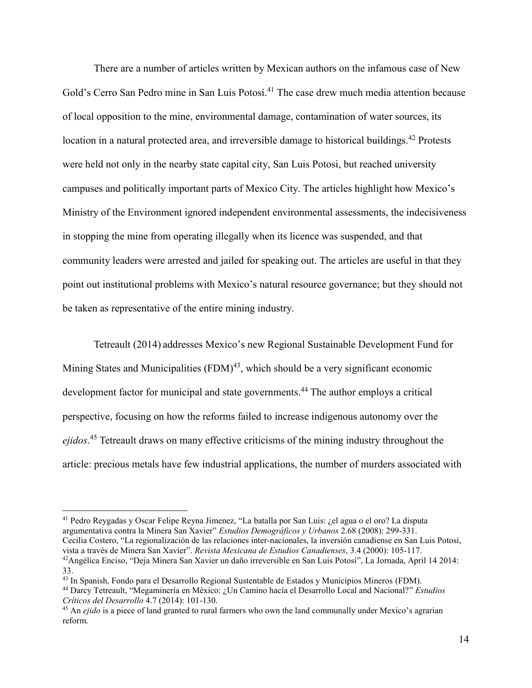There are a number of articles written by Mexican authors on the infamous case of New Gold's Cerro San Pedro mine in San Luis Potosí.<sup>41</sup> The case drew much media attention because of local opposition to the mine, environmental damage, contamination of water sources, its location in a natural protected area, and irreversible damage to historical buildings.<sup>42</sup> Protests were held not only in the nearby state capital city, San Luis Potosi, but reached university campuses and politically important parts of Mexico City. The articles highlight how Mexico's Ministry of the Environment ignored independent environmental assessments, the indecisiveness in stopping the mine from operating illegally when its licence was suspended, and that community leaders were arrested and jailed for speaking out. The articles are useful in that they point out institutional problems with Mexico's natural resource governance; but they should not be taken as representative of the entire mining industry.

Tetreault (2014) addresses Mexico's new Regional Sustainable Development Fund for Mining States and Municipalities  $(FDM)^{43}$ , which should be a very significant economic development factor for municipal and state governments.<sup>44</sup> The author employs a critical perspective, focusing on how the reforms failed to increase indigenous autonomy over the *ejidos*. <sup>45</sup> Tetreault draws on many effective criticisms of the mining industry throughout the article: precious metals have few industrial applications, the number of murders associated with

<sup>41</sup> Pedro Reygadas y Oscar Felipe Reyna Jimenez, "La batalla por San Luis: ¿el agua o el oro? La disputa argumentativa contra la Minera San Xavier" *Estudios Demográficos y Urbanos* 2.68 (2008): 299-331. Cecilia Costero, "La regionalización de las relaciones inter-nacionales, la inversión canadiense en San Luis Potosí, vista a través de Minera San Xavier". *Revista Mexicana de Estudios Canadienses*, 3.4 (2000): 105-117. <sup>42</sup>Angélica Enciso, "Deja Minera San Xavier un daño irreversible en San Luis Potosí", La Jornada, April 14 2014: 33.

<sup>43</sup> In Spanish, Fondo para el Desarrollo Regional Sustentable de Estados y Municipios Mineros (FDM).

 $\overline{a}$ 

<sup>44</sup> Darcy Tetreault, "Megaminería en México: ¿Un Camino hacía el Desarrollo Local and Nacional?" *Estudios Críticos del Desarrollo* 4.7 (2014): 101-130.

<sup>45</sup> An *ejido* is a piece of land granted to rural farmers who own the land communally under Mexico's agrarian reform.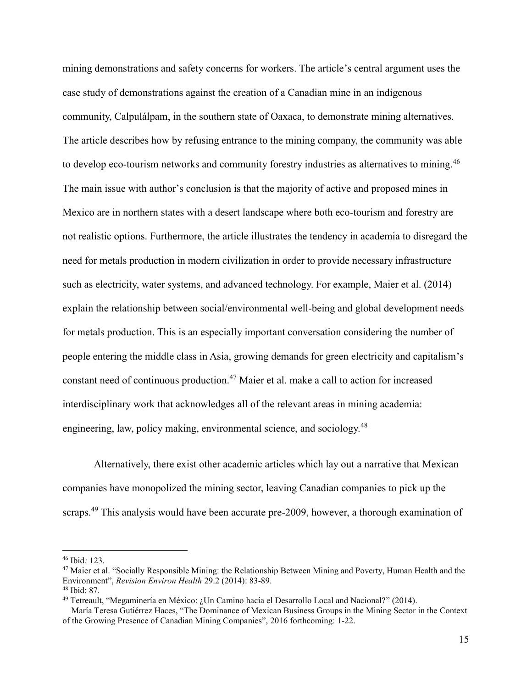mining demonstrations and safety concerns for workers. The article's central argument uses the case study of demonstrations against the creation of a Canadian mine in an indigenous community, Calpulálpam, in the southern state of Oaxaca, to demonstrate mining alternatives. The article describes how by refusing entrance to the mining company, the community was able to develop eco-tourism networks and community forestry industries as alternatives to mining.<sup>46</sup> The main issue with author's conclusion is that the majority of active and proposed mines in Mexico are in northern states with a desert landscape where both eco-tourism and forestry are not realistic options. Furthermore, the article illustrates the tendency in academia to disregard the need for metals production in modern civilization in order to provide necessary infrastructure such as electricity, water systems, and advanced technology. For example, Maier et al. (2014) explain the relationship between social/environmental well-being and global development needs for metals production. This is an especially important conversation considering the number of people entering the middle class in Asia, growing demands for green electricity and capitalism's constant need of continuous production.<sup>47</sup> Maier et al. make a call to action for increased interdisciplinary work that acknowledges all of the relevant areas in mining academia: engineering, law, policy making, environmental science, and sociology.<sup>48</sup>

Alternatively, there exist other academic articles which lay out a narrative that Mexican companies have monopolized the mining sector, leaving Canadian companies to pick up the scraps.<sup>49</sup> This analysis would have been accurate pre-2009, however, a thorough examination of

<sup>46</sup> Ibid*:* 123.

<sup>&</sup>lt;sup>47</sup> Maier et al. "Socially Responsible Mining: the Relationship Between Mining and Poverty, Human Health and the Environment", *Revision Environ Health* 29.2 (2014): 83-89. <sup>48</sup> Ibid: 87.

<sup>49</sup> Tetreault, "Megaminería en México: ¿Un Camino hacía el Desarrollo Local and Nacional?" (2014).

María Teresa Gutiérrez Haces, "The Dominance of Mexican Business Groups in the Mining Sector in the Context of the Growing Presence of Canadian Mining Companies", 2016 forthcoming: 1-22.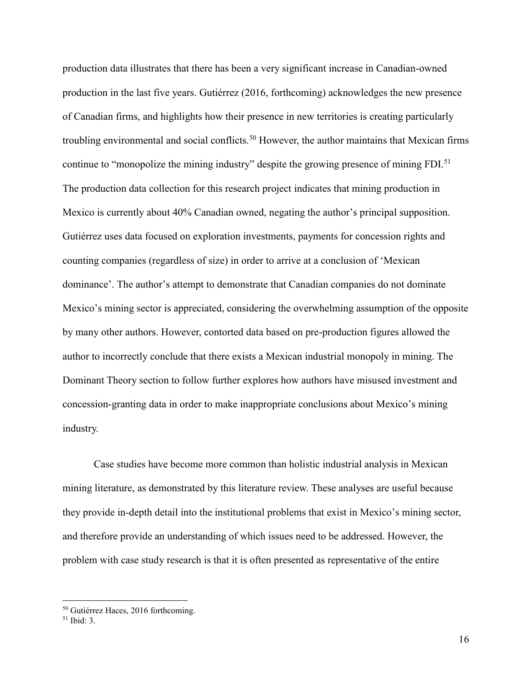production data illustrates that there has been a very significant increase in Canadian-owned production in the last five years. Gutiérrez (2016, forthcoming) acknowledges the new presence of Canadian firms, and highlights how their presence in new territories is creating particularly troubling environmental and social conflicts.<sup>50</sup> However, the author maintains that Mexican firms continue to "monopolize the mining industry" despite the growing presence of mining FDI.<sup>51</sup> The production data collection for this research project indicates that mining production in Mexico is currently about 40% Canadian owned, negating the author's principal supposition. Gutiérrez uses data focused on exploration investments, payments for concession rights and counting companies (regardless of size) in order to arrive at a conclusion of 'Mexican dominance'. The author's attempt to demonstrate that Canadian companies do not dominate Mexico's mining sector is appreciated, considering the overwhelming assumption of the opposite by many other authors. However, contorted data based on pre-production figures allowed the author to incorrectly conclude that there exists a Mexican industrial monopoly in mining. The Dominant Theory section to follow further explores how authors have misused investment and concession-granting data in order to make inappropriate conclusions about Mexico's mining industry.

Case studies have become more common than holistic industrial analysis in Mexican mining literature, as demonstrated by this literature review. These analyses are useful because they provide in-depth detail into the institutional problems that exist in Mexico's mining sector, and therefore provide an understanding of which issues need to be addressed. However, the problem with case study research is that it is often presented as representative of the entire

<sup>50</sup> Gutiérrez Haces, 2016 forthcoming.

<sup>51</sup> Ibid: 3.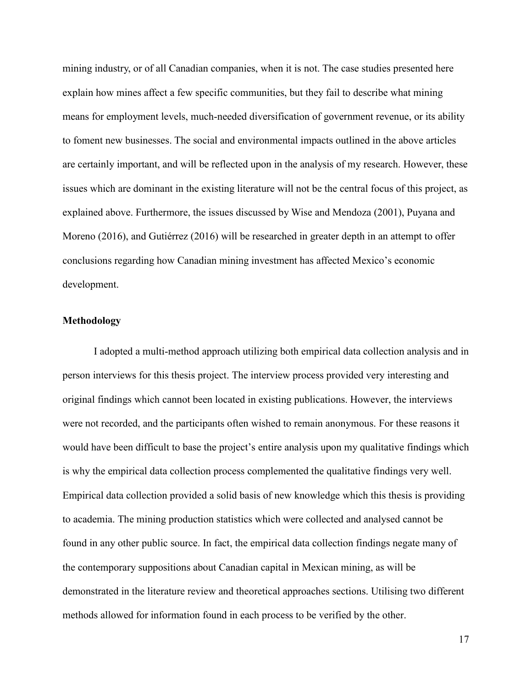mining industry, or of all Canadian companies, when it is not. The case studies presented here explain how mines affect a few specific communities, but they fail to describe what mining means for employment levels, much-needed diversification of government revenue, or its ability to foment new businesses. The social and environmental impacts outlined in the above articles are certainly important, and will be reflected upon in the analysis of my research. However, these issues which are dominant in the existing literature will not be the central focus of this project, as explained above. Furthermore, the issues discussed by Wise and Mendoza (2001), Puyana and Moreno (2016), and Gutiérrez (2016) will be researched in greater depth in an attempt to offer conclusions regarding how Canadian mining investment has affected Mexico's economic development.

## **Methodology**

 I adopted a multi-method approach utilizing both empirical data collection analysis and in person interviews for this thesis project. The interview process provided very interesting and original findings which cannot been located in existing publications. However, the interviews were not recorded, and the participants often wished to remain anonymous. For these reasons it would have been difficult to base the project's entire analysis upon my qualitative findings which is why the empirical data collection process complemented the qualitative findings very well. Empirical data collection provided a solid basis of new knowledge which this thesis is providing to academia. The mining production statistics which were collected and analysed cannot be found in any other public source. In fact, the empirical data collection findings negate many of the contemporary suppositions about Canadian capital in Mexican mining, as will be demonstrated in the literature review and theoretical approaches sections. Utilising two different methods allowed for information found in each process to be verified by the other.

17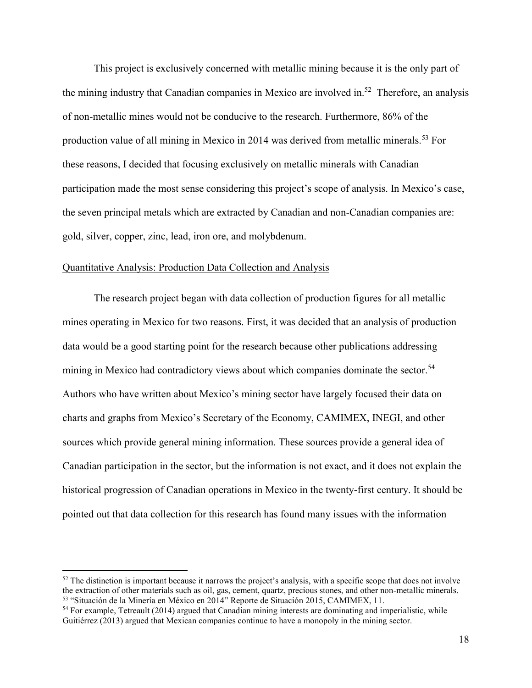This project is exclusively concerned with metallic mining because it is the only part of the mining industry that Canadian companies in Mexico are involved in.<sup>52</sup> Therefore, an analysis of non-metallic mines would not be conducive to the research. Furthermore, 86% of the production value of all mining in Mexico in 2014 was derived from metallic minerals.<sup>53</sup> For these reasons, I decided that focusing exclusively on metallic minerals with Canadian participation made the most sense considering this project's scope of analysis. In Mexico's case, the seven principal metals which are extracted by Canadian and non-Canadian companies are: gold, silver, copper, zinc, lead, iron ore, and molybdenum.

## Quantitative Analysis: Production Data Collection and Analysis

 $\overline{a}$ 

The research project began with data collection of production figures for all metallic mines operating in Mexico for two reasons. First, it was decided that an analysis of production data would be a good starting point for the research because other publications addressing mining in Mexico had contradictory views about which companies dominate the sector.<sup>54</sup> Authors who have written about Mexico's mining sector have largely focused their data on charts and graphs from Mexico's Secretary of the Economy, CAMIMEX, INEGI, and other sources which provide general mining information. These sources provide a general idea of Canadian participation in the sector, but the information is not exact, and it does not explain the historical progression of Canadian operations in Mexico in the twenty-first century. It should be pointed out that data collection for this research has found many issues with the information

 $52$  The distinction is important because it narrows the project's analysis, with a specific scope that does not involve the extraction of other materials such as oil, gas, cement, quartz, precious stones, and other non-metallic minerals. <sup>53</sup> "Situación de la Minería en México en 2014" Reporte de Situación 2015, CAMIMEX, 11.

<sup>54</sup> For example, Tetreault (2014) argued that Canadian mining interests are dominating and imperialistic, while Guitiérrez (2013) argued that Mexican companies continue to have a monopoly in the mining sector.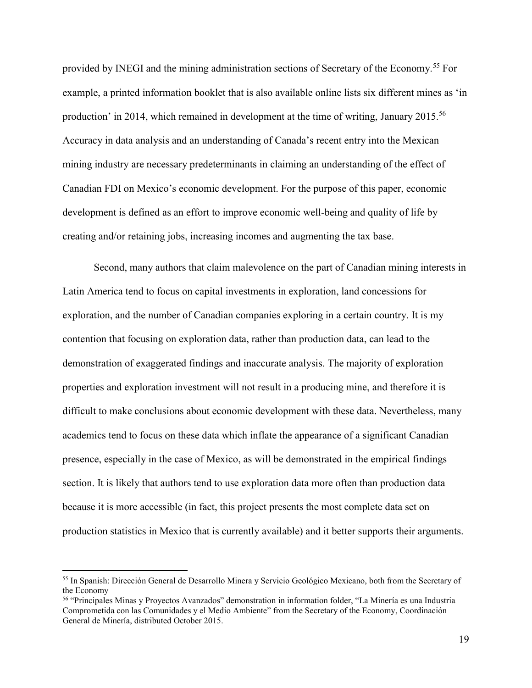provided by INEGI and the mining administration sections of Secretary of the Economy.<sup>55</sup> For example, a printed information booklet that is also available online lists six different mines as 'in production' in 2014, which remained in development at the time of writing, January 2015.<sup>56</sup> Accuracy in data analysis and an understanding of Canada's recent entry into the Mexican mining industry are necessary predeterminants in claiming an understanding of the effect of Canadian FDI on Mexico's economic development. For the purpose of this paper, economic development is defined as an effort to improve economic well-being and quality of life by creating and/or retaining jobs, increasing incomes and augmenting the tax base.

Second, many authors that claim malevolence on the part of Canadian mining interests in Latin America tend to focus on capital investments in exploration, land concessions for exploration, and the number of Canadian companies exploring in a certain country. It is my contention that focusing on exploration data, rather than production data, can lead to the demonstration of exaggerated findings and inaccurate analysis. The majority of exploration properties and exploration investment will not result in a producing mine, and therefore it is difficult to make conclusions about economic development with these data. Nevertheless, many academics tend to focus on these data which inflate the appearance of a significant Canadian presence, especially in the case of Mexico, as will be demonstrated in the empirical findings section. It is likely that authors tend to use exploration data more often than production data because it is more accessible (in fact, this project presents the most complete data set on production statistics in Mexico that is currently available) and it better supports their arguments.

<sup>55</sup> In Spanish: Dirección General de Desarrollo Minera y Servicio Geológico Mexicano, both from the Secretary of the Economy

<sup>56</sup> "Principales Minas y Proyectos Avanzados" demonstration in information folder, "La Minería es una Industria Comprometida con las Comunidades y el Medio Ambiente" from the Secretary of the Economy, Coordinación General de Minería, distributed October 2015.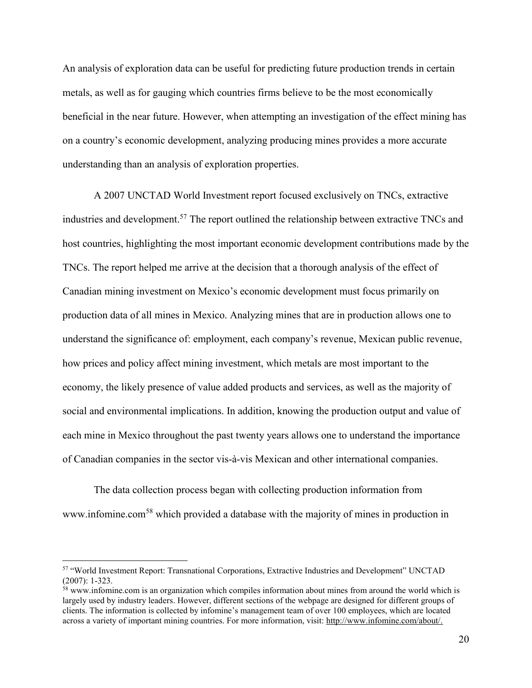An analysis of exploration data can be useful for predicting future production trends in certain metals, as well as for gauging which countries firms believe to be the most economically beneficial in the near future. However, when attempting an investigation of the effect mining has on a country's economic development, analyzing producing mines provides a more accurate understanding than an analysis of exploration properties.

A 2007 UNCTAD World Investment report focused exclusively on TNCs, extractive industries and development.<sup>57</sup> The report outlined the relationship between extractive TNCs and host countries, highlighting the most important economic development contributions made by the TNCs. The report helped me arrive at the decision that a thorough analysis of the effect of Canadian mining investment on Mexico's economic development must focus primarily on production data of all mines in Mexico. Analyzing mines that are in production allows one to understand the significance of: employment, each company's revenue, Mexican public revenue, how prices and policy affect mining investment, which metals are most important to the economy, the likely presence of value added products and services, as well as the majority of social and environmental implications. In addition, knowing the production output and value of each mine in Mexico throughout the past twenty years allows one to understand the importance of Canadian companies in the sector vis-à-vis Mexican and other international companies.

 The data collection process began with collecting production information from www.infomine.com<sup>58</sup> which provided a database with the majority of mines in production in

<sup>57</sup> "World Investment Report: Transnational Corporations, Extractive Industries and Development" UNCTAD (2007): 1-323.

<sup>&</sup>lt;sup>58</sup> www.infomine.com is an organization which compiles information about mines from around the world which is largely used by industry leaders. However, different sections of the webpage are designed for different groups of clients. The information is collected by infomine's management team of over 100 employees, which are located across a variety of important mining countries. For more information, visit[: http://www.infomine.com/about/.](http://www.infomine.com/about/)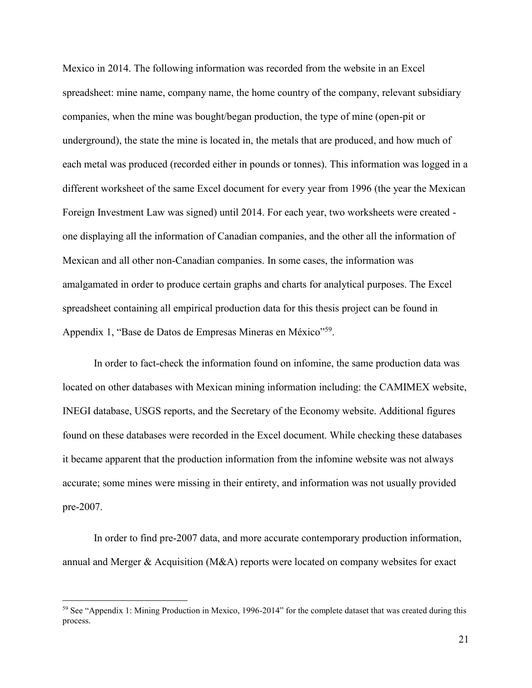Mexico in 2014. The following information was recorded from the website in an Excel spreadsheet: mine name, company name, the home country of the company, relevant subsidiary companies, when the mine was bought/began production, the type of mine (open-pit or underground), the state the mine is located in, the metals that are produced, and how much of each metal was produced (recorded either in pounds or tonnes). This information was logged in a different worksheet of the same Excel document for every year from 1996 (the year the Mexican Foreign Investment Law was signed) until 2014. For each year, two worksheets were created one displaying all the information of Canadian companies, and the other all the information of Mexican and all other non-Canadian companies. In some cases, the information was amalgamated in order to produce certain graphs and charts for analytical purposes. The Excel spreadsheet containing all empirical production data for this thesis project can be found in Appendix 1, "Base de Datos de Empresas Mineras en México"<sup>59</sup>.

 In order to fact-check the information found on infomine, the same production data was located on other databases with Mexican mining information including: the CAMIMEX website, INEGI database, USGS reports, and the Secretary of the Economy website. Additional figures found on these databases were recorded in the Excel document. While checking these databases it became apparent that the production information from the infomine website was not always accurate; some mines were missing in their entirety, and information was not usually provided pre-2007.

 In order to find pre-2007 data, and more accurate contemporary production information, annual and Merger & Acquisition (M&A) reports were located on company websites for exact

<sup>59</sup> See "Appendix 1: Mining Production in Mexico, 1996-2014" for the complete dataset that was created during this process.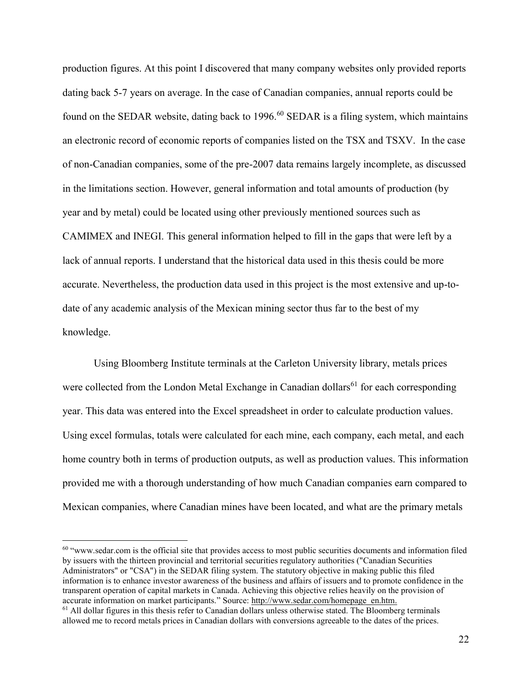production figures. At this point I discovered that many company websites only provided reports dating back 5-7 years on average. In the case of Canadian companies, annual reports could be found on the SEDAR website, dating back to  $1996$ .<sup>60</sup> SEDAR is a filing system, which maintains an electronic record of economic reports of companies listed on the TSX and TSXV. In the case of non-Canadian companies, some of the pre-2007 data remains largely incomplete, as discussed in the limitations section. However, general information and total amounts of production (by year and by metal) could be located using other previously mentioned sources such as CAMIMEX and INEGI. This general information helped to fill in the gaps that were left by a lack of annual reports. I understand that the historical data used in this thesis could be more accurate. Nevertheless, the production data used in this project is the most extensive and up-todate of any academic analysis of the Mexican mining sector thus far to the best of my knowledge.

 Using Bloomberg Institute terminals at the Carleton University library, metals prices were collected from the London Metal Exchange in Canadian dollars<sup>61</sup> for each corresponding year. This data was entered into the Excel spreadsheet in order to calculate production values. Using excel formulas, totals were calculated for each mine, each company, each metal, and each home country both in terms of production outputs, as well as production values. This information provided me with a thorough understanding of how much Canadian companies earn compared to Mexican companies, where Canadian mines have been located, and what are the primary metals

<sup>&</sup>lt;sup>60</sup> "www.sedar.com is the official site that provides access to most public securities documents and information filed by issuers with the thirteen provincial and territorial securities regulatory authorities ("Canadian Securities Administrators" or "CSA") in the SEDAR filing system. The statutory objective in making public this filed information is to enhance investor awareness of the business and affairs of issuers and to promote confidence in the transparent operation of capital markets in Canada. Achieving this objective relies heavily on the provision of accurate information on market participants." Source: [http://www.sedar.com/homepage\\_en.htm.](http://www.sedar.com/homepage_en.htm)  $61$  All dollar figures in this thesis refer to Canadian dollars unless otherwise stated. The Bloomberg terminals allowed me to record metals prices in Canadian dollars with conversions agreeable to the dates of the prices.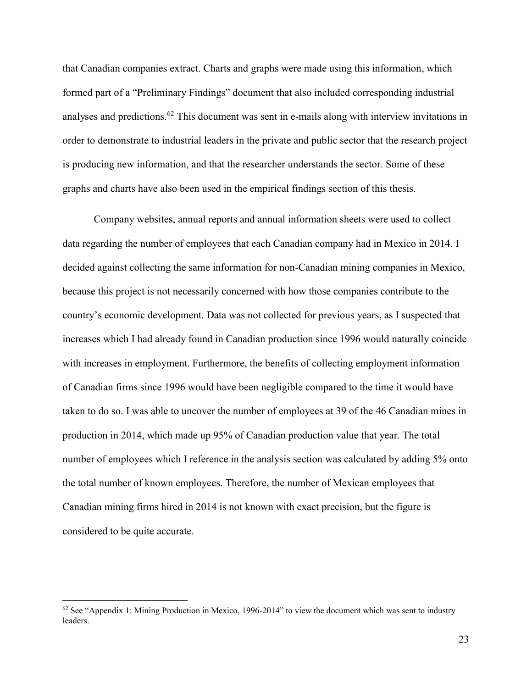that Canadian companies extract. Charts and graphs were made using this information, which formed part of a "Preliminary Findings" document that also included corresponding industrial analyses and predictions.<sup>62</sup> This document was sent in e-mails along with interview invitations in order to demonstrate to industrial leaders in the private and public sector that the research project is producing new information, and that the researcher understands the sector. Some of these graphs and charts have also been used in the empirical findings section of this thesis.

Company websites, annual reports and annual information sheets were used to collect data regarding the number of employees that each Canadian company had in Mexico in 2014. I decided against collecting the same information for non-Canadian mining companies in Mexico, because this project is not necessarily concerned with how those companies contribute to the country's economic development. Data was not collected for previous years, as I suspected that increases which I had already found in Canadian production since 1996 would naturally coincide with increases in employment. Furthermore, the benefits of collecting employment information of Canadian firms since 1996 would have been negligible compared to the time it would have taken to do so. I was able to uncover the number of employees at 39 of the 46 Canadian mines in production in 2014, which made up 95% of Canadian production value that year. The total number of employees which I reference in the analysis section was calculated by adding 5% onto the total number of known employees. Therefore, the number of Mexican employees that Canadian mining firms hired in 2014 is not known with exact precision, but the figure is considered to be quite accurate.

 $62$  See "Appendix 1: Mining Production in Mexico, 1996-2014" to view the document which was sent to industry leaders.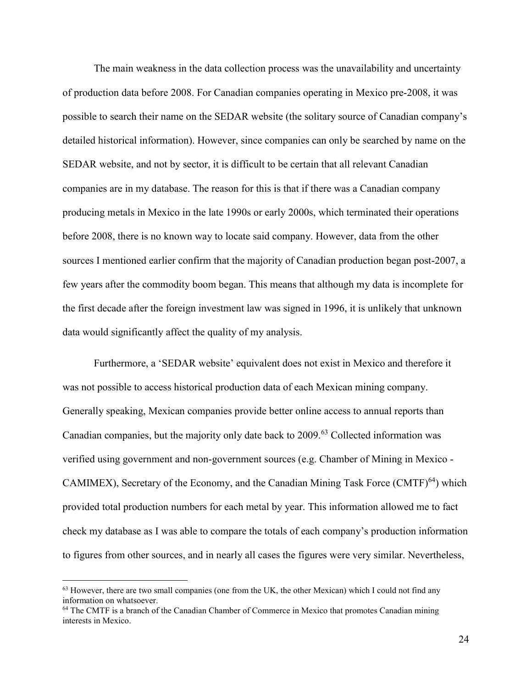The main weakness in the data collection process was the unavailability and uncertainty of production data before 2008. For Canadian companies operating in Mexico pre-2008, it was possible to search their name on the SEDAR website (the solitary source of Canadian company's detailed historical information). However, since companies can only be searched by name on the SEDAR website, and not by sector, it is difficult to be certain that all relevant Canadian companies are in my database. The reason for this is that if there was a Canadian company producing metals in Mexico in the late 1990s or early 2000s, which terminated their operations before 2008, there is no known way to locate said company. However, data from the other sources I mentioned earlier confirm that the majority of Canadian production began post-2007, a few years after the commodity boom began. This means that although my data is incomplete for the first decade after the foreign investment law was signed in 1996, it is unlikely that unknown data would significantly affect the quality of my analysis.

Furthermore, a 'SEDAR website' equivalent does not exist in Mexico and therefore it was not possible to access historical production data of each Mexican mining company. Generally speaking, Mexican companies provide better online access to annual reports than Canadian companies, but the majority only date back to 2009.<sup>63</sup> Collected information was verified using government and non-government sources (e.g. Chamber of Mining in Mexico - CAMIMEX), Secretary of the Economy, and the Canadian Mining Task Force  $(CMTF)^{64}$  which provided total production numbers for each metal by year. This information allowed me to fact check my database as I was able to compare the totals of each company's production information to figures from other sources, and in nearly all cases the figures were very similar. Nevertheless,

<sup>&</sup>lt;sup>63</sup> However, there are two small companies (one from the UK, the other Mexican) which I could not find any information on whatsoever.

<sup>&</sup>lt;sup>64</sup> The CMTF is a branch of the Canadian Chamber of Commerce in Mexico that promotes Canadian mining interests in Mexico.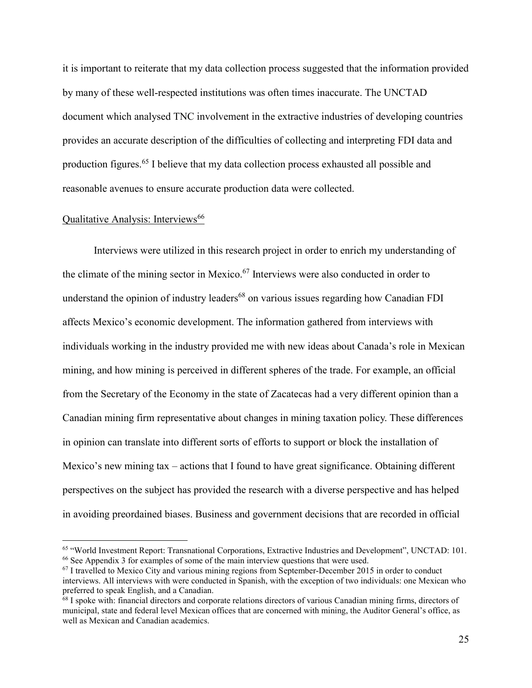it is important to reiterate that my data collection process suggested that the information provided by many of these well-respected institutions was often times inaccurate. The UNCTAD document which analysed TNC involvement in the extractive industries of developing countries provides an accurate description of the difficulties of collecting and interpreting FDI data and production figures.<sup>65</sup> I believe that my data collection process exhausted all possible and reasonable avenues to ensure accurate production data were collected.

#### Qualitative Analysis: Interviews<sup>66</sup>

 $\overline{a}$ 

Interviews were utilized in this research project in order to enrich my understanding of the climate of the mining sector in Mexico.<sup>67</sup> Interviews were also conducted in order to understand the opinion of industry leaders<sup>68</sup> on various issues regarding how Canadian FDI affects Mexico's economic development. The information gathered from interviews with individuals working in the industry provided me with new ideas about Canada's role in Mexican mining, and how mining is perceived in different spheres of the trade. For example, an official from the Secretary of the Economy in the state of Zacatecas had a very different opinion than a Canadian mining firm representative about changes in mining taxation policy. These differences in opinion can translate into different sorts of efforts to support or block the installation of Mexico's new mining tax – actions that I found to have great significance. Obtaining different perspectives on the subject has provided the research with a diverse perspective and has helped in avoiding preordained biases. Business and government decisions that are recorded in official

<sup>65</sup> "World Investment Report: Transnational Corporations, Extractive Industries and Development", UNCTAD: 101. <sup>66</sup> See Appendix 3 for examples of some of the main interview questions that were used.

 $67$  I travelled to Mexico City and various mining regions from September-December 2015 in order to conduct interviews. All interviews with were conducted in Spanish, with the exception of two individuals: one Mexican who preferred to speak English, and a Canadian.

<sup>&</sup>lt;sup>68</sup> I spoke with: financial directors and corporate relations directors of various Canadian mining firms, directors of municipal, state and federal level Mexican offices that are concerned with mining, the Auditor General's office, as well as Mexican and Canadian academics.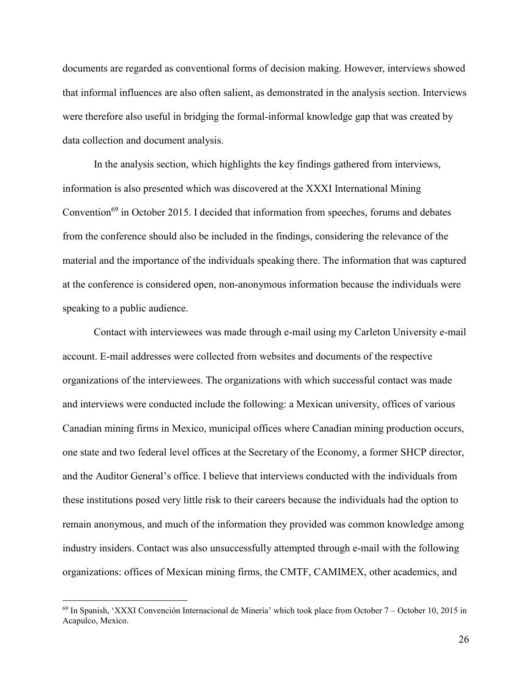documents are regarded as conventional forms of decision making. However, interviews showed that informal influences are also often salient, as demonstrated in the analysis section. Interviews were therefore also useful in bridging the formal-informal knowledge gap that was created by data collection and document analysis.

In the analysis section, which highlights the key findings gathered from interviews, information is also presented which was discovered at the XXXI International Mining Convention<sup>69</sup> in October 2015. I decided that information from speeches, forums and debates from the conference should also be included in the findings, considering the relevance of the material and the importance of the individuals speaking there. The information that was captured at the conference is considered open, non-anonymous information because the individuals were speaking to a public audience.

Contact with interviewees was made through e-mail using my Carleton University e-mail account. E-mail addresses were collected from websites and documents of the respective organizations of the interviewees. The organizations with which successful contact was made and interviews were conducted include the following: a Mexican university, offices of various Canadian mining firms in Mexico, municipal offices where Canadian mining production occurs, one state and two federal level offices at the Secretary of the Economy, a former SHCP director, and the Auditor General's office. I believe that interviews conducted with the individuals from these institutions posed very little risk to their careers because the individuals had the option to remain anonymous, and much of the information they provided was common knowledge among industry insiders. Contact was also unsuccessfully attempted through e-mail with the following organizations: offices of Mexican mining firms, the CMTF, CAMIMEX, other academics, and

<sup>69</sup> In Spanish, 'XXXI Convención Internacional de Minería' which took place from October 7 – October 10, 2015 in Acapulco, Mexico.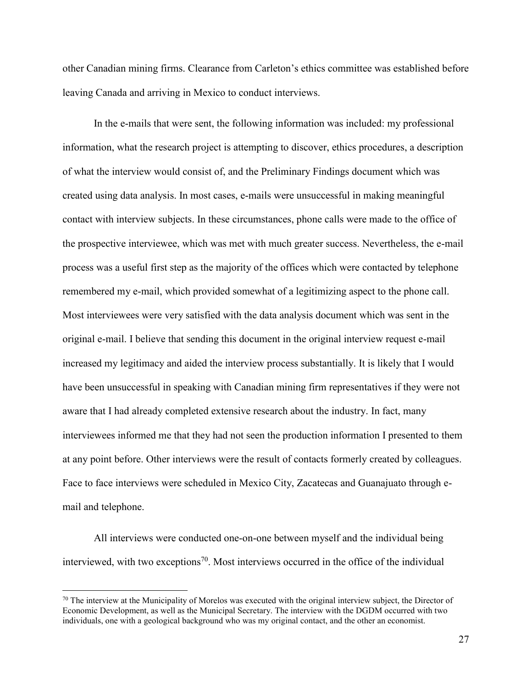other Canadian mining firms. Clearance from Carleton's ethics committee was established before leaving Canada and arriving in Mexico to conduct interviews.

In the e-mails that were sent, the following information was included: my professional information, what the research project is attempting to discover, ethics procedures, a description of what the interview would consist of, and the Preliminary Findings document which was created using data analysis. In most cases, e-mails were unsuccessful in making meaningful contact with interview subjects. In these circumstances, phone calls were made to the office of the prospective interviewee, which was met with much greater success. Nevertheless, the e-mail process was a useful first step as the majority of the offices which were contacted by telephone remembered my e-mail, which provided somewhat of a legitimizing aspect to the phone call. Most interviewees were very satisfied with the data analysis document which was sent in the original e-mail. I believe that sending this document in the original interview request e-mail increased my legitimacy and aided the interview process substantially. It is likely that I would have been unsuccessful in speaking with Canadian mining firm representatives if they were not aware that I had already completed extensive research about the industry. In fact, many interviewees informed me that they had not seen the production information I presented to them at any point before. Other interviews were the result of contacts formerly created by colleagues. Face to face interviews were scheduled in Mexico City, Zacatecas and Guanajuato through email and telephone.

All interviews were conducted one-on-one between myself and the individual being interviewed, with two exceptions<sup>70</sup>. Most interviews occurred in the office of the individual

 $70$  The interview at the Municipality of Morelos was executed with the original interview subject, the Director of Economic Development, as well as the Municipal Secretary. The interview with the DGDM occurred with two individuals, one with a geological background who was my original contact, and the other an economist.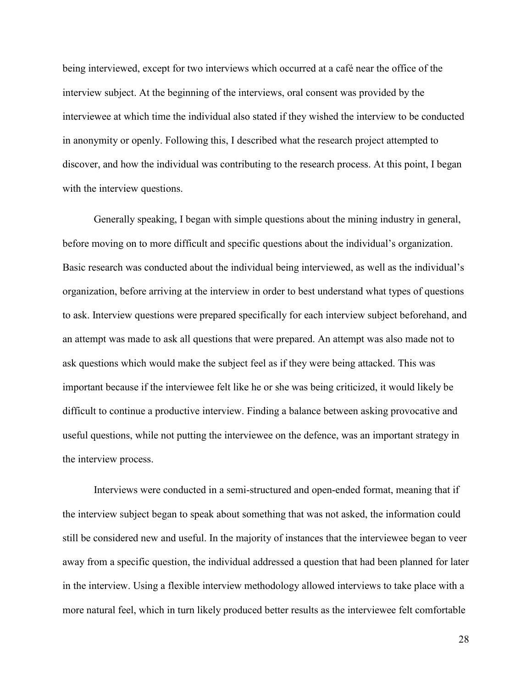being interviewed, except for two interviews which occurred at a café near the office of the interview subject. At the beginning of the interviews, oral consent was provided by the interviewee at which time the individual also stated if they wished the interview to be conducted in anonymity or openly. Following this, I described what the research project attempted to discover, and how the individual was contributing to the research process. At this point, I began with the interview questions.

Generally speaking, I began with simple questions about the mining industry in general, before moving on to more difficult and specific questions about the individual's organization. Basic research was conducted about the individual being interviewed, as well as the individual's organization, before arriving at the interview in order to best understand what types of questions to ask. Interview questions were prepared specifically for each interview subject beforehand, and an attempt was made to ask all questions that were prepared. An attempt was also made not to ask questions which would make the subject feel as if they were being attacked. This was important because if the interviewee felt like he or she was being criticized, it would likely be difficult to continue a productive interview. Finding a balance between asking provocative and useful questions, while not putting the interviewee on the defence, was an important strategy in the interview process.

Interviews were conducted in a semi-structured and open-ended format, meaning that if the interview subject began to speak about something that was not asked, the information could still be considered new and useful. In the majority of instances that the interviewee began to veer away from a specific question, the individual addressed a question that had been planned for later in the interview. Using a flexible interview methodology allowed interviews to take place with a more natural feel, which in turn likely produced better results as the interviewee felt comfortable

28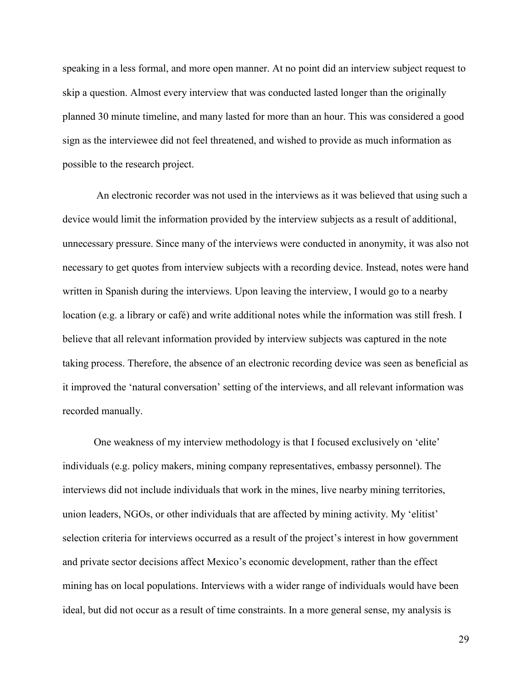speaking in a less formal, and more open manner. At no point did an interview subject request to skip a question. Almost every interview that was conducted lasted longer than the originally planned 30 minute timeline, and many lasted for more than an hour. This was considered a good sign as the interviewee did not feel threatened, and wished to provide as much information as possible to the research project.

 An electronic recorder was not used in the interviews as it was believed that using such a device would limit the information provided by the interview subjects as a result of additional, unnecessary pressure. Since many of the interviews were conducted in anonymity, it was also not necessary to get quotes from interview subjects with a recording device. Instead, notes were hand written in Spanish during the interviews. Upon leaving the interview, I would go to a nearby location (e.g. a library or café) and write additional notes while the information was still fresh. I believe that all relevant information provided by interview subjects was captured in the note taking process. Therefore, the absence of an electronic recording device was seen as beneficial as it improved the 'natural conversation' setting of the interviews, and all relevant information was recorded manually.

One weakness of my interview methodology is that I focused exclusively on 'elite' individuals (e.g. policy makers, mining company representatives, embassy personnel). The interviews did not include individuals that work in the mines, live nearby mining territories, union leaders, NGOs, or other individuals that are affected by mining activity. My 'elitist' selection criteria for interviews occurred as a result of the project's interest in how government and private sector decisions affect Mexico's economic development, rather than the effect mining has on local populations. Interviews with a wider range of individuals would have been ideal, but did not occur as a result of time constraints. In a more general sense, my analysis is

29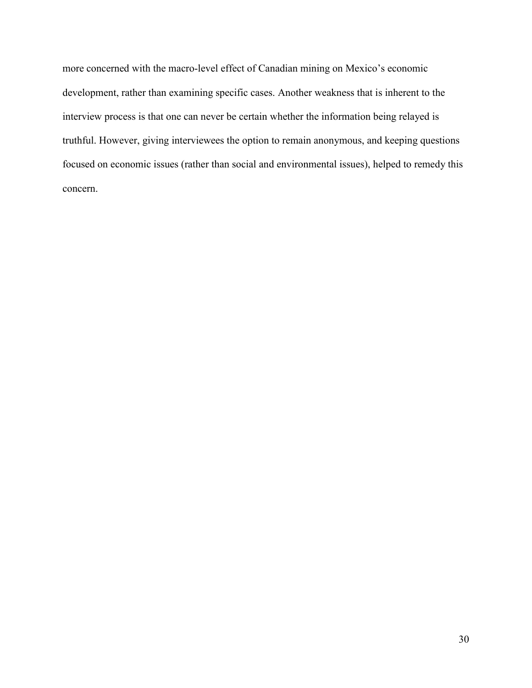more concerned with the macro-level effect of Canadian mining on Mexico's economic development, rather than examining specific cases. Another weakness that is inherent to the interview process is that one can never be certain whether the information being relayed is truthful. However, giving interviewees the option to remain anonymous, and keeping questions focused on economic issues (rather than social and environmental issues), helped to remedy this concern.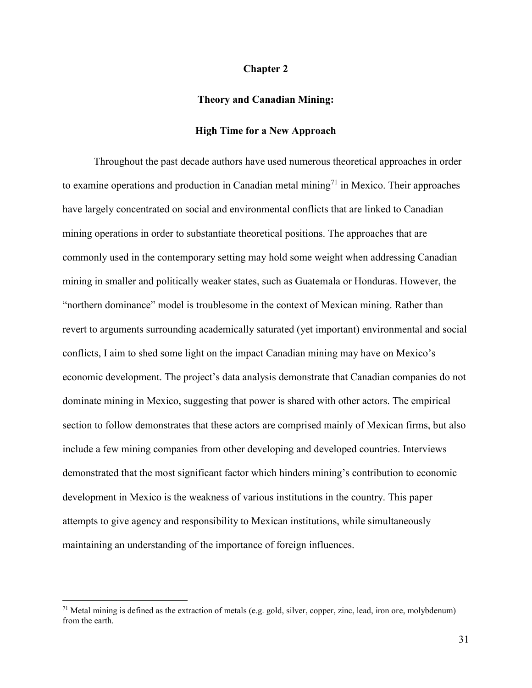## **Chapter 2**

## **Theory and Canadian Mining:**

# **High Time for a New Approach**

Throughout the past decade authors have used numerous theoretical approaches in order to examine operations and production in Canadian metal mining<sup>71</sup> in Mexico. Their approaches have largely concentrated on social and environmental conflicts that are linked to Canadian mining operations in order to substantiate theoretical positions. The approaches that are commonly used in the contemporary setting may hold some weight when addressing Canadian mining in smaller and politically weaker states, such as Guatemala or Honduras. However, the "northern dominance" model is troublesome in the context of Mexican mining. Rather than revert to arguments surrounding academically saturated (yet important) environmental and social conflicts, I aim to shed some light on the impact Canadian mining may have on Mexico's economic development. The project's data analysis demonstrate that Canadian companies do not dominate mining in Mexico, suggesting that power is shared with other actors. The empirical section to follow demonstrates that these actors are comprised mainly of Mexican firms, but also include a few mining companies from other developing and developed countries. Interviews demonstrated that the most significant factor which hinders mining's contribution to economic development in Mexico is the weakness of various institutions in the country. This paper attempts to give agency and responsibility to Mexican institutions, while simultaneously maintaining an understanding of the importance of foreign influences.

<sup>&</sup>lt;sup>71</sup> Metal mining is defined as the extraction of metals (e.g. gold, silver, copper, zinc, lead, iron ore, molybdenum) from the earth.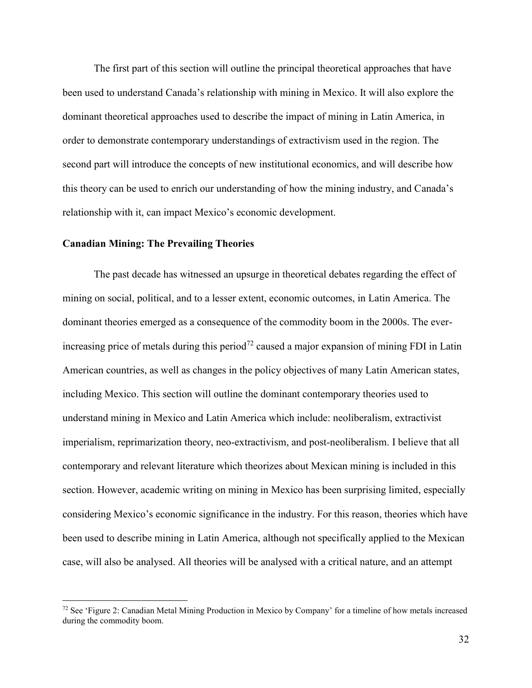The first part of this section will outline the principal theoretical approaches that have been used to understand Canada's relationship with mining in Mexico. It will also explore the dominant theoretical approaches used to describe the impact of mining in Latin America, in order to demonstrate contemporary understandings of extractivism used in the region. The second part will introduce the concepts of new institutional economics, and will describe how this theory can be used to enrich our understanding of how the mining industry, and Canada's relationship with it, can impact Mexico's economic development.

# **Canadian Mining: The Prevailing Theories**

 $\overline{a}$ 

 The past decade has witnessed an upsurge in theoretical debates regarding the effect of mining on social, political, and to a lesser extent, economic outcomes, in Latin America. The dominant theories emerged as a consequence of the commodity boom in the 2000s. The everincreasing price of metals during this period<sup>72</sup> caused a major expansion of mining FDI in Latin American countries, as well as changes in the policy objectives of many Latin American states, including Mexico. This section will outline the dominant contemporary theories used to understand mining in Mexico and Latin America which include: neoliberalism, extractivist imperialism, reprimarization theory, neo-extractivism, and post-neoliberalism. I believe that all contemporary and relevant literature which theorizes about Mexican mining is included in this section. However, academic writing on mining in Mexico has been surprising limited, especially considering Mexico's economic significance in the industry. For this reason, theories which have been used to describe mining in Latin America, although not specifically applied to the Mexican case, will also be analysed. All theories will be analysed with a critical nature, and an attempt

<sup>72</sup> See 'Figure 2: Canadian Metal Mining Production in Mexico by Company' for a timeline of how metals increased during the commodity boom.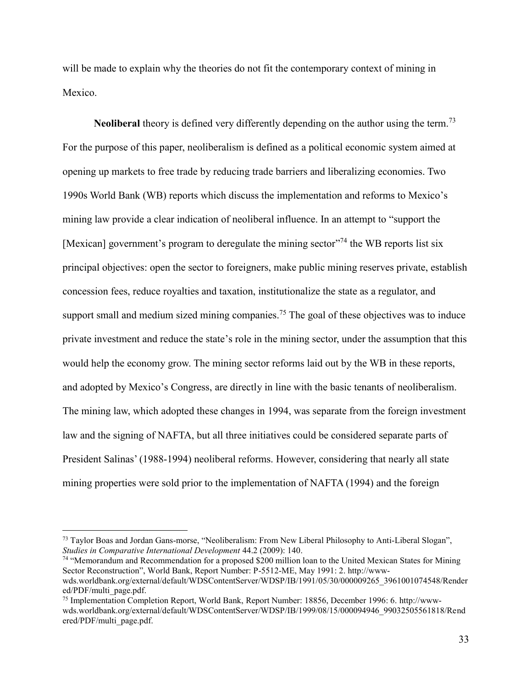will be made to explain why the theories do not fit the contemporary context of mining in Mexico.

**Neoliberal** theory is defined very differently depending on the author using the term.<sup>73</sup> For the purpose of this paper, neoliberalism is defined as a political economic system aimed at opening up markets to free trade by reducing trade barriers and liberalizing economies. Two 1990s World Bank (WB) reports which discuss the implementation and reforms to Mexico's mining law provide a clear indication of neoliberal influence. In an attempt to "support the [Mexican] government's program to deregulate the mining sector  $1/74$  the WB reports list six principal objectives: open the sector to foreigners, make public mining reserves private, establish concession fees, reduce royalties and taxation, institutionalize the state as a regulator, and support small and medium sized mining companies.<sup>75</sup> The goal of these objectives was to induce private investment and reduce the state's role in the mining sector, under the assumption that this would help the economy grow. The mining sector reforms laid out by the WB in these reports, and adopted by Mexico's Congress, are directly in line with the basic tenants of neoliberalism. The mining law, which adopted these changes in 1994, was separate from the foreign investment law and the signing of NAFTA, but all three initiatives could be considered separate parts of President Salinas' (1988-1994) neoliberal reforms. However, considering that nearly all state mining properties were sold prior to the implementation of NAFTA (1994) and the foreign

<sup>&</sup>lt;sup>73</sup> Taylor Boas and Jordan Gans-morse, "Neoliberalism: From New Liberal Philosophy to Anti-Liberal Slogan", *Studies in Comparative International Development* 44.2 (2009): 140.

<sup>74</sup> "Memorandum and Recommendation for a proposed \$200 million loan to the United Mexican States for Mining Sector Reconstruction", World Bank, Report Number: P-5512-ME, May 1991: 2. http://wwwwds.worldbank.org/external/default/WDSContentServer/WDSP/IB/1991/05/30/000009265\_3961001074548/Render ed/PDF/multi\_page.pdf.

<sup>75</sup> Implementation Completion Report, World Bank, Report Number: 18856, December 1996: 6. http://wwwwds.worldbank.org/external/default/WDSContentServer/WDSP/IB/1999/08/15/000094946\_99032505561818/Rend ered/PDF/multi\_page.pdf.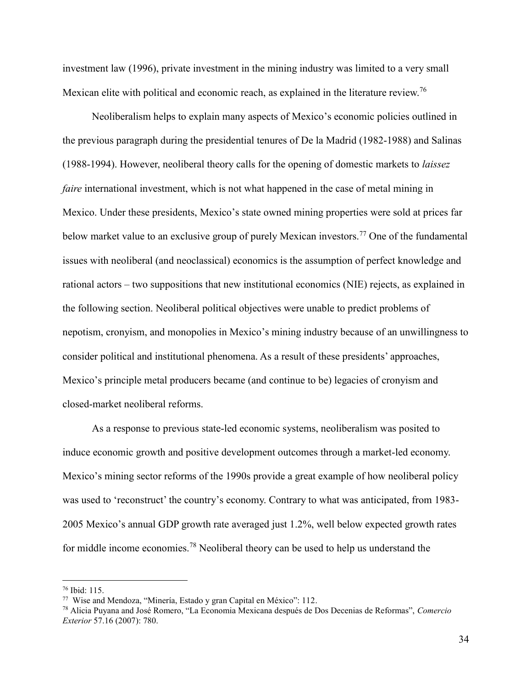investment law (1996), private investment in the mining industry was limited to a very small Mexican elite with political and economic reach, as explained in the literature review.<sup>76</sup>

Neoliberalism helps to explain many aspects of Mexico's economic policies outlined in the previous paragraph during the presidential tenures of De la Madrid (1982-1988) and Salinas (1988-1994). However, neoliberal theory calls for the opening of domestic markets to *laissez faire* international investment, which is not what happened in the case of metal mining in Mexico. Under these presidents, Mexico's state owned mining properties were sold at prices far below market value to an exclusive group of purely Mexican investors.<sup>77</sup> One of the fundamental issues with neoliberal (and neoclassical) economics is the assumption of perfect knowledge and rational actors – two suppositions that new institutional economics (NIE) rejects, as explained in the following section. Neoliberal political objectives were unable to predict problems of nepotism, cronyism, and monopolies in Mexico's mining industry because of an unwillingness to consider political and institutional phenomena. As a result of these presidents' approaches, Mexico's principle metal producers became (and continue to be) legacies of cronyism and closed-market neoliberal reforms.

As a response to previous state-led economic systems, neoliberalism was posited to induce economic growth and positive development outcomes through a market-led economy. Mexico's mining sector reforms of the 1990s provide a great example of how neoliberal policy was used to 'reconstruct' the country's economy. Contrary to what was anticipated, from 1983- 2005 Mexico's annual GDP growth rate averaged just 1.2%, well below expected growth rates for middle income economies.<sup>78</sup> Neoliberal theory can be used to help us understand the

 $76$  Ibid: 115.

<sup>77</sup> Wise and Mendoza, "Minería, Estado y gran Capital en México": 112.

<sup>78</sup> Alicia Puyana and José Romero, "La Economia Mexicana después de Dos Decenias de Reformas", *Comercio Exterior* 57.16 (2007): 780.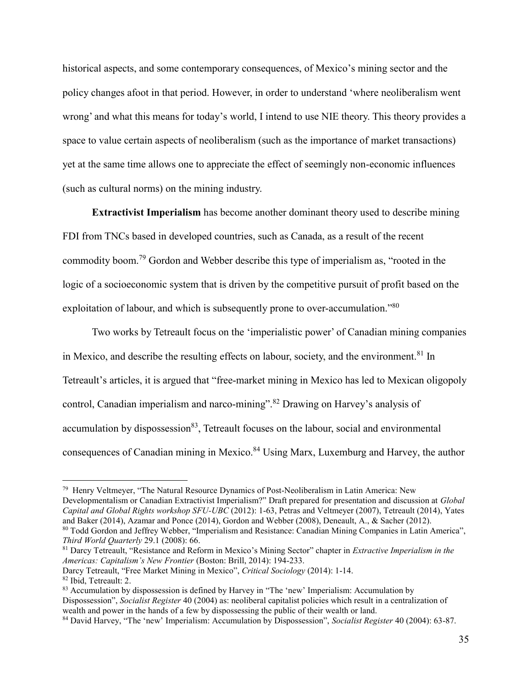historical aspects, and some contemporary consequences, of Mexico's mining sector and the policy changes afoot in that period. However, in order to understand 'where neoliberalism went wrong' and what this means for today's world, I intend to use NIE theory. This theory provides a space to value certain aspects of neoliberalism (such as the importance of market transactions) yet at the same time allows one to appreciate the effect of seemingly non-economic influences (such as cultural norms) on the mining industry.

**Extractivist Imperialism** has become another dominant theory used to describe mining FDI from TNCs based in developed countries, such as Canada, as a result of the recent commodity boom.<sup>79</sup> Gordon and Webber describe this type of imperialism as, "rooted in the logic of a socioeconomic system that is driven by the competitive pursuit of profit based on the exploitation of labour, and which is subsequently prone to over-accumulation."<sup>80</sup>

Two works by Tetreault focus on the 'imperialistic power' of Canadian mining companies in Mexico, and describe the resulting effects on labour, society, and the environment.<sup>81</sup> In Tetreault's articles, it is argued that "free-market mining in Mexico has led to Mexican oligopoly control, Canadian imperialism and narco-mining".<sup>82</sup> Drawing on Harvey's analysis of accumulation by dispossession $83$ , Tetreault focuses on the labour, social and environmental consequences of Canadian mining in Mexico.<sup>84</sup> Using Marx, Luxemburg and Harvey, the author

<sup>81</sup> Darcy Tetreault, "Resistance and Reform in Mexico's Mining Sector" chapter in *Extractive Imperialism in the Americas: Capitalism's New Frontier* (Boston: Brill, 2014): 194-233.

<sup>79</sup> Henry Veltmeyer, "The Natural Resource Dynamics of Post-Neoliberalism in Latin America: New Developmentalism or Canadian Extractivist Imperialism?" Draft prepared for presentation and discussion at *Global Capital and Global Rights workshop SFU-UBC* (2012): 1-63, Petras and Veltmeyer (2007), Tetreault (2014), Yates and Baker (2014), Azamar and Ponce (2014), Gordon and Webber (2008), Deneault, A., & Sacher (2012). <sup>80</sup> Todd Gordon and Jeffrey Webber, "Imperialism and Resistance: Canadian Mining Companies in Latin America",

*Third World Quarterly* 29.1 (2008): 66.

Darcy Tetreault, "Free Market Mining in Mexico", *Critical Sociology* (2014): 1-14. <sup>82</sup> Ibid, Tetreault: 2.

<sup>&</sup>lt;sup>83</sup> Accumulation by dispossession is defined by Harvey in "The 'new' Imperialism: Accumulation by Dispossession", *Socialist Register* 40 (2004) as: neoliberal capitalist policies which result in a centralization of wealth and power in the hands of a few by dispossessing the public of their wealth or land.

<sup>84</sup> David Harvey, "The 'new' Imperialism: Accumulation by Dispossession", *Socialist Register* 40 (2004): 63-87.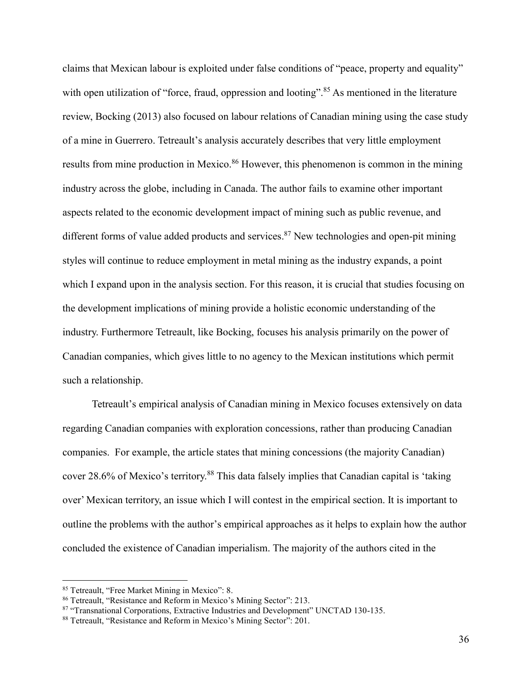claims that Mexican labour is exploited under false conditions of "peace, property and equality" with open utilization of "force, fraud, oppression and looting".<sup>85</sup> As mentioned in the literature review, Bocking (2013) also focused on labour relations of Canadian mining using the case study of a mine in Guerrero. Tetreault's analysis accurately describes that very little employment results from mine production in Mexico.<sup>86</sup> However, this phenomenon is common in the mining industry across the globe, including in Canada. The author fails to examine other important aspects related to the economic development impact of mining such as public revenue, and different forms of value added products and services.<sup>87</sup> New technologies and open-pit mining styles will continue to reduce employment in metal mining as the industry expands, a point which I expand upon in the analysis section. For this reason, it is crucial that studies focusing on the development implications of mining provide a holistic economic understanding of the industry. Furthermore Tetreault, like Bocking, focuses his analysis primarily on the power of Canadian companies, which gives little to no agency to the Mexican institutions which permit such a relationship.

Tetreault's empirical analysis of Canadian mining in Mexico focuses extensively on data regarding Canadian companies with exploration concessions, rather than producing Canadian companies. For example, the article states that mining concessions (the majority Canadian) cover 28.6% of Mexico's territory.<sup>88</sup> This data falsely implies that Canadian capital is 'taking over' Mexican territory, an issue which I will contest in the empirical section. It is important to outline the problems with the author's empirical approaches as it helps to explain how the author concluded the existence of Canadian imperialism. The majority of the authors cited in the

<sup>85</sup> Tetreault, "Free Market Mining in Mexico": 8.

<sup>86</sup> Tetreault, "Resistance and Reform in Mexico's Mining Sector": 213.

<sup>87 &</sup>quot;Transnational Corporations, Extractive Industries and Development" UNCTAD 130-135.

<sup>88</sup> Tetreault, "Resistance and Reform in Mexico's Mining Sector": 201.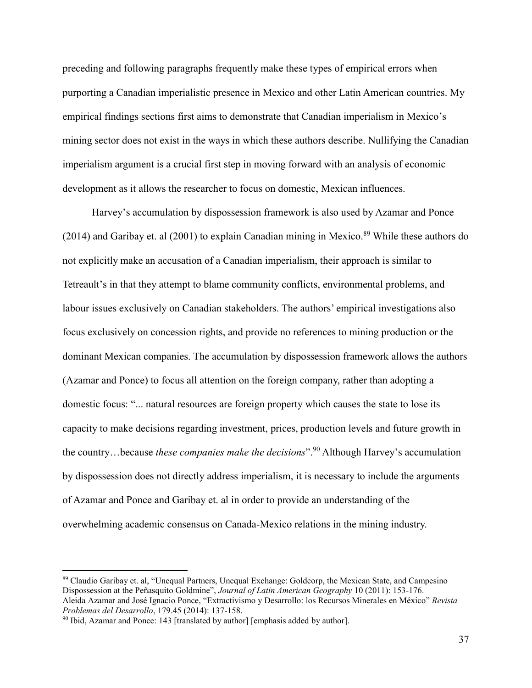preceding and following paragraphs frequently make these types of empirical errors when purporting a Canadian imperialistic presence in Mexico and other Latin American countries. My empirical findings sections first aims to demonstrate that Canadian imperialism in Mexico's mining sector does not exist in the ways in which these authors describe. Nullifying the Canadian imperialism argument is a crucial first step in moving forward with an analysis of economic development as it allows the researcher to focus on domestic, Mexican influences.

Harvey's accumulation by dispossession framework is also used by Azamar and Ponce (2014) and Garibay et. al (2001) to explain Canadian mining in Mexico.<sup>89</sup> While these authors do not explicitly make an accusation of a Canadian imperialism, their approach is similar to Tetreault's in that they attempt to blame community conflicts, environmental problems, and labour issues exclusively on Canadian stakeholders. The authors' empirical investigations also focus exclusively on concession rights, and provide no references to mining production or the dominant Mexican companies. The accumulation by dispossession framework allows the authors (Azamar and Ponce) to focus all attention on the foreign company, rather than adopting a domestic focus: "... natural resources are foreign property which causes the state to lose its capacity to make decisions regarding investment, prices, production levels and future growth in the country…because *these companies make the decisions*".<sup>90</sup> Although Harvey's accumulation by dispossession does not directly address imperialism, it is necessary to include the arguments of Azamar and Ponce and Garibay et. al in order to provide an understanding of the overwhelming academic consensus on Canada-Mexico relations in the mining industry.

<sup>89</sup> Claudio Garibay et. al, "Unequal Partners, Unequal Exchange: Goldcorp, the Mexican State, and Campesino Dispossession at the Peñasquito Goldmine", *Journal of Latin American Geography* 10 (2011): 153-176. Aleida Azamar and José Ignacio Ponce, "Extractivismo y Desarrollo: los Recursos Minerales en México" *Revista Problemas del Desarrollo*, 179.45 (2014): 137-158.

<sup>&</sup>lt;sup>90</sup> Ibid, Azamar and Ponce: 143 [translated by author] [emphasis added by author].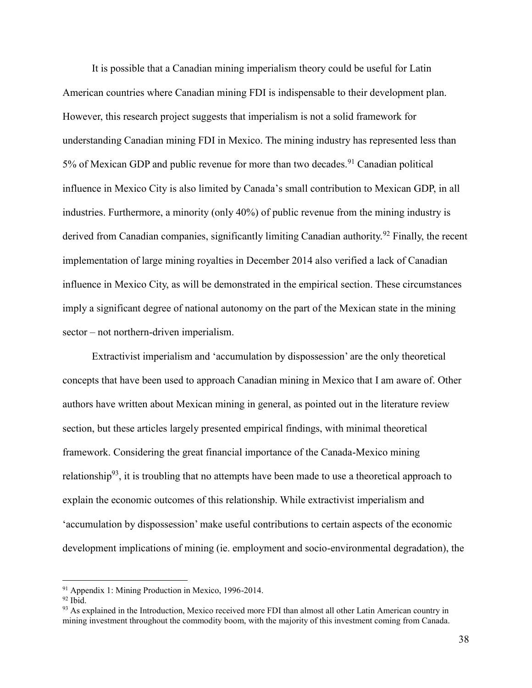It is possible that a Canadian mining imperialism theory could be useful for Latin American countries where Canadian mining FDI is indispensable to their development plan. However, this research project suggests that imperialism is not a solid framework for understanding Canadian mining FDI in Mexico. The mining industry has represented less than 5% of Mexican GDP and public revenue for more than two decades.<sup>91</sup> Canadian political influence in Mexico City is also limited by Canada's small contribution to Mexican GDP, in all industries. Furthermore, a minority (only 40%) of public revenue from the mining industry is derived from Canadian companies, significantly limiting Canadian authority.<sup>92</sup> Finally, the recent implementation of large mining royalties in December 2014 also verified a lack of Canadian influence in Mexico City, as will be demonstrated in the empirical section. These circumstances imply a significant degree of national autonomy on the part of the Mexican state in the mining sector – not northern-driven imperialism.

Extractivist imperialism and 'accumulation by dispossession' are the only theoretical concepts that have been used to approach Canadian mining in Mexico that I am aware of. Other authors have written about Mexican mining in general, as pointed out in the literature review section, but these articles largely presented empirical findings, with minimal theoretical framework. Considering the great financial importance of the Canada-Mexico mining relationship<sup>93</sup>, it is troubling that no attempts have been made to use a theoretical approach to explain the economic outcomes of this relationship. While extractivist imperialism and 'accumulation by dispossession' make useful contributions to certain aspects of the economic development implications of mining (ie. employment and socio-environmental degradation), the

<sup>91</sup> Appendix 1: Mining Production in Mexico, 1996-2014.

 $92$  Ibid.

<sup>&</sup>lt;sup>93</sup> As explained in the Introduction, Mexico received more FDI than almost all other Latin American country in mining investment throughout the commodity boom, with the majority of this investment coming from Canada.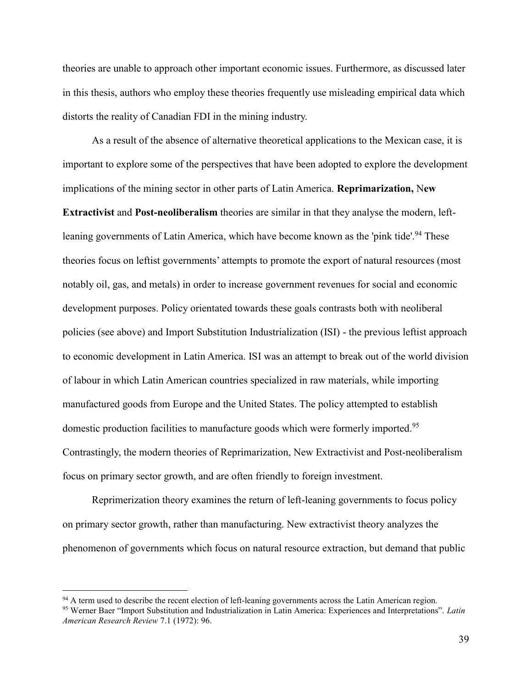theories are unable to approach other important economic issues. Furthermore, as discussed later in this thesis, authors who employ these theories frequently use misleading empirical data which distorts the reality of Canadian FDI in the mining industry.

As a result of the absence of alternative theoretical applications to the Mexican case, it is important to explore some of the perspectives that have been adopted to explore the development implications of the mining sector in other parts of Latin America. **Reprimarization,** N**ew Extractivist** and **Post-neoliberalism** theories are similar in that they analyse the modern, leftleaning governments of Latin America, which have become known as the 'pink tide'.<sup>94</sup> These theories focus on leftist governments' attempts to promote the export of natural resources (most notably oil, gas, and metals) in order to increase government revenues for social and economic development purposes. Policy orientated towards these goals contrasts both with neoliberal policies (see above) and Import Substitution Industrialization (ISI) - the previous leftist approach to economic development in Latin America. ISI was an attempt to break out of the world division of labour in which Latin American countries specialized in raw materials, while importing manufactured goods from Europe and the United States. The policy attempted to establish domestic production facilities to manufacture goods which were formerly imported.<sup>95</sup> Contrastingly, the modern theories of Reprimarization, New Extractivist and Post-neoliberalism focus on primary sector growth, and are often friendly to foreign investment.

Reprimerization theory examines the return of left-leaning governments to focus policy on primary sector growth, rather than manufacturing. New extractivist theory analyzes the phenomenon of governments which focus on natural resource extraction, but demand that public

<sup>&</sup>lt;sup>94</sup> A term used to describe the recent election of left-leaning governments across the Latin American region.

<sup>95</sup> Werner Baer "Import Substitution and Industrialization in Latin America: Experiences and Interpretations". *Latin American Research Review* 7.1 (1972): 96.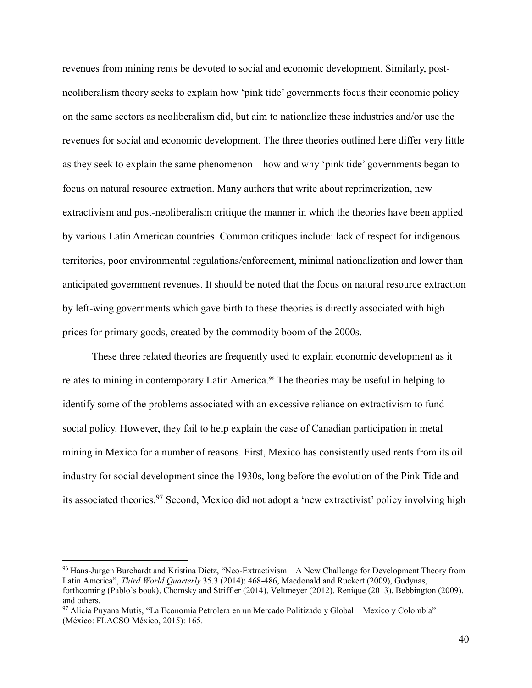revenues from mining rents be devoted to social and economic development. Similarly, postneoliberalism theory seeks to explain how 'pink tide' governments focus their economic policy on the same sectors as neoliberalism did, but aim to nationalize these industries and/or use the revenues for social and economic development. The three theories outlined here differ very little as they seek to explain the same phenomenon – how and why 'pink tide' governments began to focus on natural resource extraction. Many authors that write about reprimerization, new extractivism and post-neoliberalism critique the manner in which the theories have been applied by various Latin American countries. Common critiques include: lack of respect for indigenous territories, poor environmental regulations/enforcement, minimal nationalization and lower than anticipated government revenues. It should be noted that the focus on natural resource extraction by left-wing governments which gave birth to these theories is directly associated with high prices for primary goods, created by the commodity boom of the 2000s.

These three related theories are frequently used to explain economic development as it relates to mining in contemporary Latin America.<sup>96</sup> The theories may be useful in helping to identify some of the problems associated with an excessive reliance on extractivism to fund social policy. However, they fail to help explain the case of Canadian participation in metal mining in Mexico for a number of reasons. First, Mexico has consistently used rents from its oil industry for social development since the 1930s, long before the evolution of the Pink Tide and its associated theories.<sup>97</sup> Second, Mexico did not adopt a 'new extractivist' policy involving high

<sup>96</sup> Hans-Jurgen Burchardt and Kristina Dietz, "Neo-Extractivism – A New Challenge for Development Theory from Latin America", *Third World Quarterly* 35.3 (2014): 468-486, Macdonald and Ruckert (2009), Gudynas, forthcoming (Pablo's book), Chomsky and Striffler (2014), Veltmeyer (2012), Renique (2013), Bebbington (2009), and others.

<sup>97</sup> Alicia Puyana Mutis, "La Economía Petrolera en un Mercado Politizado y Global – Mexico y Colombia" (México: FLACSO México, 2015): 165.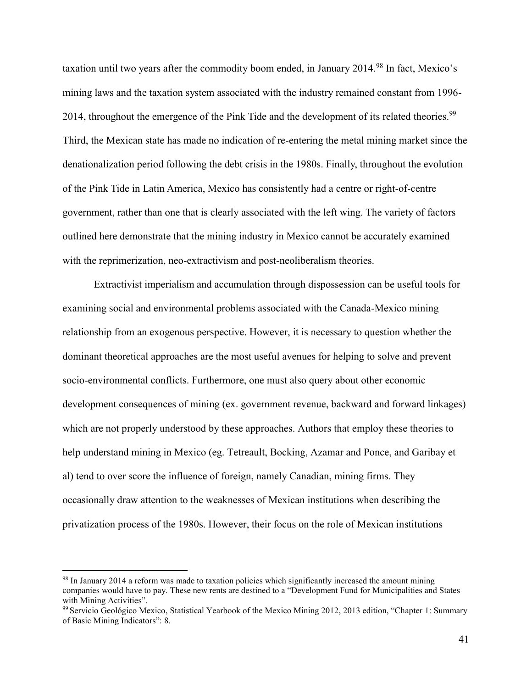taxation until two years after the commodity boom ended, in January  $2014<sup>98</sup>$  In fact, Mexico's mining laws and the taxation system associated with the industry remained constant from 1996- 2014, throughout the emergence of the Pink Tide and the development of its related theories.<sup>99</sup> Third, the Mexican state has made no indication of re-entering the metal mining market since the denationalization period following the debt crisis in the 1980s. Finally, throughout the evolution of the Pink Tide in Latin America, Mexico has consistently had a centre or right-of-centre government, rather than one that is clearly associated with the left wing. The variety of factors outlined here demonstrate that the mining industry in Mexico cannot be accurately examined with the reprimerization, neo-extractivism and post-neoliberalism theories.

Extractivist imperialism and accumulation through dispossession can be useful tools for examining social and environmental problems associated with the Canada-Mexico mining relationship from an exogenous perspective. However, it is necessary to question whether the dominant theoretical approaches are the most useful avenues for helping to solve and prevent socio-environmental conflicts. Furthermore, one must also query about other economic development consequences of mining (ex. government revenue, backward and forward linkages) which are not properly understood by these approaches. Authors that employ these theories to help understand mining in Mexico (eg. Tetreault, Bocking, Azamar and Ponce, and Garibay et al) tend to over score the influence of foreign, namely Canadian, mining firms. They occasionally draw attention to the weaknesses of Mexican institutions when describing the privatization process of the 1980s. However, their focus on the role of Mexican institutions

<sup>98</sup> In January 2014 a reform was made to taxation policies which significantly increased the amount mining companies would have to pay. These new rents are destined to a "Development Fund for Municipalities and States with Mining Activities".

<sup>99</sup>Servicio Geológico Mexico, Statistical Yearbook of the Mexico Mining 2012, 2013 edition, "Chapter 1: Summary of Basic Mining Indicators": 8.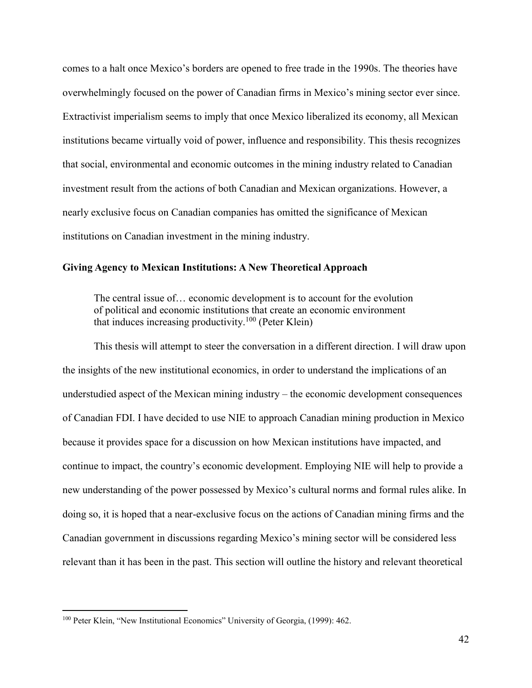comes to a halt once Mexico's borders are opened to free trade in the 1990s. The theories have overwhelmingly focused on the power of Canadian firms in Mexico's mining sector ever since. Extractivist imperialism seems to imply that once Mexico liberalized its economy, all Mexican institutions became virtually void of power, influence and responsibility. This thesis recognizes that social, environmental and economic outcomes in the mining industry related to Canadian investment result from the actions of both Canadian and Mexican organizations. However, a nearly exclusive focus on Canadian companies has omitted the significance of Mexican institutions on Canadian investment in the mining industry.

# **Giving Agency to Mexican Institutions: A New Theoretical Approach**

The central issue of… economic development is to account for the evolution of political and economic institutions that create an economic environment that induces increasing productivity.<sup>100</sup> (Peter Klein)

This thesis will attempt to steer the conversation in a different direction. I will draw upon the insights of the new institutional economics, in order to understand the implications of an understudied aspect of the Mexican mining industry – the economic development consequences of Canadian FDI. I have decided to use NIE to approach Canadian mining production in Mexico because it provides space for a discussion on how Mexican institutions have impacted, and continue to impact, the country's economic development. Employing NIE will help to provide a new understanding of the power possessed by Mexico's cultural norms and formal rules alike. In doing so, it is hoped that a near-exclusive focus on the actions of Canadian mining firms and the Canadian government in discussions regarding Mexico's mining sector will be considered less relevant than it has been in the past. This section will outline the history and relevant theoretical

<sup>100</sup> Peter Klein, "New Institutional Economics" University of Georgia, (1999): 462.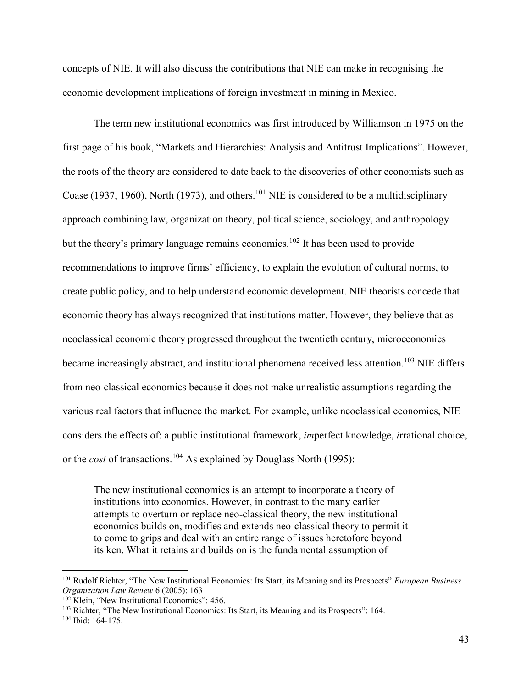concepts of NIE. It will also discuss the contributions that NIE can make in recognising the economic development implications of foreign investment in mining in Mexico.

 The term new institutional economics was first introduced by Williamson in 1975 on the first page of his book, "Markets and Hierarchies: Analysis and Antitrust Implications". However, the roots of the theory are considered to date back to the discoveries of other economists such as Coase (1937, 1960), North (1973), and others.<sup>101</sup> NIE is considered to be a multidisciplinary approach combining law, organization theory, political science, sociology, and anthropology – but the theory's primary language remains economics.<sup>102</sup> It has been used to provide recommendations to improve firms' efficiency, to explain the evolution of cultural norms, to create public policy, and to help understand economic development. NIE theorists concede that economic theory has always recognized that institutions matter. However, they believe that as neoclassical economic theory progressed throughout the twentieth century, microeconomics became increasingly abstract, and institutional phenomena received less attention.<sup>103</sup> NIE differs from neo-classical economics because it does not make unrealistic assumptions regarding the various real factors that influence the market. For example, unlike neoclassical economics, NIE considers the effects of: a public institutional framework, *im*perfect knowledge, *i*rrational choice, or the *cost* of transactions.<sup>104</sup> As explained by Douglass North (1995):

The new institutional economics is an attempt to incorporate a theory of institutions into economics. However, in contrast to the many earlier attempts to overturn or replace neo-classical theory, the new institutional economics builds on, modifies and extends neo-classical theory to permit it to come to grips and deal with an entire range of issues heretofore beyond its ken. What it retains and builds on is the fundamental assumption of

<sup>101</sup> Rudolf Richter, "The New Institutional Economics: Its Start, its Meaning and its Prospects" *European Business Organization Law Review* 6 (2005): 163

<sup>102</sup> Klein, "New Institutional Economics": 456.

<sup>103</sup> Richter, "The New Institutional Economics: Its Start, its Meaning and its Prospects": 164.

<sup>104</sup> Ibid: 164-175.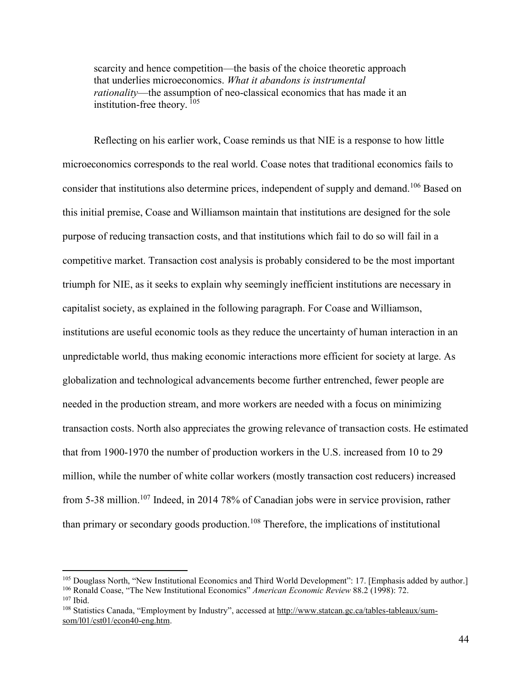scarcity and hence competition—the basis of the choice theoretic approach that underlies microeconomics. *What it abandons is instrumental rationality*—the assumption of neo-classical economics that has made it an institution-free theory. <sup>105</sup>

 Reflecting on his earlier work, Coase reminds us that NIE is a response to how little microeconomics corresponds to the real world. Coase notes that traditional economics fails to consider that institutions also determine prices, independent of supply and demand.<sup>106</sup> Based on this initial premise, Coase and Williamson maintain that institutions are designed for the sole purpose of reducing transaction costs, and that institutions which fail to do so will fail in a competitive market. Transaction cost analysis is probably considered to be the most important triumph for NIE, as it seeks to explain why seemingly inefficient institutions are necessary in capitalist society, as explained in the following paragraph. For Coase and Williamson, institutions are useful economic tools as they reduce the uncertainty of human interaction in an unpredictable world, thus making economic interactions more efficient for society at large. As globalization and technological advancements become further entrenched, fewer people are needed in the production stream, and more workers are needed with a focus on minimizing transaction costs. North also appreciates the growing relevance of transaction costs. He estimated that from 1900-1970 the number of production workers in the U.S. increased from 10 to 29 million, while the number of white collar workers (mostly transaction cost reducers) increased from 5-38 million.<sup>107</sup> Indeed, in 2014 78% of Canadian jobs were in service provision, rather than primary or secondary goods production.<sup>108</sup> Therefore, the implications of institutional

<sup>105</sup> Douglass North, "New Institutional Economics and Third World Development": 17. [Emphasis added by author.]

<sup>106</sup> Ronald Coase, "The New Institutional Economics" *American Economic Review* 88.2 (1998): 72.

<sup>107</sup> Ibid.

<sup>108</sup> Statistics Canada, "Employment by Industry", accessed at [http://www.statcan.gc.ca/tables-tableaux/sum](http://www.statcan.gc.ca/tables-tableaux/sum-som/l01/cst01/econ40-eng.htm)[som/l01/cst01/econ40-eng.htm.](http://www.statcan.gc.ca/tables-tableaux/sum-som/l01/cst01/econ40-eng.htm)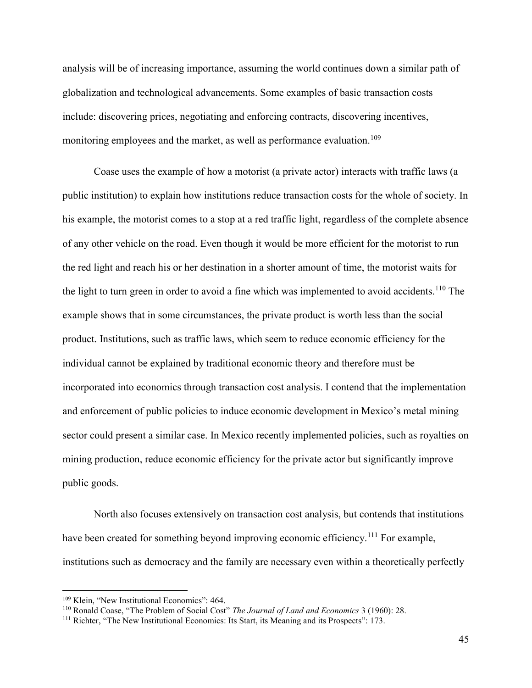analysis will be of increasing importance, assuming the world continues down a similar path of globalization and technological advancements. Some examples of basic transaction costs include: discovering prices, negotiating and enforcing contracts, discovering incentives, monitoring employees and the market, as well as performance evaluation.<sup>109</sup>

Coase uses the example of how a motorist (a private actor) interacts with traffic laws (a public institution) to explain how institutions reduce transaction costs for the whole of society. In his example, the motorist comes to a stop at a red traffic light, regardless of the complete absence of any other vehicle on the road. Even though it would be more efficient for the motorist to run the red light and reach his or her destination in a shorter amount of time, the motorist waits for the light to turn green in order to avoid a fine which was implemented to avoid accidents.<sup>110</sup> The example shows that in some circumstances, the private product is worth less than the social product. Institutions, such as traffic laws, which seem to reduce economic efficiency for the individual cannot be explained by traditional economic theory and therefore must be incorporated into economics through transaction cost analysis. I contend that the implementation and enforcement of public policies to induce economic development in Mexico's metal mining sector could present a similar case. In Mexico recently implemented policies, such as royalties on mining production, reduce economic efficiency for the private actor but significantly improve public goods.

North also focuses extensively on transaction cost analysis, but contends that institutions have been created for something beyond improving economic efficiency.<sup>111</sup> For example, institutions such as democracy and the family are necessary even within a theoretically perfectly

<sup>109</sup> Klein, "New Institutional Economics": 464.

<sup>110</sup> Ronald Coase, "The Problem of Social Cost" *The Journal of Land and Economics* 3 (1960): 28.

<sup>&</sup>lt;sup>111</sup> Richter, "The New Institutional Economics: Its Start, its Meaning and its Prospects": 173.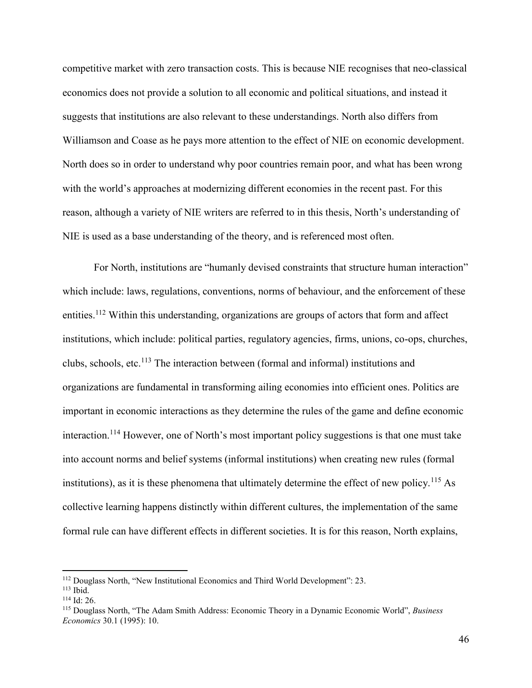competitive market with zero transaction costs. This is because NIE recognises that neo-classical economics does not provide a solution to all economic and political situations, and instead it suggests that institutions are also relevant to these understandings. North also differs from Williamson and Coase as he pays more attention to the effect of NIE on economic development. North does so in order to understand why poor countries remain poor, and what has been wrong with the world's approaches at modernizing different economies in the recent past. For this reason, although a variety of NIE writers are referred to in this thesis, North's understanding of NIE is used as a base understanding of the theory, and is referenced most often.

For North, institutions are "humanly devised constraints that structure human interaction" which include: laws, regulations, conventions, norms of behaviour, and the enforcement of these entities.<sup>112</sup> Within this understanding, organizations are groups of actors that form and affect institutions, which include: political parties, regulatory agencies, firms, unions, co-ops, churches, clubs, schools, etc.<sup>113</sup> The interaction between (formal and informal) institutions and organizations are fundamental in transforming ailing economies into efficient ones. Politics are important in economic interactions as they determine the rules of the game and define economic interaction.<sup>114</sup> However, one of North's most important policy suggestions is that one must take into account norms and belief systems (informal institutions) when creating new rules (formal institutions), as it is these phenomena that ultimately determine the effect of new policy.<sup>115</sup> As collective learning happens distinctly within different cultures, the implementation of the same formal rule can have different effects in different societies. It is for this reason, North explains,

<sup>112</sup> Douglass North, "New Institutional Economics and Third World Development": 23.

 $113$  Ibid.

 $114$  Id: 26.

<sup>115</sup> Douglass North, "The Adam Smith Address: Economic Theory in a Dynamic Economic World", *Business Economics* 30.1 (1995): 10.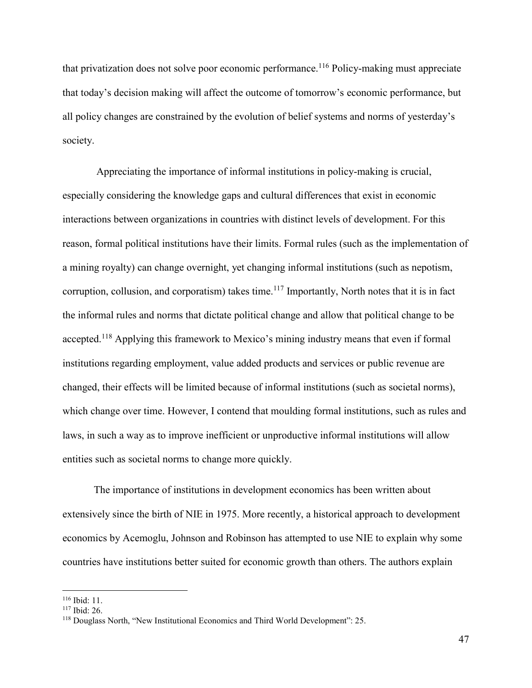that privatization does not solve poor economic performance.<sup>116</sup> Policy-making must appreciate that today's decision making will affect the outcome of tomorrow's economic performance, but all policy changes are constrained by the evolution of belief systems and norms of yesterday's society.

 Appreciating the importance of informal institutions in policy-making is crucial, especially considering the knowledge gaps and cultural differences that exist in economic interactions between organizations in countries with distinct levels of development. For this reason, formal political institutions have their limits. Formal rules (such as the implementation of a mining royalty) can change overnight, yet changing informal institutions (such as nepotism, corruption, collusion, and corporatism) takes time.<sup>117</sup> Importantly, North notes that it is in fact the informal rules and norms that dictate political change and allow that political change to be accepted.<sup>118</sup> Applying this framework to Mexico's mining industry means that even if formal institutions regarding employment, value added products and services or public revenue are changed, their effects will be limited because of informal institutions (such as societal norms), which change over time. However, I contend that moulding formal institutions, such as rules and laws, in such a way as to improve inefficient or unproductive informal institutions will allow entities such as societal norms to change more quickly.

 The importance of institutions in development economics has been written about extensively since the birth of NIE in 1975. More recently, a historical approach to development economics by Acemoglu, Johnson and Robinson has attempted to use NIE to explain why some countries have institutions better suited for economic growth than others. The authors explain

<sup>116</sup> Ibid: 11.

<sup>117</sup> Ibid: 26.

<sup>118</sup> Douglass North, "New Institutional Economics and Third World Development": 25.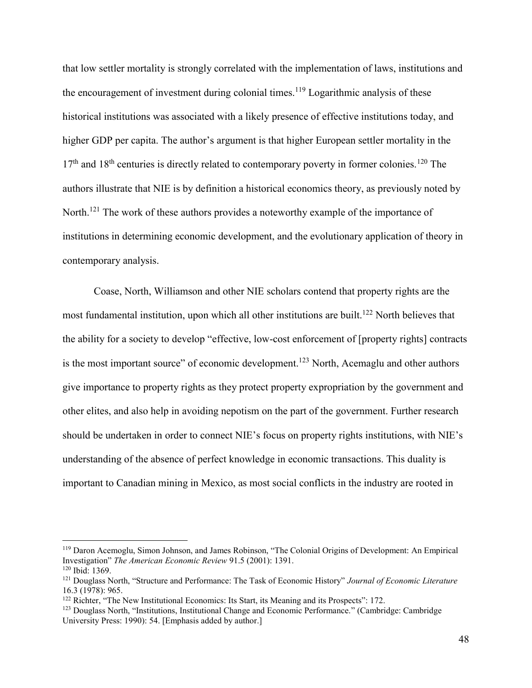that low settler mortality is strongly correlated with the implementation of laws, institutions and the encouragement of investment during colonial times.<sup>119</sup> Logarithmic analysis of these historical institutions was associated with a likely presence of effective institutions today, and higher GDP per capita. The author's argument is that higher European settler mortality in the  $17<sup>th</sup>$  and  $18<sup>th</sup>$  centuries is directly related to contemporary poverty in former colonies.<sup>120</sup> The authors illustrate that NIE is by definition a historical economics theory, as previously noted by North.<sup>121</sup> The work of these authors provides a noteworthy example of the importance of institutions in determining economic development, and the evolutionary application of theory in contemporary analysis.

Coase, North, Williamson and other NIE scholars contend that property rights are the most fundamental institution, upon which all other institutions are built.<sup>122</sup> North believes that the ability for a society to develop "effective, low-cost enforcement of [property rights] contracts is the most important source" of economic development.<sup>123</sup> North, Acemaglu and other authors give importance to property rights as they protect property expropriation by the government and other elites, and also help in avoiding nepotism on the part of the government. Further research should be undertaken in order to connect NIE's focus on property rights institutions, with NIE's understanding of the absence of perfect knowledge in economic transactions. This duality is important to Canadian mining in Mexico, as most social conflicts in the industry are rooted in

<sup>119</sup> Daron Acemoglu, Simon Johnson, and James Robinson, "The Colonial Origins of Development: An Empirical Investigation" *The American Economic Review* 91.5 (2001): 1391.

<sup>120</sup> Ibid: 1369.

<sup>121</sup> Douglass North, "Structure and Performance: The Task of Economic History" *Journal of Economic Literature*  16.3 (1978): 965.

<sup>&</sup>lt;sup>122</sup> Richter, "The New Institutional Economics: Its Start, its Meaning and its Prospects": 172.

<sup>123</sup> Douglass North, "Institutions, Institutional Change and Economic Performance." (Cambridge: Cambridge University Press: 1990): 54. [Emphasis added by author.]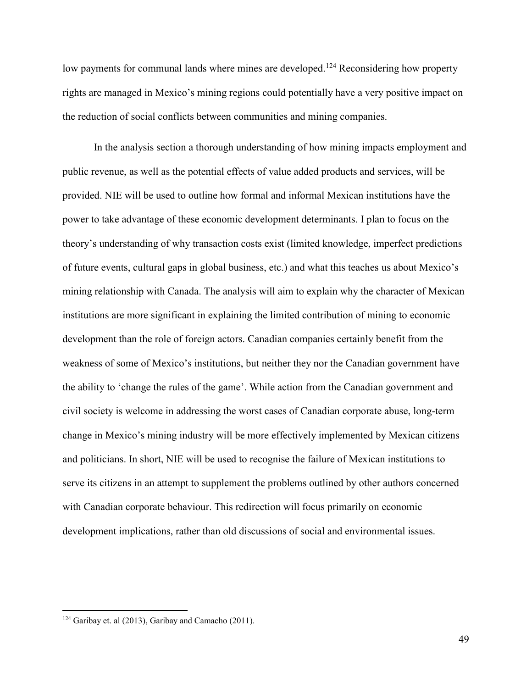low payments for communal lands where mines are developed.<sup>124</sup> Reconsidering how property rights are managed in Mexico's mining regions could potentially have a very positive impact on the reduction of social conflicts between communities and mining companies.

 In the analysis section a thorough understanding of how mining impacts employment and public revenue, as well as the potential effects of value added products and services, will be provided. NIE will be used to outline how formal and informal Mexican institutions have the power to take advantage of these economic development determinants. I plan to focus on the theory's understanding of why transaction costs exist (limited knowledge, imperfect predictions of future events, cultural gaps in global business, etc.) and what this teaches us about Mexico's mining relationship with Canada. The analysis will aim to explain why the character of Mexican institutions are more significant in explaining the limited contribution of mining to economic development than the role of foreign actors. Canadian companies certainly benefit from the weakness of some of Mexico's institutions, but neither they nor the Canadian government have the ability to 'change the rules of the game'. While action from the Canadian government and civil society is welcome in addressing the worst cases of Canadian corporate abuse, long-term change in Mexico's mining industry will be more effectively implemented by Mexican citizens and politicians. In short, NIE will be used to recognise the failure of Mexican institutions to serve its citizens in an attempt to supplement the problems outlined by other authors concerned with Canadian corporate behaviour. This redirection will focus primarily on economic development implications, rather than old discussions of social and environmental issues.

<sup>124</sup> Garibay et. al (2013), Garibay and Camacho (2011).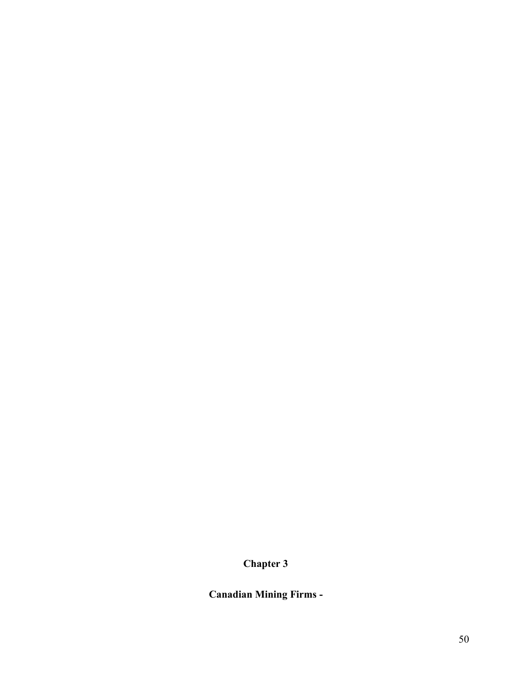# **Chapter 3**

**Canadian Mining Firms -**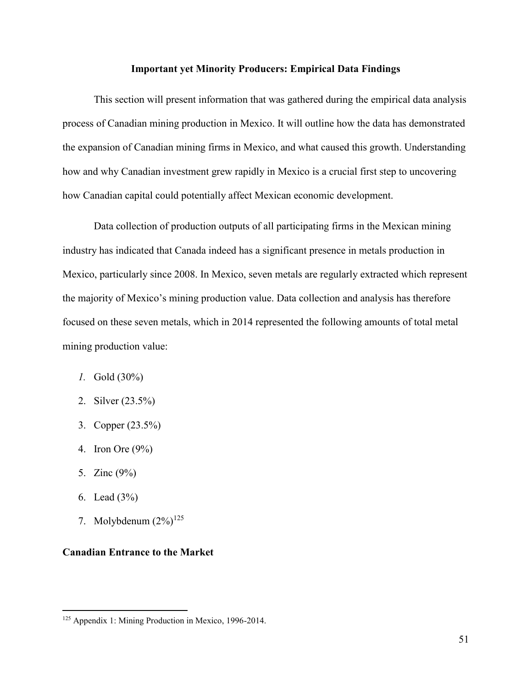## **Important yet Minority Producers: Empirical Data Findings**

 This section will present information that was gathered during the empirical data analysis process of Canadian mining production in Mexico. It will outline how the data has demonstrated the expansion of Canadian mining firms in Mexico, and what caused this growth. Understanding how and why Canadian investment grew rapidly in Mexico is a crucial first step to uncovering how Canadian capital could potentially affect Mexican economic development.

Data collection of production outputs of all participating firms in the Mexican mining industry has indicated that Canada indeed has a significant presence in metals production in Mexico, particularly since 2008. In Mexico, seven metals are regularly extracted which represent the majority of Mexico's mining production value. Data collection and analysis has therefore focused on these seven metals, which in 2014 represented the following amounts of total metal mining production value:

- *1.* Gold (30%)
- 2. Silver (23.5%)
- 3. Copper (23.5%)
- 4. Iron Ore (9%)
- 5. Zinc (9%)
- 6. Lead (3%)

 $\overline{a}$ 

7. Molybdenum  $(2\%)^{125}$ 

# **Canadian Entrance to the Market**

<sup>125</sup> Appendix 1: Mining Production in Mexico, 1996-2014.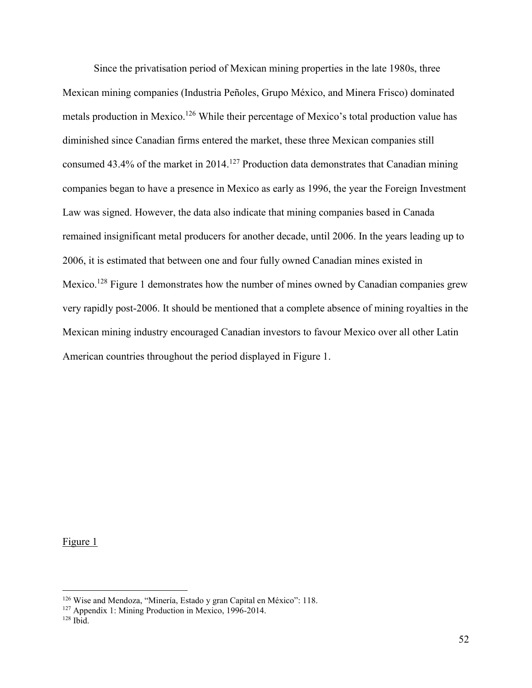Since the privatisation period of Mexican mining properties in the late 1980s, three Mexican mining companies (Industria Peñoles, Grupo México, and Minera Frisco) dominated metals production in Mexico.<sup>126</sup> While their percentage of Mexico's total production value has diminished since Canadian firms entered the market, these three Mexican companies still consumed  $43.4\%$  of the market in 2014.<sup>127</sup> Production data demonstrates that Canadian mining companies began to have a presence in Mexico as early as 1996, the year the Foreign Investment Law was signed. However, the data also indicate that mining companies based in Canada remained insignificant metal producers for another decade, until 2006. In the years leading up to 2006, it is estimated that between one and four fully owned Canadian mines existed in Mexico.<sup>128</sup> Figure 1 demonstrates how the number of mines owned by Canadian companies grew very rapidly post-2006. It should be mentioned that a complete absence of mining royalties in the Mexican mining industry encouraged Canadian investors to favour Mexico over all other Latin American countries throughout the period displayed in Figure 1.

Figure 1

<sup>126</sup> Wise and Mendoza, "Minería, Estado y gran Capital en México": 118.

<sup>127</sup> Appendix 1: Mining Production in Mexico, 1996-2014.

 $128$  Ibid.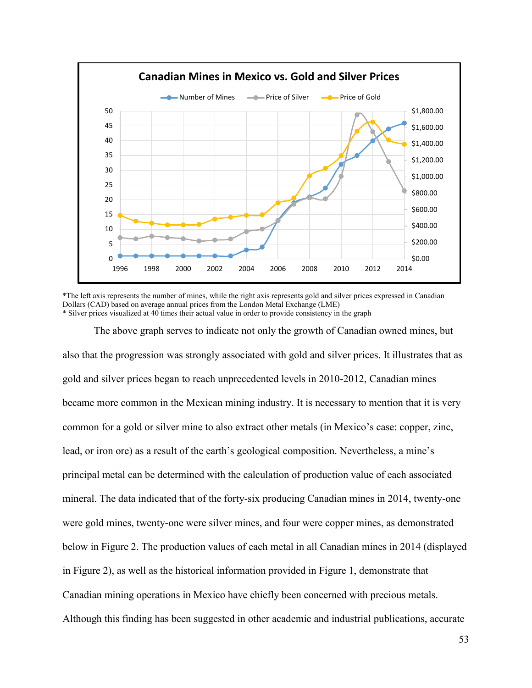

\*The left axis represents the number of mines, while the right axis represents gold and silver prices expressed in Canadian Dollars (CAD) based on average annual prices from the London Metal Exchange (LME) \* Silver prices visualized at 40 times their actual value in order to provide consistency in the graph

The above graph serves to indicate not only the growth of Canadian owned mines, but also that the progression was strongly associated with gold and silver prices. It illustrates that as gold and silver prices began to reach unprecedented levels in 2010-2012, Canadian mines became more common in the Mexican mining industry. It is necessary to mention that it is very common for a gold or silver mine to also extract other metals (in Mexico's case: copper, zinc, lead, or iron ore) as a result of the earth's geological composition. Nevertheless, a mine's principal metal can be determined with the calculation of production value of each associated mineral. The data indicated that of the forty-six producing Canadian mines in 2014, twenty-one were gold mines, twenty-one were silver mines, and four were copper mines, as demonstrated below in Figure 2. The production values of each metal in all Canadian mines in 2014 (displayed in Figure 2), as well as the historical information provided in Figure 1, demonstrate that Canadian mining operations in Mexico have chiefly been concerned with precious metals. Although this finding has been suggested in other academic and industrial publications, accurate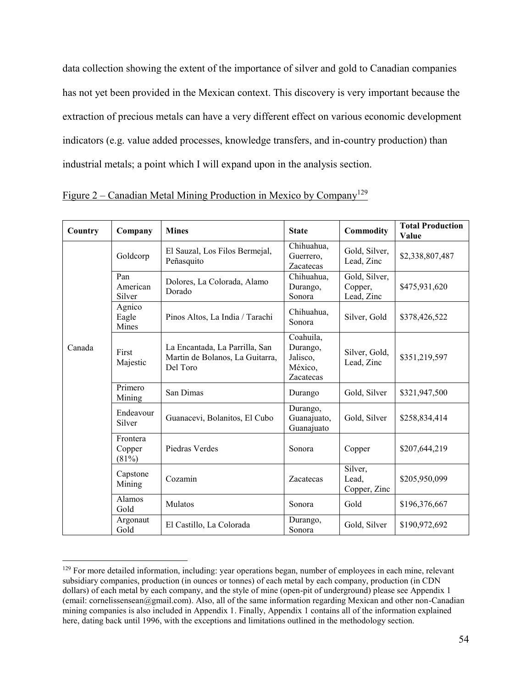data collection showing the extent of the importance of silver and gold to Canadian companies has not yet been provided in the Mexican context. This discovery is very important because the extraction of precious metals can have a very different effect on various economic development indicators (e.g. value added processes, knowledge transfers, and in-country production) than industrial metals; a point which I will expand upon in the analysis section.

| Country | Company                        | <b>Mines</b>                                                                  | <b>State</b>                                              | Commodity                              | <b>Total Production</b><br>Value |
|---------|--------------------------------|-------------------------------------------------------------------------------|-----------------------------------------------------------|----------------------------------------|----------------------------------|
| Canada  | Goldcorp                       | El Sauzal, Los Filos Bermejal,<br>Peñasquito                                  | Chihuahua,<br>Guerrero,<br>Zacatecas                      | Gold, Silver,<br>Lead, Zinc            | \$2,338,807,487                  |
|         | Pan<br>American<br>Silver      | Dolores, La Colorada, Alamo<br>Dorado                                         | Chihuahua,<br>Durango,<br>Sonora                          | Gold, Silver,<br>Copper,<br>Lead, Zinc | \$475,931,620                    |
|         | Agnico<br>Eagle<br>Mines       | Pinos Altos, La India / Tarachi                                               | Chihuahua,<br>Sonora                                      | Silver, Gold                           | \$378,426,522                    |
|         | First<br>Majestic              | La Encantada, La Parrilla, San<br>Martin de Bolanos, La Guitarra,<br>Del Toro | Coahuila,<br>Durango,<br>Jalisco,<br>México,<br>Zacatecas | Silver, Gold,<br>Lead, Zinc            | \$351,219,597                    |
|         | Primero<br>Mining              | San Dimas                                                                     | Durango                                                   | Gold, Silver                           | \$321,947,500                    |
|         | Endeavour<br>Silver            | Guanacevi, Bolanitos, El Cubo                                                 | Durango,<br>Guanajuato,<br>Guanajuato                     | Gold, Silver                           | \$258,834,414                    |
|         | Frontera<br>Copper<br>$(81\%)$ | Piedras Verdes                                                                | Sonora                                                    | Copper                                 | \$207,644,219                    |
|         | Capstone<br>Mining             | Cozamin                                                                       | Zacatecas                                                 | Silver,<br>Lead,<br>Copper, Zinc       | \$205,950,099                    |
|         | Alamos<br>Gold                 | <b>Mulatos</b>                                                                | Sonora                                                    | Gold                                   | \$196,376,667                    |
|         | Argonaut<br>Gold               | El Castillo, La Colorada                                                      | Durango,<br>Sonora                                        | Gold, Silver                           | \$190,972,692                    |

Figure  $2$  – Canadian Metal Mining Production in Mexico by Company<sup>129</sup>

<sup>&</sup>lt;sup>129</sup> For more detailed information, including: year operations began, number of employees in each mine, relevant subsidiary companies, production (in ounces or tonnes) of each metal by each company, production (in CDN dollars) of each metal by each company, and the style of mine (open-pit of underground) please see Appendix 1 (email: cornelissensean@gmail.com). Also, all of the same information regarding Mexican and other non-Canadian mining companies is also included in Appendix 1. Finally, Appendix 1 contains all of the information explained here, dating back until 1996, with the exceptions and limitations outlined in the methodology section.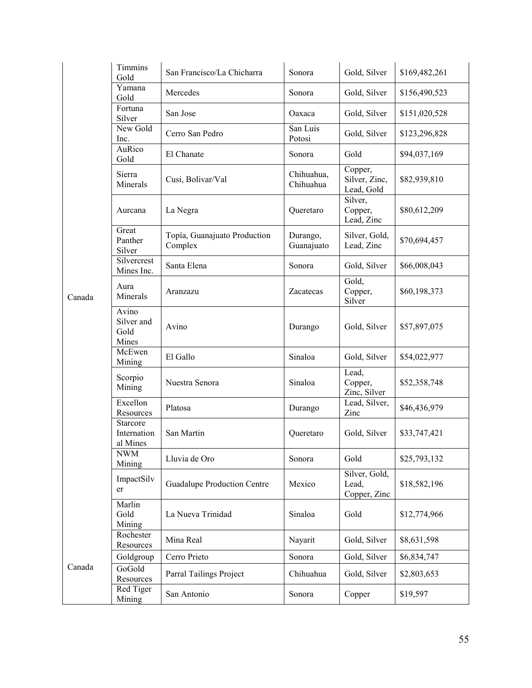| Canada | Timmins<br>Gold                      | San Francisco/La Chicharra              | Sonora                  | Gold, Silver                           | \$169,482,261 |
|--------|--------------------------------------|-----------------------------------------|-------------------------|----------------------------------------|---------------|
|        | Yamana<br>Gold                       | Mercedes                                | Sonora                  | Gold, Silver                           | \$156,490,523 |
|        | Fortuna<br>Silver                    | San Jose                                | Oaxaca                  | Gold, Silver                           | \$151,020,528 |
|        | New Gold<br>Inc.                     | Cerro San Pedro                         | San Luis<br>Potosi      | Gold, Silver                           | \$123,296,828 |
|        | AuRico<br>Gold                       | El Chanate                              | Sonora                  | Gold                                   | \$94,037,169  |
|        | Sierra<br>Minerals                   | Cusi, Bolivar/Val                       | Chihuahua,<br>Chihuahua | Copper,<br>Silver, Zinc,<br>Lead, Gold | \$82,939,810  |
|        | Aurcana                              | La Negra                                | Queretaro               | Silver,<br>Copper,<br>Lead, Zinc       | \$80,612,209  |
|        | Great<br>Panther<br>Silver           | Topía, Guanajuato Production<br>Complex | Durango,<br>Guanajuato  | Silver, Gold,<br>Lead, Zinc            | \$70,694,457  |
|        | Silvercrest<br>Mines Inc.            | Santa Elena                             | Sonora                  | Gold, Silver                           | \$66,008,043  |
|        | Aura<br>Minerals                     | Aranzazu                                | Zacatecas               | Gold,<br>Copper,<br>Silver             | \$60,198,373  |
|        | Avino<br>Silver and<br>Gold<br>Mines | Avino                                   | Durango                 | Gold, Silver                           | \$57,897,075  |
|        | McEwen<br>Mining                     | El Gallo                                | Sinaloa                 | Gold, Silver                           | \$54,022,977  |
|        | Scorpio<br>Mining                    | Nuestra Senora                          | Sinaloa                 | Lead,<br>Copper,<br>Zinc, Silver       | \$52,358,748  |
|        | Excellon<br>Resources                | Platosa                                 | Durango                 | Lead, Silver,<br>Zinc                  | \$46,436,979  |
|        | Starcore<br>Internation<br>al Mines  | San Martin                              | Queretaro               | Gold, Silver                           | \$33,747,421  |
|        | <b>NWM</b><br>Mining                 | Lluvia de Oro                           | Sonora                  | Gold                                   | \$25,793,132  |
|        | ImpactSilv<br>er                     | <b>Guadalupe Production Centre</b>      | Mexico                  | Silver, Gold,<br>Lead,<br>Copper, Zinc | \$18,582,196  |
|        | Marlin<br>Gold<br>Mining             | La Nueva Trinidad                       | Sinaloa                 | Gold                                   | \$12,774,966  |
| Canada | Rochester<br>Resources               | Mina Real                               | Nayarit                 | Gold, Silver                           | \$8,631,598   |
|        | Goldgroup                            | Cerro Prieto                            | Sonora                  | Gold, Silver                           | \$6,834,747   |
|        | GoGold<br>Resources                  | Parral Tailings Project                 | Chihuahua               | Gold, Silver                           | \$2,803,653   |
|        | Red Tiger<br>Mining                  | San Antonio                             | Sonora                  | Copper                                 | \$19,597      |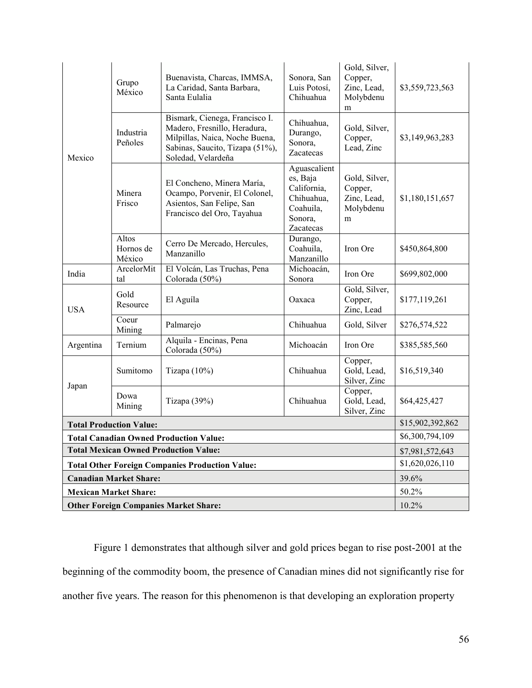| Mexico                                                 | Grupo<br>México              | Buenavista, Charcas, IMMSA,<br>La Caridad, Santa Barbara,<br>Santa Eulalia                                                                                | Sonora, San<br>Luis Potosí,<br>Chihuahua                                                   | Gold, Silver,<br>Copper,<br>Zinc, Lead,<br>Molybdenu<br>m | \$3,559,723,563 |
|--------------------------------------------------------|------------------------------|-----------------------------------------------------------------------------------------------------------------------------------------------------------|--------------------------------------------------------------------------------------------|-----------------------------------------------------------|-----------------|
|                                                        | Industria<br>Peñoles         | Bismark, Cienega, Francisco I.<br>Madero, Fresnillo, Heradura,<br>Milpillas, Naica, Noche Buena,<br>Sabinas, Saucito, Tizapa (51%),<br>Soledad, Velardeña | Chihuahua,<br>Durango,<br>Sonora,<br><b>Zacatecas</b>                                      | Gold, Silver,<br>Copper,<br>Lead, Zinc                    | \$3,149,963,283 |
|                                                        | Minera<br>Frisco             | El Concheno, Minera María,<br>Ocampo, Porvenir, El Colonel,<br>Asientos, San Felipe, San<br>Francisco del Oro, Tayahua                                    | Aguascalient<br>es, Baja<br>California,<br>Chihuahua,<br>Coahuila,<br>Sonora,<br>Zacatecas | Gold, Silver,<br>Copper,<br>Zinc, Lead,<br>Molybdenu<br>m | \$1,180,151,657 |
|                                                        | Altos<br>Hornos de<br>México | Cerro De Mercado, Hercules,<br>Manzanillo                                                                                                                 | Durango,<br>Coahuila,<br>Manzanillo                                                        | Iron Ore                                                  | \$450,864,800   |
| India                                                  | ArcelorMit<br>tal            | El Volcán, Las Truchas, Pena<br>Colorada (50%)                                                                                                            | Michoacán,<br>Sonora                                                                       | Iron Ore                                                  | \$699,802,000   |
| <b>USA</b>                                             | Gold<br>Resource             | El Aguíla                                                                                                                                                 | Oaxaca                                                                                     | Gold, Silver,<br>Copper,<br>Zinc, Lead                    | \$177,119,261   |
|                                                        | Coeur<br>Mining              | Palmarejo                                                                                                                                                 | Chihuahua                                                                                  | Gold, Silver                                              | \$276,574,522   |
| Argentina                                              | Ternium                      | Alquila - Encinas, Pena<br>Colorada (50%)                                                                                                                 | Michoacán                                                                                  | Iron Ore                                                  | \$385,585,560   |
| Japan                                                  | Sumitomo                     | Tizapa $(10\%)$                                                                                                                                           | Chihuahua                                                                                  | Copper,<br>Gold, Lead,<br>Silver, Zinc                    | \$16,519,340    |
|                                                        | Dowa<br>Mining               | Tizapa (39%)                                                                                                                                              | Chihuahua                                                                                  | Copper,<br>Gold, Lead,<br>Silver, Zinc                    | \$64,425,427    |
| <b>Total Production Value:</b>                         | \$15,902,392,862             |                                                                                                                                                           |                                                                                            |                                                           |                 |
| <b>Total Canadian Owned Production Value:</b>          | \$6,300,794,109              |                                                                                                                                                           |                                                                                            |                                                           |                 |
| <b>Total Mexican Owned Production Value:</b>           | \$7,981,572,643              |                                                                                                                                                           |                                                                                            |                                                           |                 |
| <b>Total Other Foreign Companies Production Value:</b> | \$1,620,026,110              |                                                                                                                                                           |                                                                                            |                                                           |                 |
| <b>Canadian Market Share:</b>                          | 39.6%                        |                                                                                                                                                           |                                                                                            |                                                           |                 |
| <b>Mexican Market Share:</b>                           | 50.2%                        |                                                                                                                                                           |                                                                                            |                                                           |                 |
| <b>Other Foreign Companies Market Share:</b>           | 10.2%                        |                                                                                                                                                           |                                                                                            |                                                           |                 |

Figure 1 demonstrates that although silver and gold prices began to rise post-2001 at the beginning of the commodity boom, the presence of Canadian mines did not significantly rise for another five years. The reason for this phenomenon is that developing an exploration property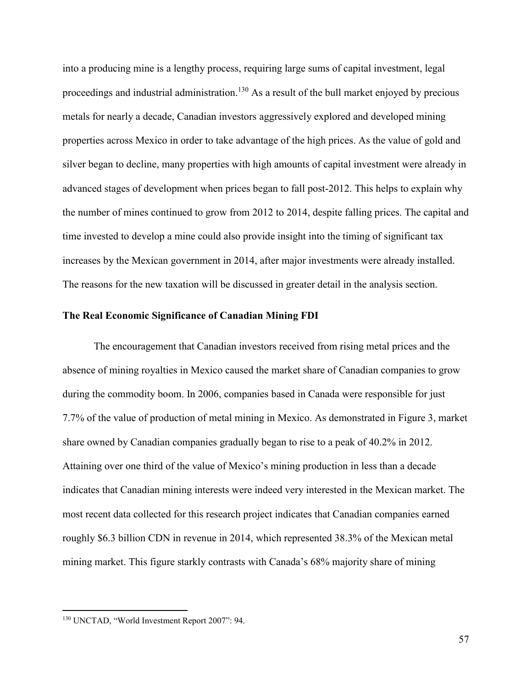into a producing mine is a lengthy process, requiring large sums of capital investment, legal proceedings and industrial administration.<sup>130</sup> As a result of the bull market enjoyed by precious metals for nearly a decade, Canadian investors aggressively explored and developed mining properties across Mexico in order to take advantage of the high prices. As the value of gold and silver began to decline, many properties with high amounts of capital investment were already in advanced stages of development when prices began to fall post-2012. This helps to explain why the number of mines continued to grow from 2012 to 2014, despite falling prices. The capital and time invested to develop a mine could also provide insight into the timing of significant tax increases by the Mexican government in 2014, after major investments were already installed. The reasons for the new taxation will be discussed in greater detail in the analysis section.

# **The Real Economic Significance of Canadian Mining FDI**

The encouragement that Canadian investors received from rising metal prices and the absence of mining royalties in Mexico caused the market share of Canadian companies to grow during the commodity boom. In 2006, companies based in Canada were responsible for just 7.7% of the value of production of metal mining in Mexico. As demonstrated in Figure 3, market share owned by Canadian companies gradually began to rise to a peak of 40.2% in 2012. Attaining over one third of the value of Mexico's mining production in less than a decade indicates that Canadian mining interests were indeed very interested in the Mexican market. The most recent data collected for this research project indicates that Canadian companies earned roughly \$6.3 billion CDN in revenue in 2014, which represented 38.3% of the Mexican metal mining market. This figure starkly contrasts with Canada's 68% majority share of mining

<sup>130</sup> UNCTAD, "World Investment Report 2007": 94.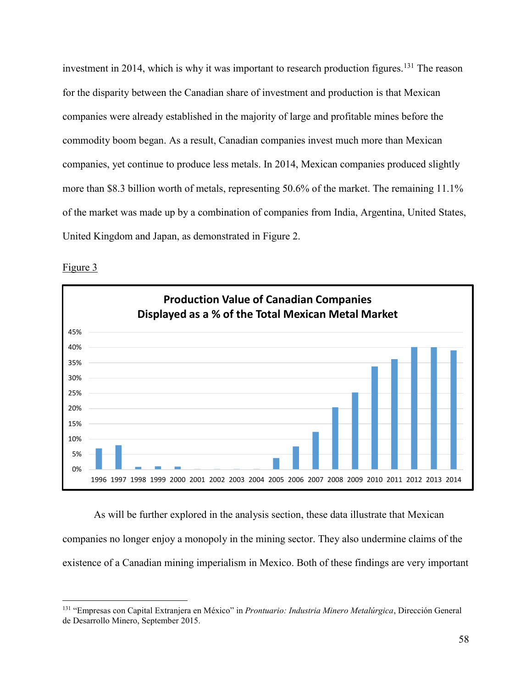investment in 2014, which is why it was important to research production figures.<sup>131</sup> The reason for the disparity between the Canadian share of investment and production is that Mexican companies were already established in the majority of large and profitable mines before the commodity boom began. As a result, Canadian companies invest much more than Mexican companies, yet continue to produce less metals. In 2014, Mexican companies produced slightly more than \$8.3 billion worth of metals, representing 50.6% of the market. The remaining 11.1% of the market was made up by a combination of companies from India, Argentina, United States, United Kingdom and Japan, as demonstrated in Figure 2.



Figure 3

 $\overline{a}$ 

As will be further explored in the analysis section, these data illustrate that Mexican companies no longer enjoy a monopoly in the mining sector. They also undermine claims of the existence of a Canadian mining imperialism in Mexico. Both of these findings are very important

<sup>131</sup> "Empresas con Capital Extranjera en México" in *Prontuario: Industria Minero Metalúrgica*, Dirección General de Desarrollo Minero, September 2015.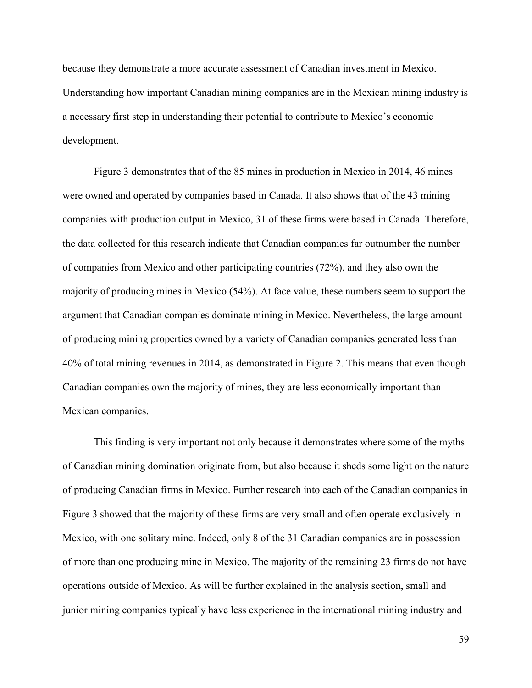because they demonstrate a more accurate assessment of Canadian investment in Mexico. Understanding how important Canadian mining companies are in the Mexican mining industry is a necessary first step in understanding their potential to contribute to Mexico's economic development.

Figure 3 demonstrates that of the 85 mines in production in Mexico in 2014, 46 mines were owned and operated by companies based in Canada. It also shows that of the 43 mining companies with production output in Mexico, 31 of these firms were based in Canada. Therefore, the data collected for this research indicate that Canadian companies far outnumber the number of companies from Mexico and other participating countries (72%), and they also own the majority of producing mines in Mexico (54%). At face value, these numbers seem to support the argument that Canadian companies dominate mining in Mexico. Nevertheless, the large amount of producing mining properties owned by a variety of Canadian companies generated less than 40% of total mining revenues in 2014, as demonstrated in Figure 2. This means that even though Canadian companies own the majority of mines, they are less economically important than Mexican companies.

This finding is very important not only because it demonstrates where some of the myths of Canadian mining domination originate from, but also because it sheds some light on the nature of producing Canadian firms in Mexico. Further research into each of the Canadian companies in Figure 3 showed that the majority of these firms are very small and often operate exclusively in Mexico, with one solitary mine. Indeed, only 8 of the 31 Canadian companies are in possession of more than one producing mine in Mexico. The majority of the remaining 23 firms do not have operations outside of Mexico. As will be further explained in the analysis section, small and junior mining companies typically have less experience in the international mining industry and

59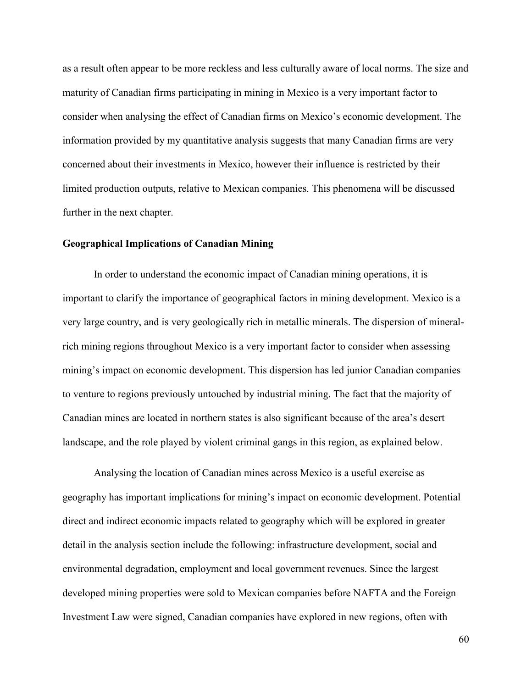as a result often appear to be more reckless and less culturally aware of local norms. The size and maturity of Canadian firms participating in mining in Mexico is a very important factor to consider when analysing the effect of Canadian firms on Mexico's economic development. The information provided by my quantitative analysis suggests that many Canadian firms are very concerned about their investments in Mexico, however their influence is restricted by their limited production outputs, relative to Mexican companies. This phenomena will be discussed further in the next chapter.

## **Geographical Implications of Canadian Mining**

 In order to understand the economic impact of Canadian mining operations, it is important to clarify the importance of geographical factors in mining development. Mexico is a very large country, and is very geologically rich in metallic minerals. The dispersion of mineralrich mining regions throughout Mexico is a very important factor to consider when assessing mining's impact on economic development. This dispersion has led junior Canadian companies to venture to regions previously untouched by industrial mining. The fact that the majority of Canadian mines are located in northern states is also significant because of the area's desert landscape, and the role played by violent criminal gangs in this region, as explained below.

Analysing the location of Canadian mines across Mexico is a useful exercise as geography has important implications for mining's impact on economic development. Potential direct and indirect economic impacts related to geography which will be explored in greater detail in the analysis section include the following: infrastructure development, social and environmental degradation, employment and local government revenues. Since the largest developed mining properties were sold to Mexican companies before NAFTA and the Foreign Investment Law were signed, Canadian companies have explored in new regions, often with

60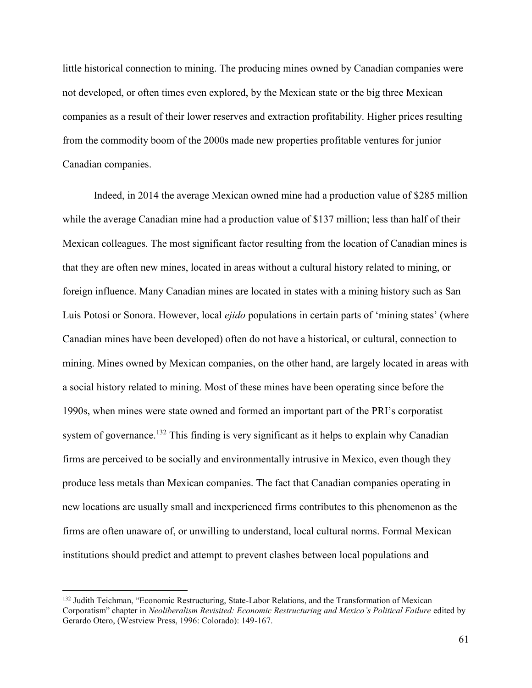little historical connection to mining. The producing mines owned by Canadian companies were not developed, or often times even explored, by the Mexican state or the big three Mexican companies as a result of their lower reserves and extraction profitability. Higher prices resulting from the commodity boom of the 2000s made new properties profitable ventures for junior Canadian companies.

Indeed, in 2014 the average Mexican owned mine had a production value of \$285 million while the average Canadian mine had a production value of \$137 million; less than half of their Mexican colleagues. The most significant factor resulting from the location of Canadian mines is that they are often new mines, located in areas without a cultural history related to mining, or foreign influence. Many Canadian mines are located in states with a mining history such as San Luis Potosí or Sonora. However, local *ejido* populations in certain parts of 'mining states' (where Canadian mines have been developed) often do not have a historical, or cultural, connection to mining. Mines owned by Mexican companies, on the other hand, are largely located in areas with a social history related to mining. Most of these mines have been operating since before the 1990s, when mines were state owned and formed an important part of the PRI's corporatist system of governance.<sup>132</sup> This finding is very significant as it helps to explain why Canadian firms are perceived to be socially and environmentally intrusive in Mexico, even though they produce less metals than Mexican companies. The fact that Canadian companies operating in new locations are usually small and inexperienced firms contributes to this phenomenon as the firms are often unaware of, or unwilling to understand, local cultural norms. Formal Mexican institutions should predict and attempt to prevent clashes between local populations and

<sup>&</sup>lt;sup>132</sup> Judith Teichman, "Economic Restructuring, State-Labor Relations, and the Transformation of Mexican Corporatism" chapter in *Neoliberalism Revisited: Economic Restructuring and Mexico's Political Failure* edited by Gerardo Otero, (Westview Press, 1996: Colorado): 149-167.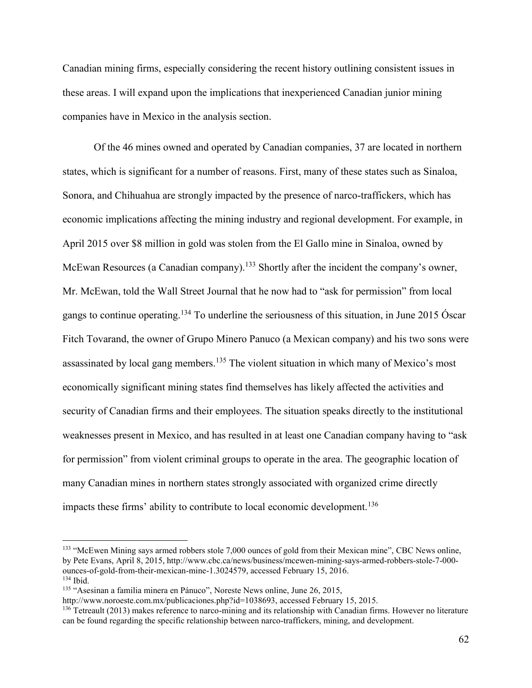Canadian mining firms, especially considering the recent history outlining consistent issues in these areas. I will expand upon the implications that inexperienced Canadian junior mining companies have in Mexico in the analysis section.

Of the 46 mines owned and operated by Canadian companies, 37 are located in northern states, which is significant for a number of reasons. First, many of these states such as Sinaloa, Sonora, and Chihuahua are strongly impacted by the presence of narco-traffickers, which has economic implications affecting the mining industry and regional development. For example, in April 2015 over \$8 million in gold was stolen from the El Gallo mine in Sinaloa, owned by McEwan Resources (a Canadian company).<sup>133</sup> Shortly after the incident the company's owner, Mr. McEwan, told the Wall Street Journal that he now had to "ask for permission" from local gangs to continue operating.<sup>134</sup> To underline the seriousness of this situation, in June 2015 Óscar Fitch Tovarand, the owner of Grupo Minero Panuco (a Mexican company) and his two sons were assassinated by local gang members.<sup>135</sup> The violent situation in which many of Mexico's most economically significant mining states find themselves has likely affected the activities and security of Canadian firms and their employees. The situation speaks directly to the institutional weaknesses present in Mexico, and has resulted in at least one Canadian company having to "ask for permission" from violent criminal groups to operate in the area. The geographic location of many Canadian mines in northern states strongly associated with organized crime directly impacts these firms' ability to contribute to local economic development.<sup>136</sup>

<sup>&</sup>lt;sup>133</sup> "McEwen Mining says armed robbers stole 7,000 ounces of gold from their Mexican mine", CBC News online, by Pete Evans, April 8, 2015, http://www.cbc.ca/news/business/mcewen-mining-says-armed-robbers-stole-7-000 ounces-of-gold-from-their-mexican-mine-1.3024579, accessed February 15, 2016.  $134$  Ibid.

<sup>135</sup> "Asesinan a familia minera en Pánuco", Noreste News online, June 26, 2015,

http://www.noroeste.com.mx/publicaciones.php?id=1038693, accessed February 15, 2015.

<sup>&</sup>lt;sup>136</sup> Tetreault (2013) makes reference to narco-mining and its relationship with Canadian firms. However no literature can be found regarding the specific relationship between narco-traffickers, mining, and development.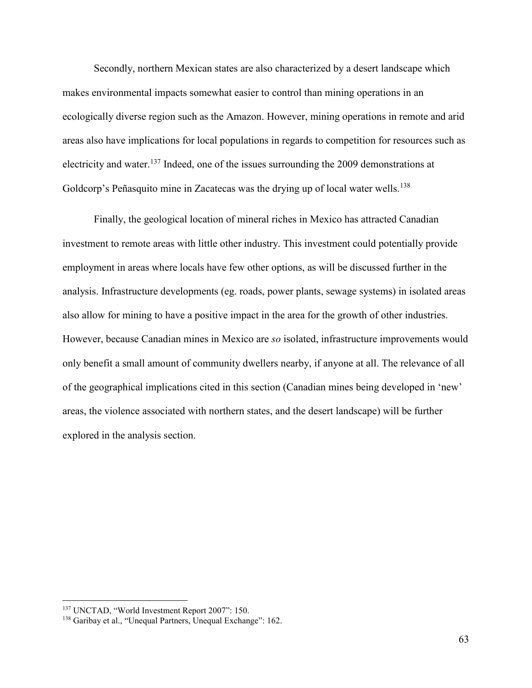Secondly, northern Mexican states are also characterized by a desert landscape which makes environmental impacts somewhat easier to control than mining operations in an ecologically diverse region such as the Amazon. However, mining operations in remote and arid areas also have implications for local populations in regards to competition for resources such as electricity and water.<sup>137</sup> Indeed, one of the issues surrounding the 2009 demonstrations at Goldcorp's Peñasquito mine in Zacatecas was the drying up of local water wells.<sup>138</sup>

Finally, the geological location of mineral riches in Mexico has attracted Canadian investment to remote areas with little other industry. This investment could potentially provide employment in areas where locals have few other options, as will be discussed further in the analysis. Infrastructure developments (eg. roads, power plants, sewage systems) in isolated areas also allow for mining to have a positive impact in the area for the growth of other industries. However, because Canadian mines in Mexico are *so* isolated, infrastructure improvements would only benefit a small amount of community dwellers nearby, if anyone at all. The relevance of all of the geographical implications cited in this section (Canadian mines being developed in 'new' areas, the violence associated with northern states, and the desert landscape) will be further explored in the analysis section.

<sup>137</sup> UNCTAD, "World Investment Report 2007": 150.

<sup>138</sup> Garibay et al., "Unequal Partners, Unequal Exchange": 162.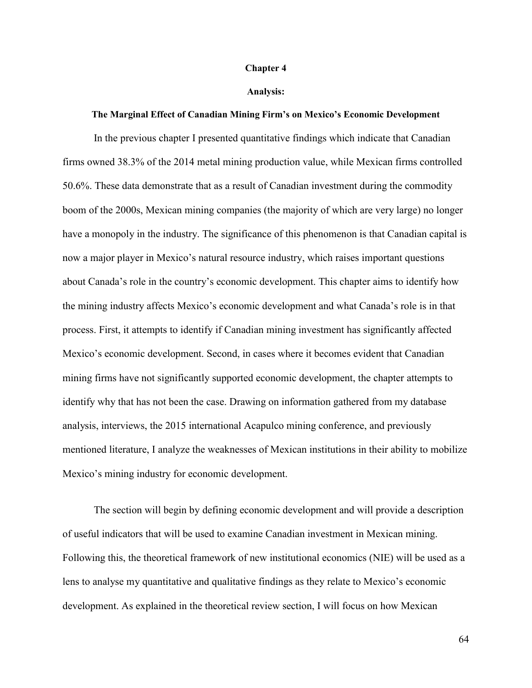#### **Chapter 4**

#### **Analysis:**

#### **The Marginal Effect of Canadian Mining Firm's on Mexico's Economic Development**

In the previous chapter I presented quantitative findings which indicate that Canadian firms owned 38.3% of the 2014 metal mining production value, while Mexican firms controlled 50.6%. These data demonstrate that as a result of Canadian investment during the commodity boom of the 2000s, Mexican mining companies (the majority of which are very large) no longer have a monopoly in the industry. The significance of this phenomenon is that Canadian capital is now a major player in Mexico's natural resource industry, which raises important questions about Canada's role in the country's economic development. This chapter aims to identify how the mining industry affects Mexico's economic development and what Canada's role is in that process. First, it attempts to identify if Canadian mining investment has significantly affected Mexico's economic development. Second, in cases where it becomes evident that Canadian mining firms have not significantly supported economic development, the chapter attempts to identify why that has not been the case. Drawing on information gathered from my database analysis, interviews, the 2015 international Acapulco mining conference, and previously mentioned literature, I analyze the weaknesses of Mexican institutions in their ability to mobilize Mexico's mining industry for economic development.

The section will begin by defining economic development and will provide a description of useful indicators that will be used to examine Canadian investment in Mexican mining. Following this, the theoretical framework of new institutional economics (NIE) will be used as a lens to analyse my quantitative and qualitative findings as they relate to Mexico's economic development. As explained in the theoretical review section, I will focus on how Mexican

64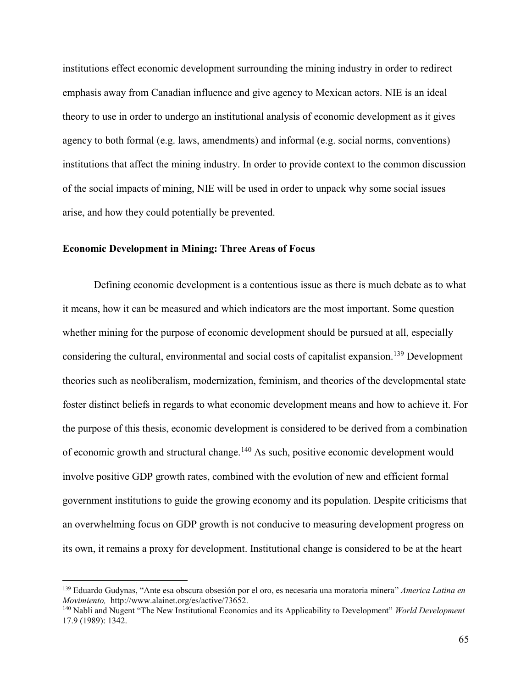institutions effect economic development surrounding the mining industry in order to redirect emphasis away from Canadian influence and give agency to Mexican actors. NIE is an ideal theory to use in order to undergo an institutional analysis of economic development as it gives agency to both formal (e.g. laws, amendments) and informal (e.g. social norms, conventions) institutions that affect the mining industry. In order to provide context to the common discussion of the social impacts of mining, NIE will be used in order to unpack why some social issues arise, and how they could potentially be prevented.

# **Economic Development in Mining: Three Areas of Focus**

 $\overline{a}$ 

 Defining economic development is a contentious issue as there is much debate as to what it means, how it can be measured and which indicators are the most important. Some question whether mining for the purpose of economic development should be pursued at all, especially considering the cultural, environmental and social costs of capitalist expansion.<sup>139</sup> Development theories such as neoliberalism, modernization, feminism, and theories of the developmental state foster distinct beliefs in regards to what economic development means and how to achieve it. For the purpose of this thesis, economic development is considered to be derived from a combination of economic growth and structural change.<sup>140</sup> As such, positive economic development would involve positive GDP growth rates, combined with the evolution of new and efficient formal government institutions to guide the growing economy and its population. Despite criticisms that an overwhelming focus on GDP growth is not conducive to measuring development progress on its own, it remains a proxy for development. Institutional change is considered to be at the heart

<sup>139</sup> Eduardo Gudynas, "Ante esa obscura obsesión por el oro, es necesaria una moratoria minera" *America Latina en Movimiento,* http://www.alainet.org/es/active/73652.

<sup>140</sup> Nabli and Nugent "The New Institutional Economics and its Applicability to Development" *World Development*  17.9 (1989): 1342.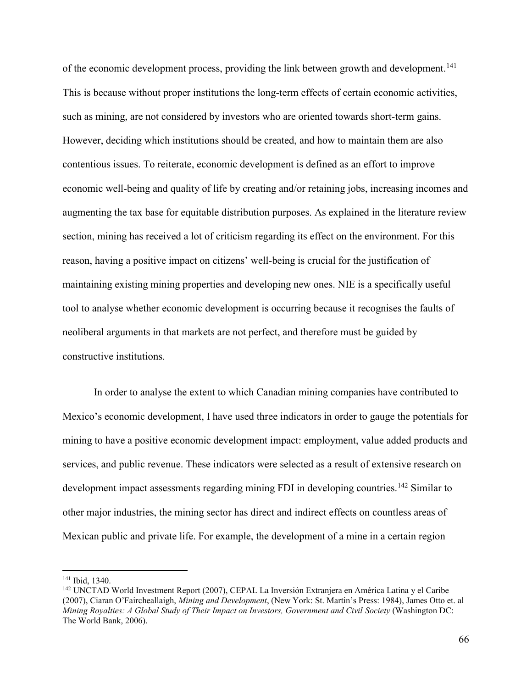of the economic development process, providing the link between growth and development.<sup>141</sup> This is because without proper institutions the long-term effects of certain economic activities, such as mining, are not considered by investors who are oriented towards short-term gains. However, deciding which institutions should be created, and how to maintain them are also contentious issues. To reiterate, economic development is defined as an effort to improve economic well-being and quality of life by creating and/or retaining jobs, increasing incomes and augmenting the tax base for equitable distribution purposes. As explained in the literature review section, mining has received a lot of criticism regarding its effect on the environment. For this reason, having a positive impact on citizens' well-being is crucial for the justification of maintaining existing mining properties and developing new ones. NIE is a specifically useful tool to analyse whether economic development is occurring because it recognises the faults of neoliberal arguments in that markets are not perfect, and therefore must be guided by constructive institutions.

In order to analyse the extent to which Canadian mining companies have contributed to Mexico's economic development, I have used three indicators in order to gauge the potentials for mining to have a positive economic development impact: employment, value added products and services, and public revenue. These indicators were selected as a result of extensive research on development impact assessments regarding mining FDI in developing countries.<sup>142</sup> Similar to other major industries, the mining sector has direct and indirect effects on countless areas of Mexican public and private life. For example, the development of a mine in a certain region

<sup>141</sup> Ibid, 1340.

<sup>142</sup> UNCTAD World Investment Report (2007), CEPAL La Inversión Extranjera en América Latina y el Caribe (2007), Ciaran O'Faircheallaigh, *Mining and Development*, (New York: St. Martin's Press: 1984), James Otto et. al *Mining Royalties: A Global Study of Their Impact on Investors, Government and Civil Society* (Washington DC: The World Bank, 2006).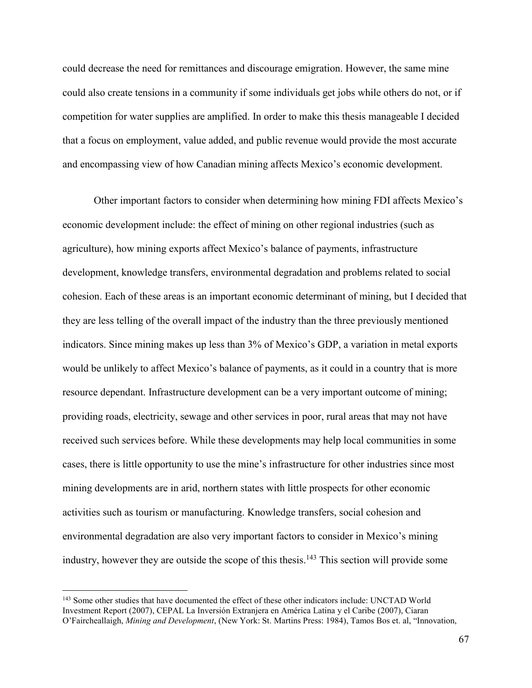could decrease the need for remittances and discourage emigration. However, the same mine could also create tensions in a community if some individuals get jobs while others do not, or if competition for water supplies are amplified. In order to make this thesis manageable I decided that a focus on employment, value added, and public revenue would provide the most accurate and encompassing view of how Canadian mining affects Mexico's economic development.

Other important factors to consider when determining how mining FDI affects Mexico's economic development include: the effect of mining on other regional industries (such as agriculture), how mining exports affect Mexico's balance of payments, infrastructure development, knowledge transfers, environmental degradation and problems related to social cohesion. Each of these areas is an important economic determinant of mining, but I decided that they are less telling of the overall impact of the industry than the three previously mentioned indicators. Since mining makes up less than 3% of Mexico's GDP, a variation in metal exports would be unlikely to affect Mexico's balance of payments, as it could in a country that is more resource dependant. Infrastructure development can be a very important outcome of mining; providing roads, electricity, sewage and other services in poor, rural areas that may not have received such services before. While these developments may help local communities in some cases, there is little opportunity to use the mine's infrastructure for other industries since most mining developments are in arid, northern states with little prospects for other economic activities such as tourism or manufacturing. Knowledge transfers, social cohesion and environmental degradation are also very important factors to consider in Mexico's mining industry, however they are outside the scope of this thesis.<sup>143</sup> This section will provide some

<sup>&</sup>lt;sup>143</sup> Some other studies that have documented the effect of these other indicators include: UNCTAD World Investment Report (2007), CEPAL La Inversión Extranjera en América Latina y el Caribe (2007), Ciaran O'Faircheallaigh, *Mining and Development*, (New York: St. Martins Press: 1984), Tamos Bos et. al, "Innovation,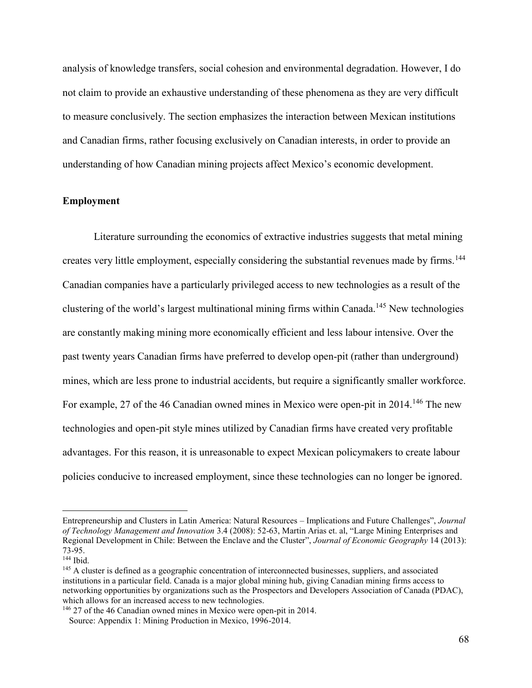analysis of knowledge transfers, social cohesion and environmental degradation. However, I do not claim to provide an exhaustive understanding of these phenomena as they are very difficult to measure conclusively. The section emphasizes the interaction between Mexican institutions and Canadian firms, rather focusing exclusively on Canadian interests, in order to provide an understanding of how Canadian mining projects affect Mexico's economic development.

## **Employment**

 Literature surrounding the economics of extractive industries suggests that metal mining creates very little employment, especially considering the substantial revenues made by firms.<sup>144</sup> Canadian companies have a particularly privileged access to new technologies as a result of the clustering of the world's largest multinational mining firms within Canada.<sup>145</sup> New technologies are constantly making mining more economically efficient and less labour intensive. Over the past twenty years Canadian firms have preferred to develop open-pit (rather than underground) mines, which are less prone to industrial accidents, but require a significantly smaller workforce. For example, 27 of the 46 Canadian owned mines in Mexico were open-pit in 2014.<sup>146</sup> The new technologies and open-pit style mines utilized by Canadian firms have created very profitable advantages. For this reason, it is unreasonable to expect Mexican policymakers to create labour policies conducive to increased employment, since these technologies can no longer be ignored.

Entrepreneurship and Clusters in Latin America: Natural Resources – Implications and Future Challenges", *Journal of Technology Management and Innovation* 3.4 (2008): 52-63, Martin Arias et. al, "Large Mining Enterprises and Regional Development in Chile: Between the Enclave and the Cluster", *Journal of Economic Geography* 14 (2013): 73-95.

 $144$  Ibid.

<sup>&</sup>lt;sup>145</sup> A cluster is defined as a geographic concentration of interconnected businesses, suppliers, and associated institutions in a particular field. Canada is a major global mining hub, giving Canadian mining firms access to networking opportunities by organizations such as the Prospectors and Developers Association of Canada (PDAC), which allows for an increased access to new technologies.

<sup>146</sup> 27 of the 46 Canadian owned mines in Mexico were open-pit in 2014.

Source: Appendix 1: Mining Production in Mexico, 1996-2014.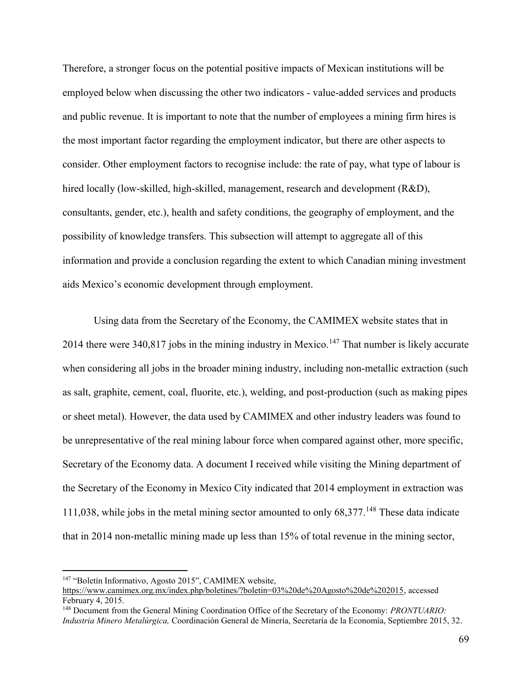Therefore, a stronger focus on the potential positive impacts of Mexican institutions will be employed below when discussing the other two indicators - value-added services and products and public revenue. It is important to note that the number of employees a mining firm hires is the most important factor regarding the employment indicator, but there are other aspects to consider. Other employment factors to recognise include: the rate of pay, what type of labour is hired locally (low-skilled, high-skilled, management, research and development (R&D), consultants, gender, etc.), health and safety conditions, the geography of employment, and the possibility of knowledge transfers. This subsection will attempt to aggregate all of this information and provide a conclusion regarding the extent to which Canadian mining investment aids Mexico's economic development through employment.

Using data from the Secretary of the Economy, the CAMIMEX website states that in 2014 there were 340,817 jobs in the mining industry in Mexico.<sup>147</sup> That number is likely accurate when considering all jobs in the broader mining industry, including non-metallic extraction (such as salt, graphite, cement, coal, fluorite, etc.), welding, and post-production (such as making pipes or sheet metal). However, the data used by CAMIMEX and other industry leaders was found to be unrepresentative of the real mining labour force when compared against other, more specific, Secretary of the Economy data. A document I received while visiting the Mining department of the Secretary of the Economy in Mexico City indicated that 2014 employment in extraction was 111,038, while jobs in the metal mining sector amounted to only 68,377.<sup>148</sup> These data indicate that in 2014 non-metallic mining made up less than 15% of total revenue in the mining sector,

<sup>147</sup> "Boletín Informativo, Agosto 2015", CAMIMEX website,

[https://www.camimex.org.mx/index.php/boletines/?boletin=03%20de%20Agosto%20de%202015,](https://www.camimex.org.mx/index.php/boletines/?boletin=03%20de%20Agosto%20de%202015) accessed February 4, 2015.

<sup>148</sup> Document from the General Mining Coordination Office of the Secretary of the Economy: *PRONTUARIO: Industria Minero Metalúrgica,* Coordinación General de Minería, Secretaría de la Economía, Septiembre 2015, 32.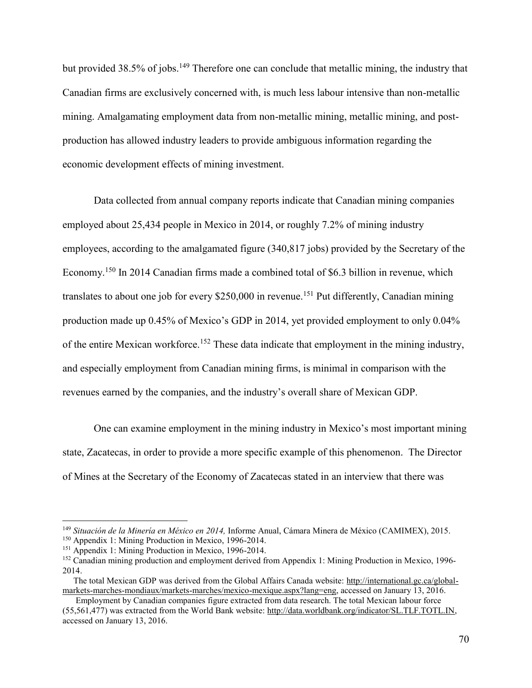but provided 38.5% of jobs.<sup>149</sup> Therefore one can conclude that metallic mining, the industry that Canadian firms are exclusively concerned with, is much less labour intensive than non-metallic mining. Amalgamating employment data from non-metallic mining, metallic mining, and postproduction has allowed industry leaders to provide ambiguous information regarding the economic development effects of mining investment.

Data collected from annual company reports indicate that Canadian mining companies employed about 25,434 people in Mexico in 2014, or roughly 7.2% of mining industry employees, according to the amalgamated figure (340,817 jobs) provided by the Secretary of the Economy.<sup>150</sup> In 2014 Canadian firms made a combined total of \$6.3 billion in revenue, which translates to about one job for every \$250,000 in revenue.<sup>151</sup> Put differently, Canadian mining production made up 0.45% of Mexico's GDP in 2014, yet provided employment to only 0.04% of the entire Mexican workforce.<sup>152</sup> These data indicate that employment in the mining industry, and especially employment from Canadian mining firms, is minimal in comparison with the revenues earned by the companies, and the industry's overall share of Mexican GDP.

One can examine employment in the mining industry in Mexico's most important mining state, Zacatecas, in order to provide a more specific example of this phenomenon. The Director of Mines at the Secretary of the Economy of Zacatecas stated in an interview that there was

<sup>149</sup> *Situación de la Minería en México en 2014,* Informe Anual, Cámara Minera de México (CAMIMEX), 2015.

<sup>150</sup> Appendix 1: Mining Production in Mexico, 1996-2014.

<sup>&</sup>lt;sup>151</sup> Appendix 1: Mining Production in Mexico, 1996-2014.

<sup>&</sup>lt;sup>152</sup> Canadian mining production and employment derived from Appendix 1: Mining Production in Mexico, 1996-2014.

The total Mexican GDP was derived from the Global Affairs Canada website: [http://international.gc.ca/global](http://international.gc.ca/global-markets-marches-mondiaux/markets-marches/mexico-mexique.aspx?lang=eng)[markets-marches-mondiaux/markets-marches/mexico-mexique.aspx?lang=eng,](http://international.gc.ca/global-markets-marches-mondiaux/markets-marches/mexico-mexique.aspx?lang=eng) accessed on January 13, 2016.

Employment by Canadian companies figure extracted from data research. The total Mexican labour force (55,561,477) was extracted from the World Bank website: [http://data.worldbank.org/indicator/SL.TLF.TOTL.IN,](http://data.worldbank.org/indicator/SL.TLF.TOTL.IN) accessed on January 13, 2016.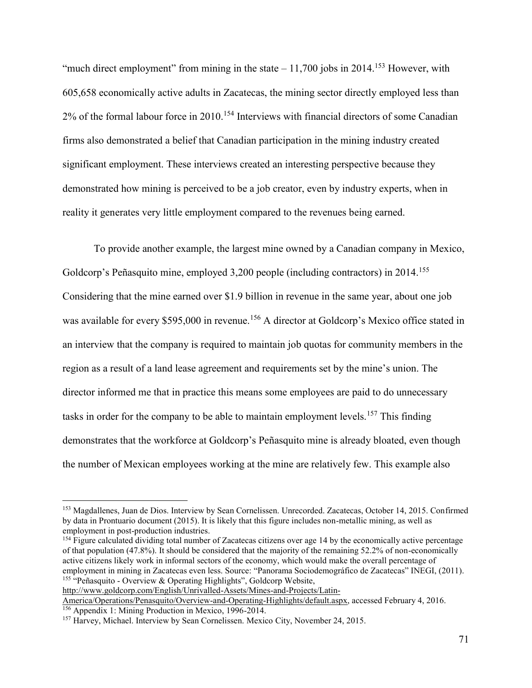"much direct employment" from mining in the state  $-11,700$  jobs in 2014.<sup>153</sup> However, with 605,658 economically active adults in Zacatecas, the mining sector directly employed less than 2% of the formal labour force in 2010.<sup>154</sup> Interviews with financial directors of some Canadian firms also demonstrated a belief that Canadian participation in the mining industry created significant employment. These interviews created an interesting perspective because they demonstrated how mining is perceived to be a job creator, even by industry experts, when in reality it generates very little employment compared to the revenues being earned.

To provide another example, the largest mine owned by a Canadian company in Mexico, Goldcorp's Peñasquito mine, employed 3,200 people (including contractors) in 2014.<sup>155</sup> Considering that the mine earned over \$1.9 billion in revenue in the same year, about one job was available for every \$595,000 in revenue.<sup>156</sup> A director at Goldcorp's Mexico office stated in an interview that the company is required to maintain job quotas for community members in the region as a result of a land lease agreement and requirements set by the mine's union. The director informed me that in practice this means some employees are paid to do unnecessary tasks in order for the company to be able to maintain employment levels.<sup>157</sup> This finding demonstrates that the workforce at Goldcorp's Peñasquito mine is already bloated, even though the number of Mexican employees working at the mine are relatively few. This example also

[http://www.goldcorp.com/English/Unrivalled-Assets/Mines-and-Projects/Latin-](http://www.goldcorp.com/English/Unrivalled-Assets/Mines-and-Projects/Latin-America/Operations/Penasquito/Overview-and-Operating-Highlights/default.aspx)[America/Operations/Penasquito/Overview-and-Operating-Highlights/default.aspx,](http://www.goldcorp.com/English/Unrivalled-Assets/Mines-and-Projects/Latin-America/Operations/Penasquito/Overview-and-Operating-Highlights/default.aspx) accessed February 4, 2016.

<sup>153</sup> Magdallenes, Juan de Dios. Interview by Sean Cornelissen. Unrecorded. Zacatecas, October 14, 2015. Confirmed by data in Prontuario document (2015). It is likely that this figure includes non-metallic mining, as well as employment in post-production industries.

<sup>&</sup>lt;sup>154</sup> Figure calculated dividing total number of Zacatecas citizens over age 14 by the economically active percentage of that population (47.8%). It should be considered that the majority of the remaining 52.2% of non-economically active citizens likely work in informal sectors of the economy, which would make the overall percentage of employment in mining in Zacatecas even less. Source: "Panorama Sociodemográfico de Zacatecas" INEGI, (2011). <sup>155</sup> "Peñasquito - Overview & Operating Highlights", Goldcorp Website,

<sup>156</sup> Appendix 1: Mining Production in Mexico, 1996-2014.

<sup>&</sup>lt;sup>157</sup> Harvey, Michael. Interview by Sean Cornelissen. Mexico City, November 24, 2015.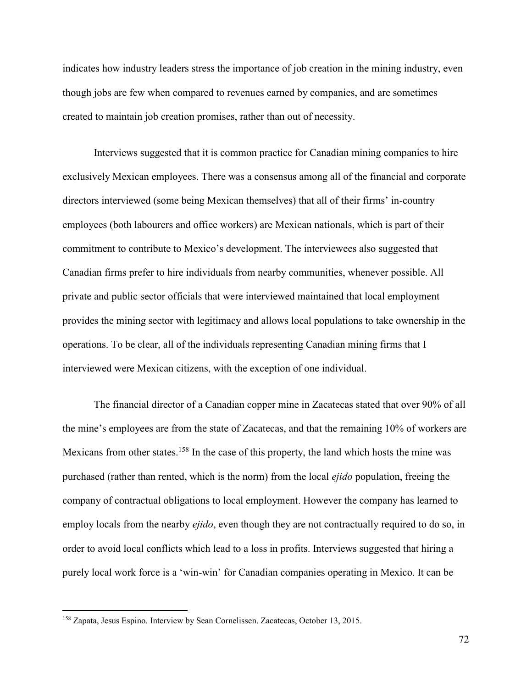indicates how industry leaders stress the importance of job creation in the mining industry, even though jobs are few when compared to revenues earned by companies, and are sometimes created to maintain job creation promises, rather than out of necessity.

Interviews suggested that it is common practice for Canadian mining companies to hire exclusively Mexican employees. There was a consensus among all of the financial and corporate directors interviewed (some being Mexican themselves) that all of their firms' in-country employees (both labourers and office workers) are Mexican nationals, which is part of their commitment to contribute to Mexico's development. The interviewees also suggested that Canadian firms prefer to hire individuals from nearby communities, whenever possible. All private and public sector officials that were interviewed maintained that local employment provides the mining sector with legitimacy and allows local populations to take ownership in the operations. To be clear, all of the individuals representing Canadian mining firms that I interviewed were Mexican citizens, with the exception of one individual.

The financial director of a Canadian copper mine in Zacatecas stated that over 90% of all the mine's employees are from the state of Zacatecas, and that the remaining 10% of workers are Mexicans from other states.<sup>158</sup> In the case of this property, the land which hosts the mine was purchased (rather than rented, which is the norm) from the local *ejido* population, freeing the company of contractual obligations to local employment. However the company has learned to employ locals from the nearby *ejido*, even though they are not contractually required to do so, in order to avoid local conflicts which lead to a loss in profits. Interviews suggested that hiring a purely local work force is a 'win-win' for Canadian companies operating in Mexico. It can be

<sup>158</sup> Zapata, Jesus Espino. Interview by Sean Cornelissen. Zacatecas, October 13, 2015.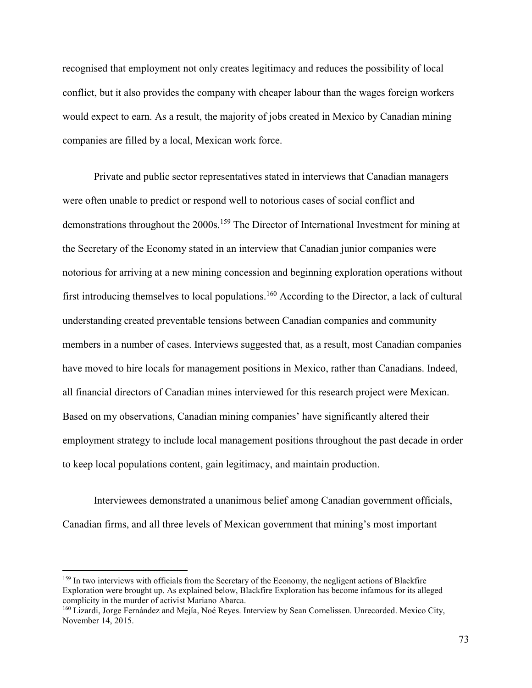recognised that employment not only creates legitimacy and reduces the possibility of local conflict, but it also provides the company with cheaper labour than the wages foreign workers would expect to earn. As a result, the majority of jobs created in Mexico by Canadian mining companies are filled by a local, Mexican work force.

Private and public sector representatives stated in interviews that Canadian managers were often unable to predict or respond well to notorious cases of social conflict and demonstrations throughout the 2000s.<sup>159</sup> The Director of International Investment for mining at the Secretary of the Economy stated in an interview that Canadian junior companies were notorious for arriving at a new mining concession and beginning exploration operations without first introducing themselves to local populations.<sup>160</sup> According to the Director, a lack of cultural understanding created preventable tensions between Canadian companies and community members in a number of cases. Interviews suggested that, as a result, most Canadian companies have moved to hire locals for management positions in Mexico, rather than Canadians. Indeed, all financial directors of Canadian mines interviewed for this research project were Mexican. Based on my observations, Canadian mining companies' have significantly altered their employment strategy to include local management positions throughout the past decade in order to keep local populations content, gain legitimacy, and maintain production.

Interviewees demonstrated a unanimous belief among Canadian government officials, Canadian firms, and all three levels of Mexican government that mining's most important

<sup>&</sup>lt;sup>159</sup> In two interviews with officials from the Secretary of the Economy, the negligent actions of Blackfire Exploration were brought up. As explained below, Blackfire Exploration has become infamous for its alleged complicity in the murder of activist Mariano Abarca.

<sup>160</sup> Lizardi, Jorge Fernández and Mejía, Noé Reyes. Interview by Sean Cornelissen. Unrecorded. Mexico City, November 14, 2015.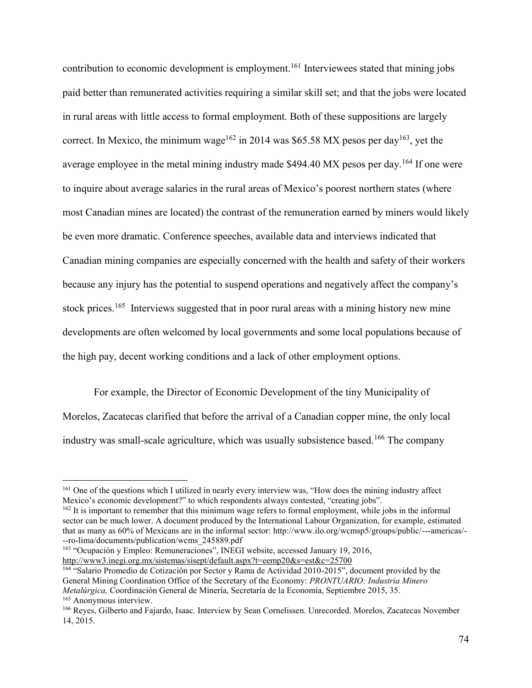contribution to economic development is employment.<sup>161</sup> Interviewees stated that mining jobs paid better than remunerated activities requiring a similar skill set; and that the jobs were located in rural areas with little access to formal employment. Both of these suppositions are largely correct. In Mexico, the minimum wage<sup>162</sup> in 2014 was \$65.58 MX pesos per day<sup>163</sup>, yet the average employee in the metal mining industry made \$494.40 MX pesos per day.<sup>164</sup> If one were to inquire about average salaries in the rural areas of Mexico's poorest northern states (where most Canadian mines are located) the contrast of the remuneration earned by miners would likely be even more dramatic. Conference speeches, available data and interviews indicated that Canadian mining companies are especially concerned with the health and safety of their workers because any injury has the potential to suspend operations and negatively affect the company's stock prices.<sup>165</sup> Interviews suggested that in poor rural areas with a mining history new mine developments are often welcomed by local governments and some local populations because of the high pay, decent working conditions and a lack of other employment options.

For example, the Director of Economic Development of the tiny Municipality of Morelos, Zacatecas clarified that before the arrival of a Canadian copper mine, the only local industry was small-scale agriculture, which was usually subsistence based.<sup>166</sup> The company

<sup>163</sup> "Ocupación y Empleo: Remuneraciones", INEGI website, accessed January 19, 2016, <http://www3.inegi.org.mx/sistemas/sisept/default.aspx?t=eemp20&s=est&c=25700>

<sup>161</sup> One of the questions which I utilized in nearly every interview was, "How does the mining industry affect Mexico's economic development?" to which respondents always contested, "creating jobs".

<sup>&</sup>lt;sup>162</sup> It is important to remember that this minimum wage refers to formal employment, while jobs in the informal sector can be much lower. A document produced by the International Labour Organization, for example, estimated that as many as 60% of Mexicans are in the informal sector: http://www.ilo.org/wcmsp5/groups/public/---americas/- --ro-lima/documents/publication/wcms\_245889.pdf

<sup>164</sup> "Salario Promedio de Cotización por Sector y Rama de Actividad 2010-2015", document provided by the General Mining Coordination Office of the Secretary of the Economy: *PRONTUARIO: Industria Minero Metalúrgica,* Coordinación General de Minería, Secretaría de la Economía, Septiembre 2015, 35. <sup>165</sup> Anonymous interview.

<sup>166</sup> Reyes, Gilberto and Fajardo, Isaac. Interview by Sean Cornelissen. Unrecorded. Morelos, Zacatecas November 14, 2015.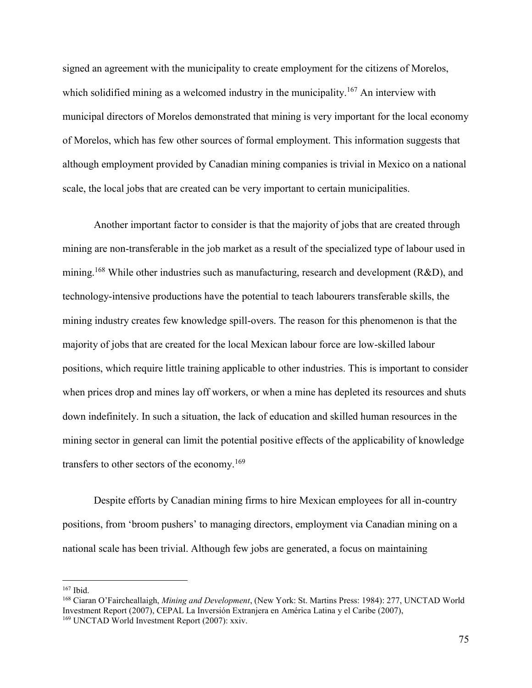signed an agreement with the municipality to create employment for the citizens of Morelos, which solidified mining as a welcomed industry in the municipality.<sup>167</sup> An interview with municipal directors of Morelos demonstrated that mining is very important for the local economy of Morelos, which has few other sources of formal employment. This information suggests that although employment provided by Canadian mining companies is trivial in Mexico on a national scale, the local jobs that are created can be very important to certain municipalities.

Another important factor to consider is that the majority of jobs that are created through mining are non-transferable in the job market as a result of the specialized type of labour used in mining.<sup>168</sup> While other industries such as manufacturing, research and development (R&D), and technology-intensive productions have the potential to teach labourers transferable skills, the mining industry creates few knowledge spill-overs. The reason for this phenomenon is that the majority of jobs that are created for the local Mexican labour force are low-skilled labour positions, which require little training applicable to other industries. This is important to consider when prices drop and mines lay off workers, or when a mine has depleted its resources and shuts down indefinitely. In such a situation, the lack of education and skilled human resources in the mining sector in general can limit the potential positive effects of the applicability of knowledge transfers to other sectors of the economy.<sup>169</sup>

Despite efforts by Canadian mining firms to hire Mexican employees for all in-country positions, from 'broom pushers' to managing directors, employment via Canadian mining on a national scale has been trivial. Although few jobs are generated, a focus on maintaining

 $167$  Ibid.

<sup>168</sup> Ciaran O'Faircheallaigh, *Mining and Development*, (New York: St. Martins Press: 1984): 277, UNCTAD World Investment Report (2007), CEPAL La Inversión Extranjera en América Latina y el Caribe (2007), 169 UNCTAD World Investment Report (2007): xxiv.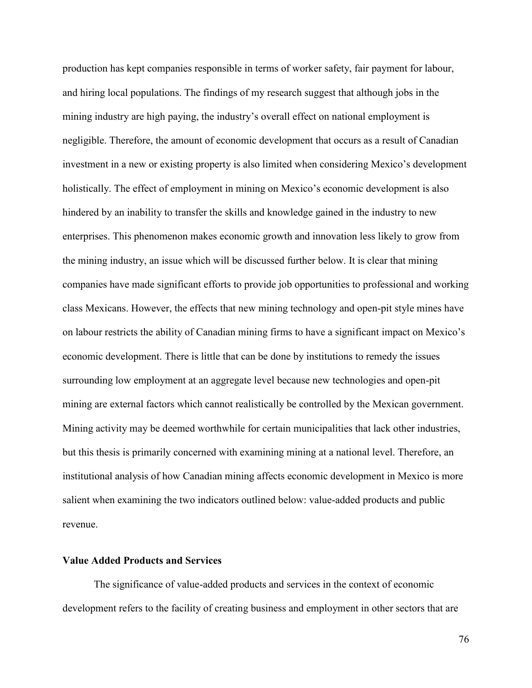production has kept companies responsible in terms of worker safety, fair payment for labour, and hiring local populations. The findings of my research suggest that although jobs in the mining industry are high paying, the industry's overall effect on national employment is negligible. Therefore, the amount of economic development that occurs as a result of Canadian investment in a new or existing property is also limited when considering Mexico's development holistically. The effect of employment in mining on Mexico's economic development is also hindered by an inability to transfer the skills and knowledge gained in the industry to new enterprises. This phenomenon makes economic growth and innovation less likely to grow from the mining industry, an issue which will be discussed further below. It is clear that mining companies have made significant efforts to provide job opportunities to professional and working class Mexicans. However, the effects that new mining technology and open-pit style mines have on labour restricts the ability of Canadian mining firms to have a significant impact on Mexico's economic development. There is little that can be done by institutions to remedy the issues surrounding low employment at an aggregate level because new technologies and open-pit mining are external factors which cannot realistically be controlled by the Mexican government. Mining activity may be deemed worthwhile for certain municipalities that lack other industries, but this thesis is primarily concerned with examining mining at a national level. Therefore, an institutional analysis of how Canadian mining affects economic development in Mexico is more salient when examining the two indicators outlined below: value-added products and public revenue.

## **Value Added Products and Services**

The significance of value-added products and services in the context of economic development refers to the facility of creating business and employment in other sectors that are

76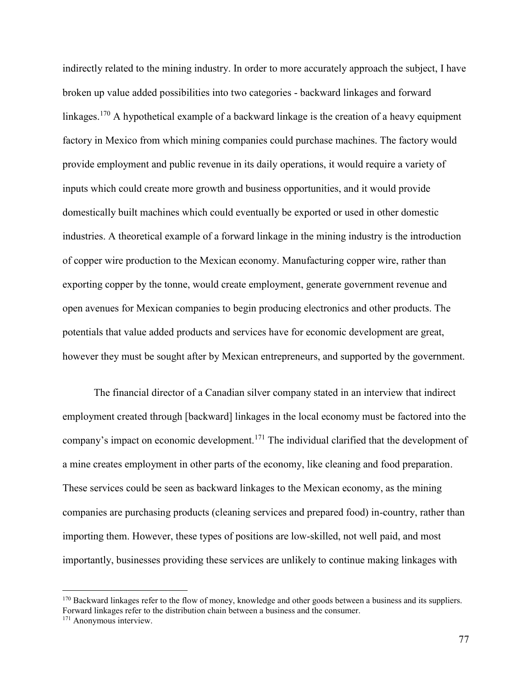indirectly related to the mining industry. In order to more accurately approach the subject, I have broken up value added possibilities into two categories - backward linkages and forward linkages.<sup>170</sup> A hypothetical example of a backward linkage is the creation of a heavy equipment factory in Mexico from which mining companies could purchase machines. The factory would provide employment and public revenue in its daily operations, it would require a variety of inputs which could create more growth and business opportunities, and it would provide domestically built machines which could eventually be exported or used in other domestic industries. A theoretical example of a forward linkage in the mining industry is the introduction of copper wire production to the Mexican economy. Manufacturing copper wire, rather than exporting copper by the tonne, would create employment, generate government revenue and open avenues for Mexican companies to begin producing electronics and other products. The potentials that value added products and services have for economic development are great, however they must be sought after by Mexican entrepreneurs, and supported by the government.

 The financial director of a Canadian silver company stated in an interview that indirect employment created through [backward] linkages in the local economy must be factored into the company's impact on economic development.<sup>171</sup> The individual clarified that the development of a mine creates employment in other parts of the economy, like cleaning and food preparation. These services could be seen as backward linkages to the Mexican economy, as the mining companies are purchasing products (cleaning services and prepared food) in-country, rather than importing them. However, these types of positions are low-skilled, not well paid, and most importantly, businesses providing these services are unlikely to continue making linkages with

<sup>&</sup>lt;sup>170</sup> Backward linkages refer to the flow of money, knowledge and other goods between a business and its suppliers. Forward linkages refer to the distribution chain between a business and the consumer.

<sup>&</sup>lt;sup>171</sup> Anonymous interview.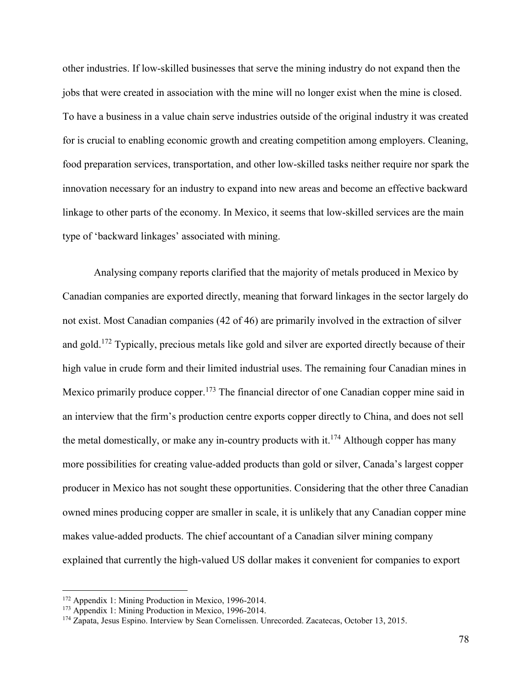other industries. If low-skilled businesses that serve the mining industry do not expand then the jobs that were created in association with the mine will no longer exist when the mine is closed. To have a business in a value chain serve industries outside of the original industry it was created for is crucial to enabling economic growth and creating competition among employers. Cleaning, food preparation services, transportation, and other low-skilled tasks neither require nor spark the innovation necessary for an industry to expand into new areas and become an effective backward linkage to other parts of the economy. In Mexico, it seems that low-skilled services are the main type of 'backward linkages' associated with mining.

 Analysing company reports clarified that the majority of metals produced in Mexico by Canadian companies are exported directly, meaning that forward linkages in the sector largely do not exist. Most Canadian companies (42 of 46) are primarily involved in the extraction of silver and gold.<sup>172</sup> Typically, precious metals like gold and silver are exported directly because of their high value in crude form and their limited industrial uses. The remaining four Canadian mines in Mexico primarily produce copper.<sup>173</sup> The financial director of one Canadian copper mine said in an interview that the firm's production centre exports copper directly to China, and does not sell the metal domestically, or make any in-country products with it.<sup>174</sup> Although copper has many more possibilities for creating value-added products than gold or silver, Canada's largest copper producer in Mexico has not sought these opportunities. Considering that the other three Canadian owned mines producing copper are smaller in scale, it is unlikely that any Canadian copper mine makes value-added products. The chief accountant of a Canadian silver mining company explained that currently the high-valued US dollar makes it convenient for companies to export

<sup>172</sup> Appendix 1: Mining Production in Mexico, 1996-2014.

<sup>173</sup> Appendix 1: Mining Production in Mexico, 1996-2014.

<sup>&</sup>lt;sup>174</sup> Zapata, Jesus Espino. Interview by Sean Cornelissen. Unrecorded. Zacatecas, October 13, 2015.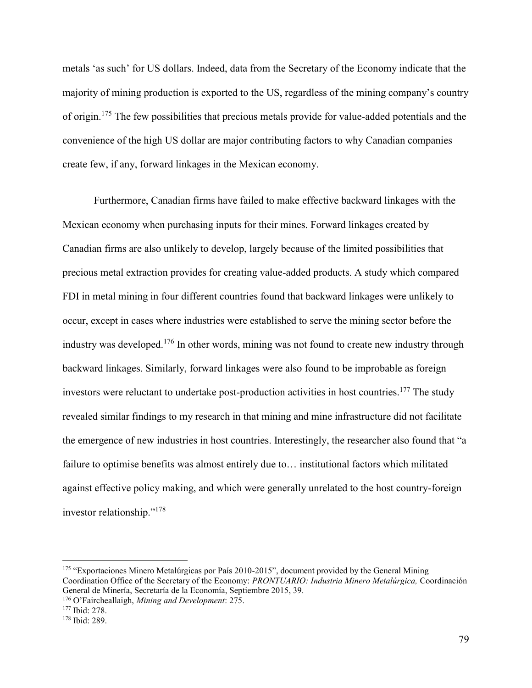metals 'as such' for US dollars. Indeed, data from the Secretary of the Economy indicate that the majority of mining production is exported to the US, regardless of the mining company's country of origin.<sup>175</sup> The few possibilities that precious metals provide for value-added potentials and the convenience of the high US dollar are major contributing factors to why Canadian companies create few, if any, forward linkages in the Mexican economy.

 Furthermore, Canadian firms have failed to make effective backward linkages with the Mexican economy when purchasing inputs for their mines. Forward linkages created by Canadian firms are also unlikely to develop, largely because of the limited possibilities that precious metal extraction provides for creating value-added products. A study which compared FDI in metal mining in four different countries found that backward linkages were unlikely to occur, except in cases where industries were established to serve the mining sector before the industry was developed.<sup>176</sup> In other words, mining was not found to create new industry through backward linkages. Similarly, forward linkages were also found to be improbable as foreign investors were reluctant to undertake post-production activities in host countries.<sup>177</sup> The study revealed similar findings to my research in that mining and mine infrastructure did not facilitate the emergence of new industries in host countries. Interestingly, the researcher also found that "a failure to optimise benefits was almost entirely due to… institutional factors which militated against effective policy making, and which were generally unrelated to the host country-foreign investor relationship."<sup>178</sup>

<sup>175</sup> "Exportaciones Minero Metalúrgicas por País 2010-2015", document provided by the General Mining Coordination Office of the Secretary of the Economy: *PRONTUARIO: Industria Minero Metalúrgica,* Coordinación General de Minería, Secretaría de la Economía, Septiembre 2015, 39.

<sup>176</sup> O'Faircheallaigh, *Mining and Development*: 275.

<sup>177</sup> Ibid: 278.

<sup>178</sup> Ibid: 289.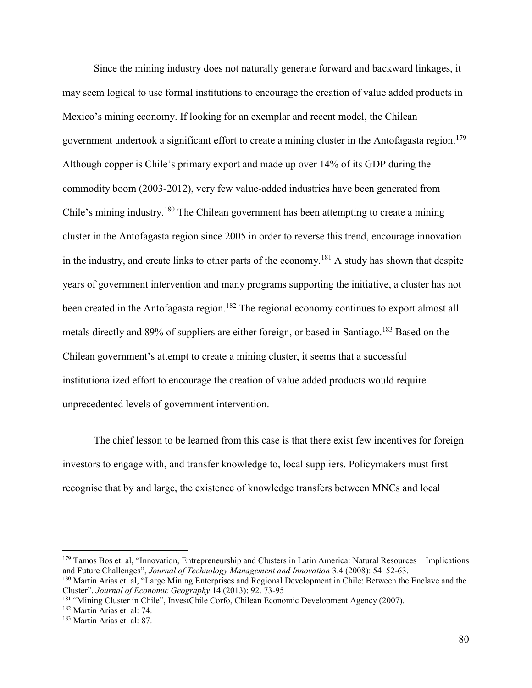Since the mining industry does not naturally generate forward and backward linkages, it may seem logical to use formal institutions to encourage the creation of value added products in Mexico's mining economy. If looking for an exemplar and recent model, the Chilean government undertook a significant effort to create a mining cluster in the Antofagasta region.<sup>179</sup> Although copper is Chile's primary export and made up over 14% of its GDP during the commodity boom (2003-2012), very few value-added industries have been generated from Chile's mining industry.<sup>180</sup> The Chilean government has been attempting to create a mining cluster in the Antofagasta region since 2005 in order to reverse this trend, encourage innovation in the industry, and create links to other parts of the economy.<sup>181</sup> A study has shown that despite years of government intervention and many programs supporting the initiative, a cluster has not been created in the Antofagasta region.<sup>182</sup> The regional economy continues to export almost all metals directly and 89% of suppliers are either foreign, or based in Santiago.<sup>183</sup> Based on the Chilean government's attempt to create a mining cluster, it seems that a successful institutionalized effort to encourage the creation of value added products would require unprecedented levels of government intervention.

The chief lesson to be learned from this case is that there exist few incentives for foreign investors to engage with, and transfer knowledge to, local suppliers. Policymakers must first recognise that by and large, the existence of knowledge transfers between MNCs and local

<sup>&</sup>lt;sup>179</sup> Tamos Bos et. al, "Innovation, Entrepreneurship and Clusters in Latin America: Natural Resources – Implications and Future Challenges", *Journal of Technology Management and Innovation* 3.4 (2008): 54 52-63.

<sup>180</sup> Martin Arias et. al, "Large Mining Enterprises and Regional Development in Chile: Between the Enclave and the Cluster", *Journal of Economic Geography* 14 (2013): 92. 73-95

<sup>181</sup> "Mining Cluster in Chile", InvestChile Corfo, Chilean Economic Development Agency (2007).

<sup>182</sup> Martin Arias et. al: 74.

<sup>183</sup> Martin Arias et. al: 87.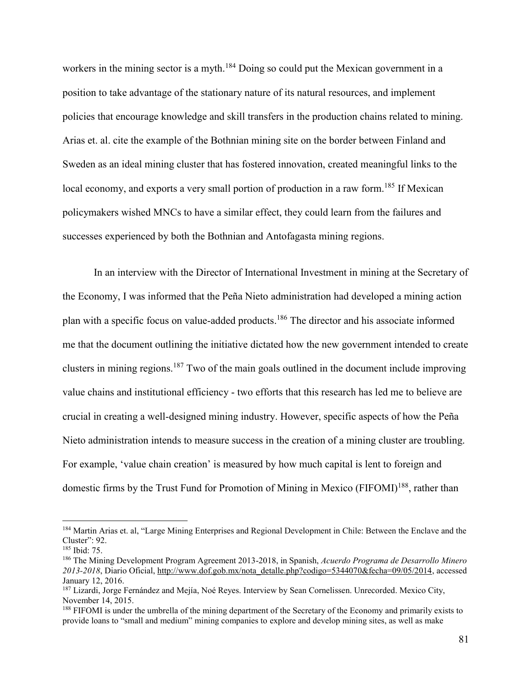workers in the mining sector is a myth.<sup>184</sup> Doing so could put the Mexican government in a position to take advantage of the stationary nature of its natural resources, and implement policies that encourage knowledge and skill transfers in the production chains related to mining. Arias et. al. cite the example of the Bothnian mining site on the border between Finland and Sweden as an ideal mining cluster that has fostered innovation, created meaningful links to the local economy, and exports a very small portion of production in a raw form.<sup>185</sup> If Mexican policymakers wished MNCs to have a similar effect, they could learn from the failures and successes experienced by both the Bothnian and Antofagasta mining regions.

 In an interview with the Director of International Investment in mining at the Secretary of the Economy, I was informed that the Peña Nieto administration had developed a mining action plan with a specific focus on value-added products.<sup>186</sup> The director and his associate informed me that the document outlining the initiative dictated how the new government intended to create clusters in mining regions.<sup>187</sup> Two of the main goals outlined in the document include improving value chains and institutional efficiency - two efforts that this research has led me to believe are crucial in creating a well-designed mining industry. However, specific aspects of how the Peña Nieto administration intends to measure success in the creation of a mining cluster are troubling. For example, 'value chain creation' is measured by how much capital is lent to foreign and domestic firms by the Trust Fund for Promotion of Mining in Mexico (FIFOMI)<sup>188</sup>, rather than

<sup>&</sup>lt;sup>184</sup> Martin Arias et. al, "Large Mining Enterprises and Regional Development in Chile: Between the Enclave and the Cluster": 92.

<sup>185</sup> Ibid: 75.

<sup>186</sup> The Mining Development Program Agreement 2013-2018, in Spanish, *Acuerdo Programa de Desarrollo Minero 2013-2018*, Diario Oficial, [http://www.dof.gob.mx/nota\\_detalle.php?codigo=5344070&fecha=09/05/2014,](http://www.dof.gob.mx/nota_detalle.php?codigo=5344070&fecha=09/05/2014) accessed January 12, 2016.

<sup>&</sup>lt;sup>187</sup> Lizardi, Jorge Fernández and Mejía, Noé Reyes. Interview by Sean Cornelissen. Unrecorded. Mexico City, November 14, 2015.

<sup>&</sup>lt;sup>188</sup> FIFOMI is under the umbrella of the mining department of the Secretary of the Economy and primarily exists to provide loans to "small and medium" mining companies to explore and develop mining sites, as well as make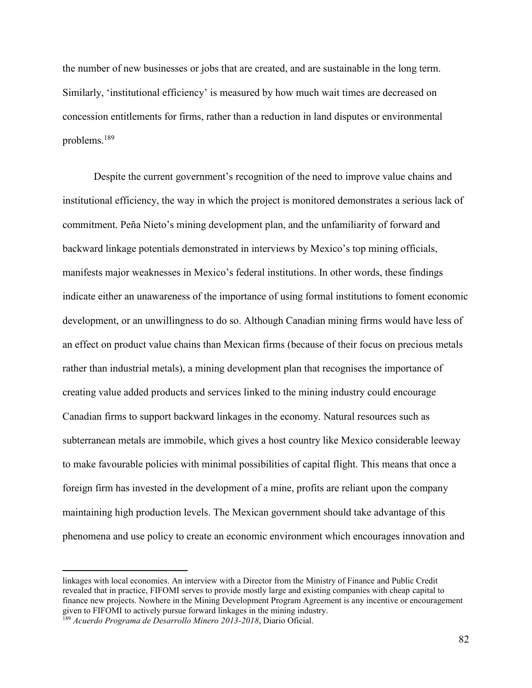the number of new businesses or jobs that are created, and are sustainable in the long term. Similarly, 'institutional efficiency' is measured by how much wait times are decreased on concession entitlements for firms, rather than a reduction in land disputes or environmental problems.<sup>189</sup>

Despite the current government's recognition of the need to improve value chains and institutional efficiency, the way in which the project is monitored demonstrates a serious lack of commitment. Peña Nieto's mining development plan, and the unfamiliarity of forward and backward linkage potentials demonstrated in interviews by Mexico's top mining officials, manifests major weaknesses in Mexico's federal institutions. In other words, these findings indicate either an unawareness of the importance of using formal institutions to foment economic development, or an unwillingness to do so. Although Canadian mining firms would have less of an effect on product value chains than Mexican firms (because of their focus on precious metals rather than industrial metals), a mining development plan that recognises the importance of creating value added products and services linked to the mining industry could encourage Canadian firms to support backward linkages in the economy. Natural resources such as subterranean metals are immobile, which gives a host country like Mexico considerable leeway to make favourable policies with minimal possibilities of capital flight. This means that once a foreign firm has invested in the development of a mine, profits are reliant upon the company maintaining high production levels. The Mexican government should take advantage of this phenomena and use policy to create an economic environment which encourages innovation and

linkages with local economies. An interview with a Director from the Ministry of Finance and Public Credit revealed that in practice, FIFOMI serves to provide mostly large and existing companies with cheap capital to finance new projects. Nowhere in the Mining Development Program Agreement is any incentive or encouragement given to FIFOMI to actively pursue forward linkages in the mining industry.

<sup>189</sup> *Acuerdo Programa de Desarrollo Minero 2013-2018*, Diario Oficial.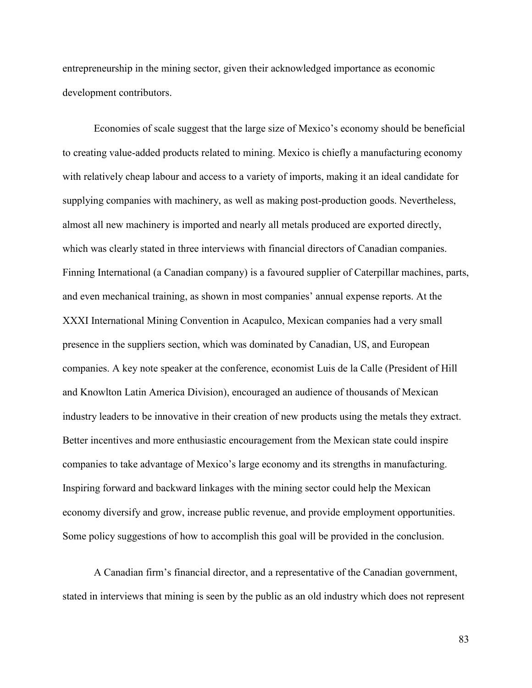entrepreneurship in the mining sector, given their acknowledged importance as economic development contributors.

Economies of scale suggest that the large size of Mexico's economy should be beneficial to creating value-added products related to mining. Mexico is chiefly a manufacturing economy with relatively cheap labour and access to a variety of imports, making it an ideal candidate for supplying companies with machinery, as well as making post-production goods. Nevertheless, almost all new machinery is imported and nearly all metals produced are exported directly, which was clearly stated in three interviews with financial directors of Canadian companies. Finning International (a Canadian company) is a favoured supplier of Caterpillar machines, parts, and even mechanical training, as shown in most companies' annual expense reports. At the XXXI International Mining Convention in Acapulco, Mexican companies had a very small presence in the suppliers section, which was dominated by Canadian, US, and European companies. A key note speaker at the conference, economist Luis de la Calle (President of Hill and Knowlton Latin America Division), encouraged an audience of thousands of Mexican industry leaders to be innovative in their creation of new products using the metals they extract. Better incentives and more enthusiastic encouragement from the Mexican state could inspire companies to take advantage of Mexico's large economy and its strengths in manufacturing. Inspiring forward and backward linkages with the mining sector could help the Mexican economy diversify and grow, increase public revenue, and provide employment opportunities. Some policy suggestions of how to accomplish this goal will be provided in the conclusion.

A Canadian firm's financial director, and a representative of the Canadian government, stated in interviews that mining is seen by the public as an old industry which does not represent

83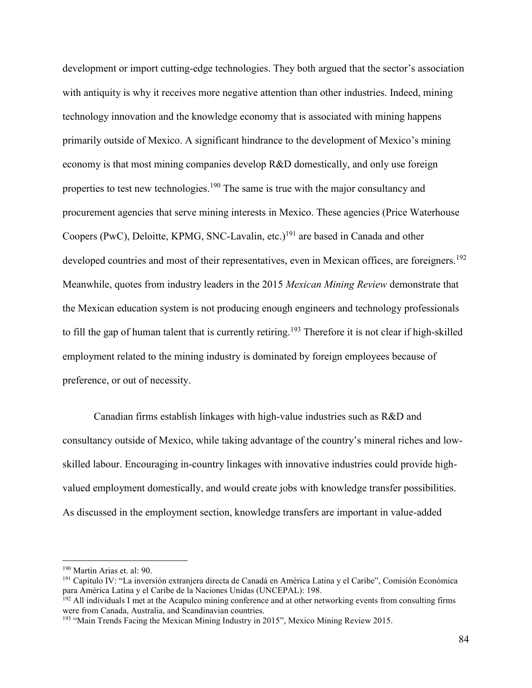development or import cutting-edge technologies. They both argued that the sector's association with antiquity is why it receives more negative attention than other industries. Indeed, mining technology innovation and the knowledge economy that is associated with mining happens primarily outside of Mexico. A significant hindrance to the development of Mexico's mining economy is that most mining companies develop R&D domestically, and only use foreign properties to test new technologies.<sup>190</sup> The same is true with the major consultancy and procurement agencies that serve mining interests in Mexico. These agencies (Price Waterhouse Coopers (PwC), Deloitte, KPMG, SNC-Lavalin, etc.)<sup>191</sup> are based in Canada and other developed countries and most of their representatives, even in Mexican offices, are foreigners.<sup>192</sup> Meanwhile, quotes from industry leaders in the 2015 *Mexican Mining Review* demonstrate that the Mexican education system is not producing enough engineers and technology professionals to fill the gap of human talent that is currently retiring.<sup>193</sup> Therefore it is not clear if high-skilled employment related to the mining industry is dominated by foreign employees because of preference, or out of necessity.

Canadian firms establish linkages with high-value industries such as R&D and consultancy outside of Mexico, while taking advantage of the country's mineral riches and lowskilled labour. Encouraging in-country linkages with innovative industries could provide highvalued employment domestically, and would create jobs with knowledge transfer possibilities. As discussed in the employment section, knowledge transfers are important in value-added

<sup>190</sup> Martin Arias et. al: 90.

<sup>191</sup> Capítulo IV: "La inversión extranjera directa de Canadá en América Latina y el Caribe", Comisión Económica para América Latina y el Caribe de la Naciones Unidas (UNCEPAL): 198.

 $192$  All individuals I met at the Acapulco mining conference and at other networking events from consulting firms were from Canada, Australia, and Scandinavian countries.

<sup>&</sup>lt;sup>193</sup> "Main Trends Facing the Mexican Mining Industry in 2015", Mexico Mining Review 2015.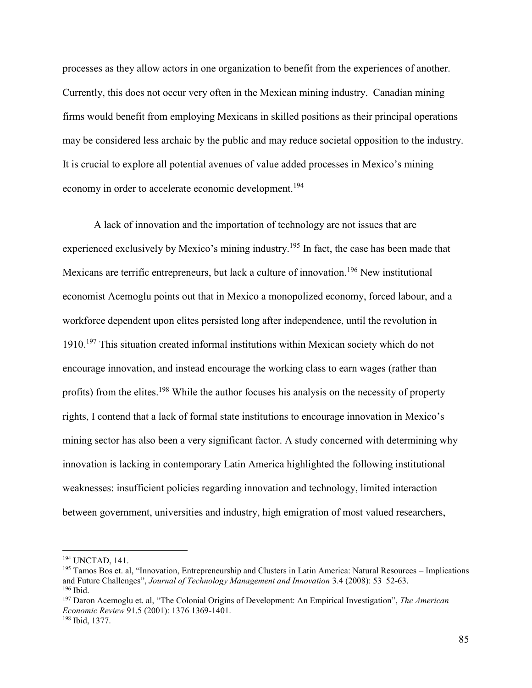processes as they allow actors in one organization to benefit from the experiences of another. Currently, this does not occur very often in the Mexican mining industry. Canadian mining firms would benefit from employing Mexicans in skilled positions as their principal operations may be considered less archaic by the public and may reduce societal opposition to the industry. It is crucial to explore all potential avenues of value added processes in Mexico's mining economy in order to accelerate economic development.<sup>194</sup>

A lack of innovation and the importation of technology are not issues that are experienced exclusively by Mexico's mining industry.<sup>195</sup> In fact, the case has been made that Mexicans are terrific entrepreneurs, but lack a culture of innovation.<sup>196</sup> New institutional economist Acemoglu points out that in Mexico a monopolized economy, forced labour, and a workforce dependent upon elites persisted long after independence, until the revolution in 1910.<sup>197</sup> This situation created informal institutions within Mexican society which do not encourage innovation, and instead encourage the working class to earn wages (rather than profits) from the elites.<sup>198</sup> While the author focuses his analysis on the necessity of property rights, I contend that a lack of formal state institutions to encourage innovation in Mexico's mining sector has also been a very significant factor. A study concerned with determining why innovation is lacking in contemporary Latin America highlighted the following institutional weaknesses: insufficient policies regarding innovation and technology, limited interaction between government, universities and industry, high emigration of most valued researchers,

<sup>194</sup> UNCTAD, 141.

<sup>195</sup> Tamos Bos et. al, "Innovation, Entrepreneurship and Clusters in Latin America: Natural Resources – Implications and Future Challenges", *Journal of Technology Management and Innovation* 3.4 (2008): 53 52-63. <sup>196</sup> Ibid.

<sup>197</sup> Daron Acemoglu et. al, "The Colonial Origins of Development: An Empirical Investigation", *The American Economic Review* 91.5 (2001): 1376 1369-1401.

<sup>198</sup> Ibid, 1377.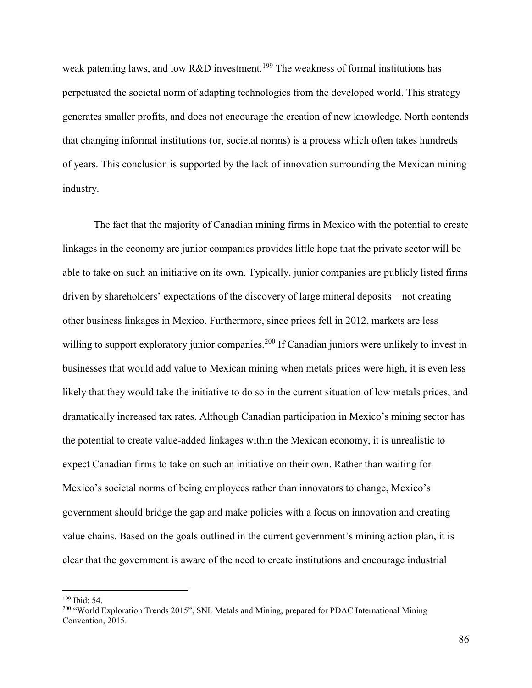weak patenting laws, and low R&D investment.<sup>199</sup> The weakness of formal institutions has perpetuated the societal norm of adapting technologies from the developed world. This strategy generates smaller profits, and does not encourage the creation of new knowledge. North contends that changing informal institutions (or, societal norms) is a process which often takes hundreds of years. This conclusion is supported by the lack of innovation surrounding the Mexican mining industry.

The fact that the majority of Canadian mining firms in Mexico with the potential to create linkages in the economy are junior companies provides little hope that the private sector will be able to take on such an initiative on its own. Typically, junior companies are publicly listed firms driven by shareholders' expectations of the discovery of large mineral deposits – not creating other business linkages in Mexico. Furthermore, since prices fell in 2012, markets are less willing to support exploratory junior companies.<sup>200</sup> If Canadian juniors were unlikely to invest in businesses that would add value to Mexican mining when metals prices were high, it is even less likely that they would take the initiative to do so in the current situation of low metals prices, and dramatically increased tax rates. Although Canadian participation in Mexico's mining sector has the potential to create value-added linkages within the Mexican economy, it is unrealistic to expect Canadian firms to take on such an initiative on their own. Rather than waiting for Mexico's societal norms of being employees rather than innovators to change, Mexico's government should bridge the gap and make policies with a focus on innovation and creating value chains. Based on the goals outlined in the current government's mining action plan, it is clear that the government is aware of the need to create institutions and encourage industrial

<sup>199</sup> Ibid: 54.

<sup>&</sup>lt;sup>200</sup> "World Exploration Trends 2015", SNL Metals and Mining, prepared for PDAC International Mining Convention, 2015.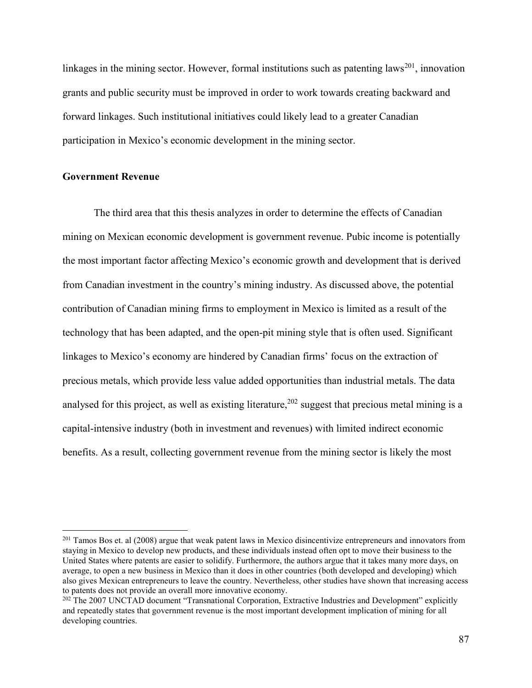linkages in the mining sector. However, formal institutions such as patenting laws<sup>201</sup>, innovation grants and public security must be improved in order to work towards creating backward and forward linkages. Such institutional initiatives could likely lead to a greater Canadian participation in Mexico's economic development in the mining sector.

## **Government Revenue**

 $\overline{a}$ 

 The third area that this thesis analyzes in order to determine the effects of Canadian mining on Mexican economic development is government revenue. Pubic income is potentially the most important factor affecting Mexico's economic growth and development that is derived from Canadian investment in the country's mining industry. As discussed above, the potential contribution of Canadian mining firms to employment in Mexico is limited as a result of the technology that has been adapted, and the open-pit mining style that is often used. Significant linkages to Mexico's economy are hindered by Canadian firms' focus on the extraction of precious metals, which provide less value added opportunities than industrial metals. The data analysed for this project, as well as existing literature,  $202$  suggest that precious metal mining is a capital-intensive industry (both in investment and revenues) with limited indirect economic benefits. As a result, collecting government revenue from the mining sector is likely the most

<sup>&</sup>lt;sup>201</sup> Tamos Bos et. al (2008) argue that weak patent laws in Mexico disincentivize entrepreneurs and innovators from staying in Mexico to develop new products, and these individuals instead often opt to move their business to the United States where patents are easier to solidify. Furthermore, the authors argue that it takes many more days, on average, to open a new business in Mexico than it does in other countries (both developed and developing) which also gives Mexican entrepreneurs to leave the country. Nevertheless, other studies have shown that increasing access to patents does not provide an overall more innovative economy.

<sup>&</sup>lt;sup>202</sup> The 2007 UNCTAD document "Transnational Corporation, Extractive Industries and Development" explicitly and repeatedly states that government revenue is the most important development implication of mining for all developing countries.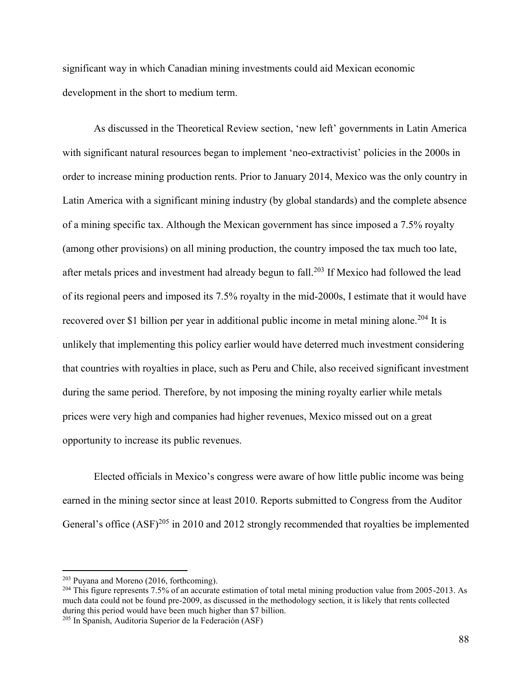significant way in which Canadian mining investments could aid Mexican economic development in the short to medium term.

As discussed in the Theoretical Review section, 'new left' governments in Latin America with significant natural resources began to implement 'neo-extractivist' policies in the 2000s in order to increase mining production rents. Prior to January 2014, Mexico was the only country in Latin America with a significant mining industry (by global standards) and the complete absence of a mining specific tax. Although the Mexican government has since imposed a 7.5% royalty (among other provisions) on all mining production, the country imposed the tax much too late, after metals prices and investment had already begun to fall.<sup>203</sup> If Mexico had followed the lead of its regional peers and imposed its 7.5% royalty in the mid-2000s, I estimate that it would have recovered over \$1 billion per year in additional public income in metal mining alone.<sup>204</sup> It is unlikely that implementing this policy earlier would have deterred much investment considering that countries with royalties in place, such as Peru and Chile, also received significant investment during the same period. Therefore, by not imposing the mining royalty earlier while metals prices were very high and companies had higher revenues, Mexico missed out on a great opportunity to increase its public revenues.

Elected officials in Mexico's congress were aware of how little public income was being earned in the mining sector since at least 2010. Reports submitted to Congress from the Auditor General's office  $(ASF)^{205}$  in 2010 and 2012 strongly recommended that royalties be implemented

<sup>203</sup> Puyana and Moreno (2016, forthcoming).

<sup>&</sup>lt;sup>204</sup> This figure represents 7.5% of an accurate estimation of total metal mining production value from 2005-2013. As much data could not be found pre-2009, as discussed in the methodology section, it is likely that rents collected during this period would have been much higher than \$7 billion.

<sup>205</sup> In Spanish, Auditoria Superior de la Federación (ASF)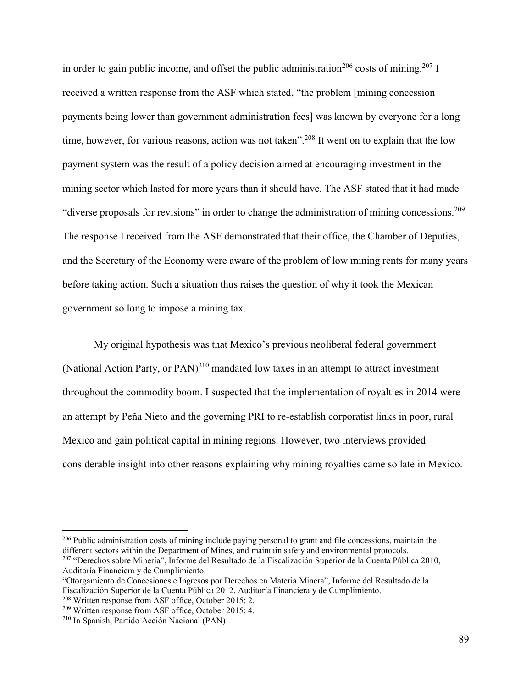in order to gain public income, and offset the public administration<sup>206</sup> costs of mining.<sup>207</sup> I received a written response from the ASF which stated, "the problem [mining concession payments being lower than government administration fees] was known by everyone for a long time, however, for various reasons, action was not taken".<sup>208</sup> It went on to explain that the low payment system was the result of a policy decision aimed at encouraging investment in the mining sector which lasted for more years than it should have. The ASF stated that it had made "diverse proposals for revisions" in order to change the administration of mining concessions.<sup>209</sup> The response I received from the ASF demonstrated that their office, the Chamber of Deputies, and the Secretary of the Economy were aware of the problem of low mining rents for many years before taking action. Such a situation thus raises the question of why it took the Mexican government so long to impose a mining tax.

My original hypothesis was that Mexico's previous neoliberal federal government (National Action Party, or  $PAN$ )<sup>210</sup> mandated low taxes in an attempt to attract investment throughout the commodity boom. I suspected that the implementation of royalties in 2014 were an attempt by Peña Nieto and the governing PRI to re-establish corporatist links in poor, rural Mexico and gain political capital in mining regions. However, two interviews provided considerable insight into other reasons explaining why mining royalties came so late in Mexico.

<sup>&</sup>lt;sup>206</sup> Public administration costs of mining include paying personal to grant and file concessions, maintain the different sectors within the Department of Mines, and maintain safety and environmental protocols.

<sup>207</sup> "Derechos sobre Minería", Informe del Resultado de la Fiscalización Superior de la Cuenta Pública 2010, Auditoría Financiera y de Cumplimiento.

<sup>&</sup>quot;Otorgamiento de Concesiones e Ingresos por Derechos en Materia Minera", Informe del Resultado de la Fiscalización Superior de la Cuenta Pública 2012, Auditoría Financiera y de Cumplimiento.

<sup>208</sup> Written response from ASF office, October 2015: 2.

<sup>209</sup> Written response from ASF office, October 2015: 4.

<sup>210</sup> In Spanish, Partido Acción Nacional (PAN)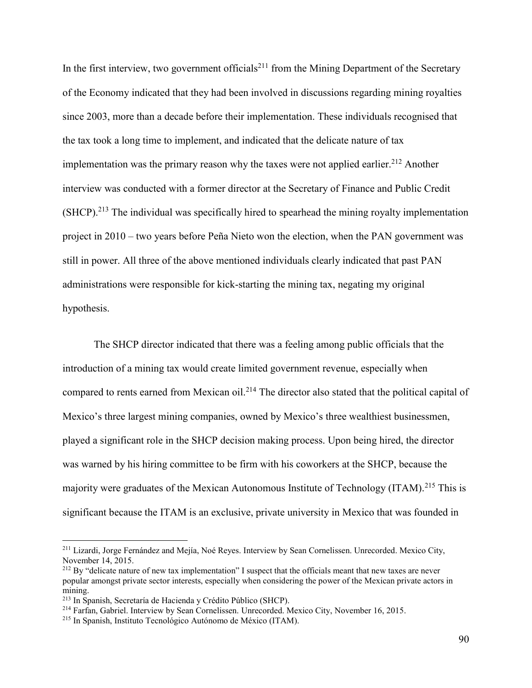In the first interview, two government officials<sup>211</sup> from the Mining Department of the Secretary of the Economy indicated that they had been involved in discussions regarding mining royalties since 2003, more than a decade before their implementation. These individuals recognised that the tax took a long time to implement, and indicated that the delicate nature of tax implementation was the primary reason why the taxes were not applied earlier.<sup>212</sup> Another interview was conducted with a former director at the Secretary of Finance and Public Credit  $(SHCP)$ <sup>213</sup>. The individual was specifically hired to spearhead the mining royalty implementation project in 2010 – two years before Peña Nieto won the election, when the PAN government was still in power. All three of the above mentioned individuals clearly indicated that past PAN administrations were responsible for kick-starting the mining tax, negating my original hypothesis.

 The SHCP director indicated that there was a feeling among public officials that the introduction of a mining tax would create limited government revenue, especially when compared to rents earned from Mexican oil.<sup>214</sup> The director also stated that the political capital of Mexico's three largest mining companies, owned by Mexico's three wealthiest businessmen, played a significant role in the SHCP decision making process. Upon being hired, the director was warned by his hiring committee to be firm with his coworkers at the SHCP, because the majority were graduates of the Mexican Autonomous Institute of Technology (ITAM).<sup>215</sup> This is significant because the ITAM is an exclusive, private university in Mexico that was founded in

<sup>211</sup> Lizardi, Jorge Fernández and Mejía, Noé Reyes. Interview by Sean Cornelissen. Unrecorded. Mexico City, November 14, 2015.

<sup>&</sup>lt;sup>212</sup> By "delicate nature of new tax implementation" I suspect that the officials meant that new taxes are never popular amongst private sector interests, especially when considering the power of the Mexican private actors in mining.

<sup>213</sup> In Spanish, Secretaría de Hacienda y Crédito Público (SHCP).

<sup>214</sup> Farfan, Gabriel. Interview by Sean Cornelissen. Unrecorded. Mexico City, November 16, 2015.

<sup>215</sup> In Spanish, Instituto Tecnológico Autónomo de México (ITAM).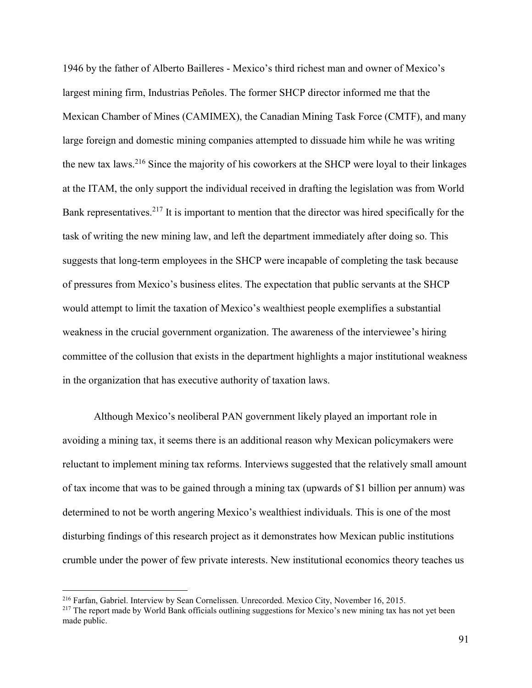1946 by the father of Alberto Bailleres - Mexico's third richest man and owner of Mexico's largest mining firm, Industrias Peñoles. The former SHCP director informed me that the Mexican Chamber of Mines (CAMIMEX), the Canadian Mining Task Force (CMTF), and many large foreign and domestic mining companies attempted to dissuade him while he was writing the new tax laws.<sup>216</sup> Since the majority of his coworkers at the SHCP were loyal to their linkages at the ITAM, the only support the individual received in drafting the legislation was from World Bank representatives.<sup>217</sup> It is important to mention that the director was hired specifically for the task of writing the new mining law, and left the department immediately after doing so. This suggests that long-term employees in the SHCP were incapable of completing the task because of pressures from Mexico's business elites. The expectation that public servants at the SHCP would attempt to limit the taxation of Mexico's wealthiest people exemplifies a substantial weakness in the crucial government organization. The awareness of the interviewee's hiring committee of the collusion that exists in the department highlights a major institutional weakness in the organization that has executive authority of taxation laws.

Although Mexico's neoliberal PAN government likely played an important role in avoiding a mining tax, it seems there is an additional reason why Mexican policymakers were reluctant to implement mining tax reforms. Interviews suggested that the relatively small amount of tax income that was to be gained through a mining tax (upwards of \$1 billion per annum) was determined to not be worth angering Mexico's wealthiest individuals. This is one of the most disturbing findings of this research project as it demonstrates how Mexican public institutions crumble under the power of few private interests. New institutional economics theory teaches us

<sup>216</sup> Farfan, Gabriel. Interview by Sean Cornelissen. Unrecorded. Mexico City, November 16, 2015.

<sup>&</sup>lt;sup>217</sup> The report made by World Bank officials outlining suggestions for Mexico's new mining tax has not yet been made public.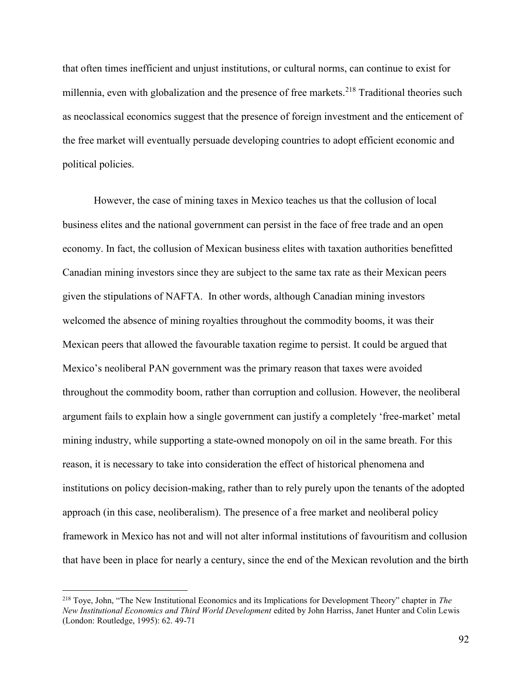that often times inefficient and unjust institutions, or cultural norms, can continue to exist for millennia, even with globalization and the presence of free markets.<sup>218</sup> Traditional theories such as neoclassical economics suggest that the presence of foreign investment and the enticement of the free market will eventually persuade developing countries to adopt efficient economic and political policies.

However, the case of mining taxes in Mexico teaches us that the collusion of local business elites and the national government can persist in the face of free trade and an open economy. In fact, the collusion of Mexican business elites with taxation authorities benefitted Canadian mining investors since they are subject to the same tax rate as their Mexican peers given the stipulations of NAFTA. In other words, although Canadian mining investors welcomed the absence of mining royalties throughout the commodity booms, it was their Mexican peers that allowed the favourable taxation regime to persist. It could be argued that Mexico's neoliberal PAN government was the primary reason that taxes were avoided throughout the commodity boom, rather than corruption and collusion. However, the neoliberal argument fails to explain how a single government can justify a completely 'free-market' metal mining industry, while supporting a state-owned monopoly on oil in the same breath. For this reason, it is necessary to take into consideration the effect of historical phenomena and institutions on policy decision-making, rather than to rely purely upon the tenants of the adopted approach (in this case, neoliberalism). The presence of a free market and neoliberal policy framework in Mexico has not and will not alter informal institutions of favouritism and collusion that have been in place for nearly a century, since the end of the Mexican revolution and the birth

<sup>218</sup> Toye, John, "The New Institutional Economics and its Implications for Development Theory" chapter in *The New Institutional Economics and Third World Development* edited by John Harriss, Janet Hunter and Colin Lewis (London: Routledge, 1995): 62. 49-71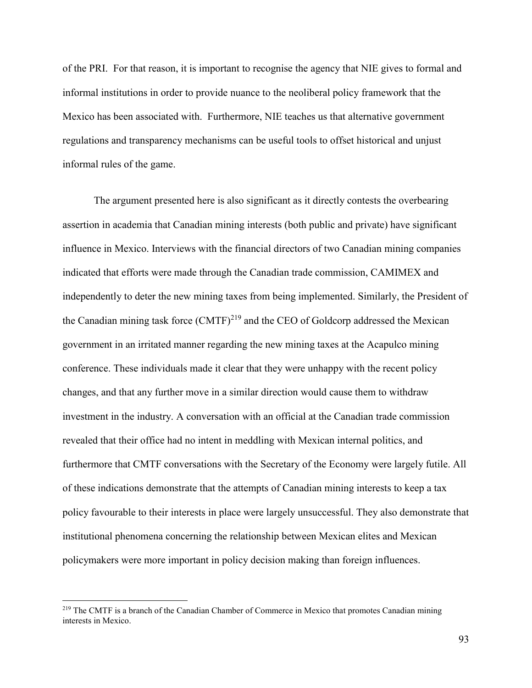of the PRI. For that reason, it is important to recognise the agency that NIE gives to formal and informal institutions in order to provide nuance to the neoliberal policy framework that the Mexico has been associated with. Furthermore, NIE teaches us that alternative government regulations and transparency mechanisms can be useful tools to offset historical and unjust informal rules of the game.

The argument presented here is also significant as it directly contests the overbearing assertion in academia that Canadian mining interests (both public and private) have significant influence in Mexico. Interviews with the financial directors of two Canadian mining companies indicated that efforts were made through the Canadian trade commission, CAMIMEX and independently to deter the new mining taxes from being implemented. Similarly, the President of the Canadian mining task force  $(CMTF)^{219}$  and the CEO of Goldcorp addressed the Mexican government in an irritated manner regarding the new mining taxes at the Acapulco mining conference. These individuals made it clear that they were unhappy with the recent policy changes, and that any further move in a similar direction would cause them to withdraw investment in the industry. A conversation with an official at the Canadian trade commission revealed that their office had no intent in meddling with Mexican internal politics, and furthermore that CMTF conversations with the Secretary of the Economy were largely futile. All of these indications demonstrate that the attempts of Canadian mining interests to keep a tax policy favourable to their interests in place were largely unsuccessful. They also demonstrate that institutional phenomena concerning the relationship between Mexican elites and Mexican policymakers were more important in policy decision making than foreign influences.

<sup>219</sup> The CMTF is a branch of the Canadian Chamber of Commerce in Mexico that promotes Canadian mining interests in Mexico.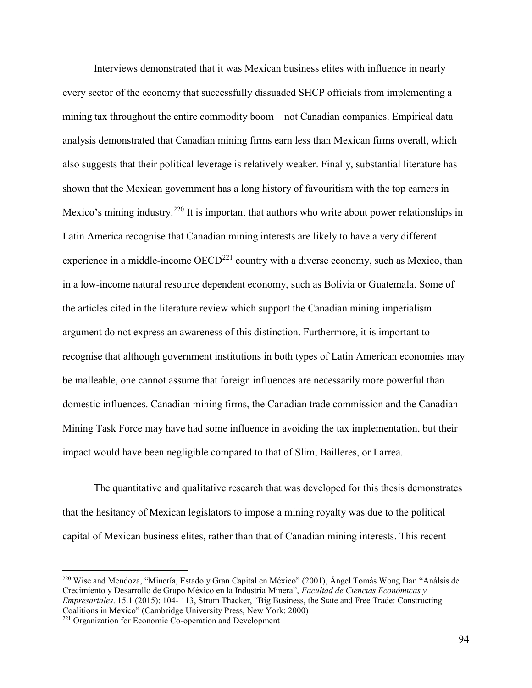Interviews demonstrated that it was Mexican business elites with influence in nearly every sector of the economy that successfully dissuaded SHCP officials from implementing a mining tax throughout the entire commodity boom – not Canadian companies. Empirical data analysis demonstrated that Canadian mining firms earn less than Mexican firms overall, which also suggests that their political leverage is relatively weaker. Finally, substantial literature has shown that the Mexican government has a long history of favouritism with the top earners in Mexico's mining industry.<sup>220</sup> It is important that authors who write about power relationships in Latin America recognise that Canadian mining interests are likely to have a very different experience in a middle-income  $OECD<sup>221</sup>$  country with a diverse economy, such as Mexico, than in a low-income natural resource dependent economy, such as Bolivia or Guatemala. Some of the articles cited in the literature review which support the Canadian mining imperialism argument do not express an awareness of this distinction. Furthermore, it is important to recognise that although government institutions in both types of Latin American economies may be malleable, one cannot assume that foreign influences are necessarily more powerful than domestic influences. Canadian mining firms, the Canadian trade commission and the Canadian Mining Task Force may have had some influence in avoiding the tax implementation, but their impact would have been negligible compared to that of Slim, Bailleres, or Larrea.

The quantitative and qualitative research that was developed for this thesis demonstrates that the hesitancy of Mexican legislators to impose a mining royalty was due to the political capital of Mexican business elites, rather than that of Canadian mining interests. This recent

<sup>220</sup> Wise and Mendoza, "Minería, Estado y Gran Capital en México" (2001), Ángel Tomás Wong Dan "Análsis de Crecimiento y Desarrollo de Grupo México en la Industría Minera", *Facultad de Ciencias Económicas y Empresariales*. 15.1 (2015): 104- 113, Strom Thacker, "Big Business, the State and Free Trade: Constructing Coalitions in Mexico" (Cambridge University Press, New York: 2000)

<sup>221</sup> Organization for Economic Co-operation and Development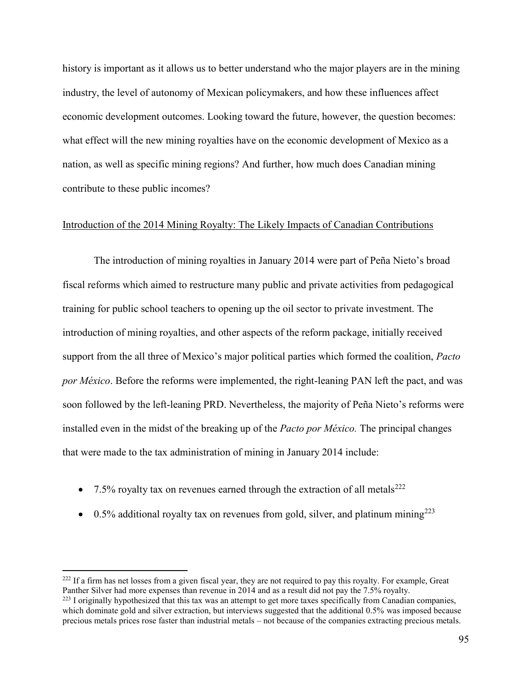history is important as it allows us to better understand who the major players are in the mining industry, the level of autonomy of Mexican policymakers, and how these influences affect economic development outcomes. Looking toward the future, however, the question becomes: what effect will the new mining royalties have on the economic development of Mexico as a nation, as well as specific mining regions? And further, how much does Canadian mining contribute to these public incomes?

## Introduction of the 2014 Mining Royalty: The Likely Impacts of Canadian Contributions

The introduction of mining royalties in January 2014 were part of Peña Nieto's broad fiscal reforms which aimed to restructure many public and private activities from pedagogical training for public school teachers to opening up the oil sector to private investment. The introduction of mining royalties, and other aspects of the reform package, initially received support from the all three of Mexico's major political parties which formed the coalition, *Pacto por México*. Before the reforms were implemented, the right-leaning PAN left the pact, and was soon followed by the left-leaning PRD. Nevertheless, the majority of Peña Nieto's reforms were installed even in the midst of the breaking up of the *Pacto por México.* The principal changes that were made to the tax administration of mining in January 2014 include:

• 7.5% royalty tax on revenues earned through the extraction of all metals<sup>222</sup>

 $\overline{a}$ 

 $\bullet$  0.5% additional royalty tax on revenues from gold, silver, and platinum mining<sup>223</sup>

 $222$  If a firm has net losses from a given fiscal year, they are not required to pay this royalty. For example, Great Panther Silver had more expenses than revenue in 2014 and as a result did not pay the 7.5% royalty.

<sup>&</sup>lt;sup>223</sup> I originally hypothesized that this tax was an attempt to get more taxes specifically from Canadian companies, which dominate gold and silver extraction, but interviews suggested that the additional 0.5% was imposed because precious metals prices rose faster than industrial metals – not because of the companies extracting precious metals.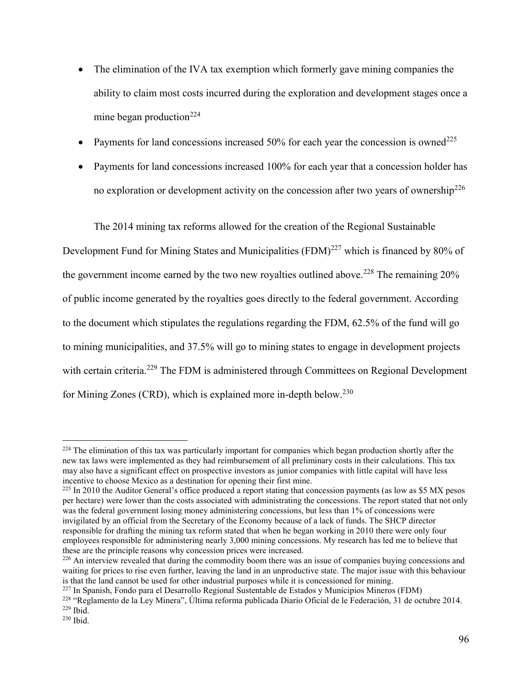- The elimination of the IVA tax exemption which formerly gave mining companies the ability to claim most costs incurred during the exploration and development stages once a mine began production $^{224}$
- Payments for land concessions increased  $50\%$  for each year the concession is owned<sup>225</sup>
- Payments for land concessions increased 100% for each year that a concession holder has no exploration or development activity on the concession after two years of ownership<sup>226</sup>

The 2014 mining tax reforms allowed for the creation of the Regional Sustainable

Development Fund for Mining States and Municipalities  $(FDM)^{227}$  which is financed by 80% of the government income earned by the two new royalties outlined above.<sup>228</sup> The remaining  $20\%$ of public income generated by the royalties goes directly to the federal government. According to the document which stipulates the regulations regarding the FDM, 62.5% of the fund will go to mining municipalities, and 37.5% will go to mining states to engage in development projects with certain criteria.<sup>229</sup> The FDM is administered through Committees on Regional Development for Mining Zones (CRD), which is explained more in-depth below.<sup>230</sup>

<sup>227</sup> In Spanish, Fondo para el Desarrollo Regional Sustentable de Estados y Municipios Mineros (FDM)

 $224$  The elimination of this tax was particularly important for companies which began production shortly after the new tax laws were implemented as they had reimbursement of all preliminary costs in their calculations. This tax may also have a significant effect on prospective investors as junior companies with little capital will have less incentive to choose Mexico as a destination for opening their first mine.

 $^{225}$  In 2010 the Auditor General's office produced a report stating that concession payments (as low as \$5 MX pesos per hectare) were lower than the costs associated with administrating the concessions. The report stated that not only was the federal government losing money administering concessions, but less than 1% of concessions were invigilated by an official from the Secretary of the Economy because of a lack of funds. The SHCP director responsible for drafting the mining tax reform stated that when he began working in 2010 there were only four employees responsible for administering nearly 3,000 mining concessions. My research has led me to believe that these are the principle reasons why concession prices were increased.

<sup>&</sup>lt;sup>226</sup> An interview revealed that during the commodity boom there was an issue of companies buying concessions and waiting for prices to rise even further, leaving the land in an unproductive state. The major issue with this behaviour is that the land cannot be used for other industrial purposes while it is concessioned for mining.

<sup>228</sup> "Reglamento de la Ley Minera", Última reforma publicada Diario Oficial de le Federación, 31 de octubre 2014.  $229$  Ibid.

 $230$  Ibid.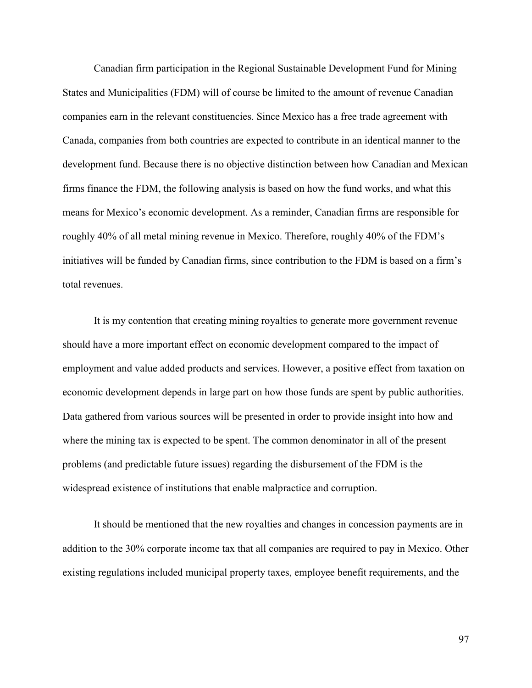Canadian firm participation in the Regional Sustainable Development Fund for Mining States and Municipalities (FDM) will of course be limited to the amount of revenue Canadian companies earn in the relevant constituencies. Since Mexico has a free trade agreement with Canada, companies from both countries are expected to contribute in an identical manner to the development fund. Because there is no objective distinction between how Canadian and Mexican firms finance the FDM, the following analysis is based on how the fund works, and what this means for Mexico's economic development. As a reminder, Canadian firms are responsible for roughly 40% of all metal mining revenue in Mexico. Therefore, roughly 40% of the FDM's initiatives will be funded by Canadian firms, since contribution to the FDM is based on a firm's total revenues.

It is my contention that creating mining royalties to generate more government revenue should have a more important effect on economic development compared to the impact of employment and value added products and services. However, a positive effect from taxation on economic development depends in large part on how those funds are spent by public authorities. Data gathered from various sources will be presented in order to provide insight into how and where the mining tax is expected to be spent. The common denominator in all of the present problems (and predictable future issues) regarding the disbursement of the FDM is the widespread existence of institutions that enable malpractice and corruption.

It should be mentioned that the new royalties and changes in concession payments are in addition to the 30% corporate income tax that all companies are required to pay in Mexico. Other existing regulations included municipal property taxes, employee benefit requirements, and the

97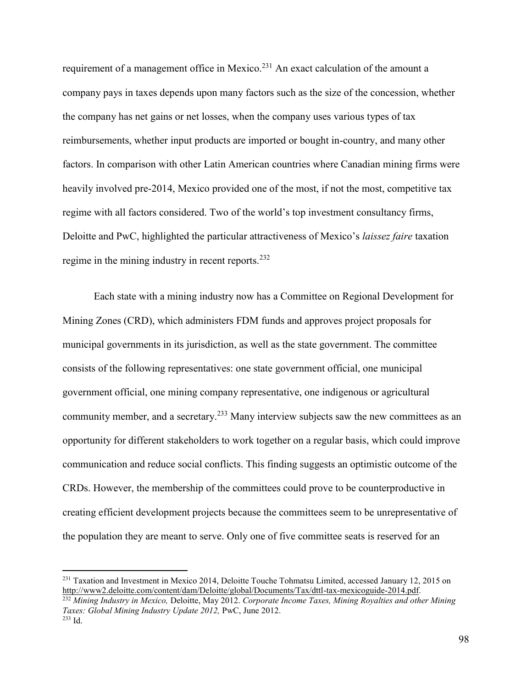requirement of a management office in Mexico.<sup>231</sup> An exact calculation of the amount a company pays in taxes depends upon many factors such as the size of the concession, whether the company has net gains or net losses, when the company uses various types of tax reimbursements, whether input products are imported or bought in-country, and many other factors. In comparison with other Latin American countries where Canadian mining firms were heavily involved pre-2014, Mexico provided one of the most, if not the most, competitive tax regime with all factors considered. Two of the world's top investment consultancy firms, Deloitte and PwC, highlighted the particular attractiveness of Mexico's *laissez faire* taxation regime in the mining industry in recent reports.<sup>232</sup>

Each state with a mining industry now has a Committee on Regional Development for Mining Zones (CRD), which administers FDM funds and approves project proposals for municipal governments in its jurisdiction, as well as the state government. The committee consists of the following representatives: one state government official, one municipal government official, one mining company representative, one indigenous or agricultural community member, and a secretary.<sup>233</sup> Many interview subjects saw the new committees as an opportunity for different stakeholders to work together on a regular basis, which could improve communication and reduce social conflicts. This finding suggests an optimistic outcome of the CRDs. However, the membership of the committees could prove to be counterproductive in creating efficient development projects because the committees seem to be unrepresentative of the population they are meant to serve. Only one of five committee seats is reserved for an

<sup>&</sup>lt;sup>231</sup> Taxation and Investment in Mexico 2014, Deloitte Touche Tohmatsu Limited, accessed January 12, 2015 on [http://www2.deloitte.com/content/dam/Deloitte/global/Documents/Tax/dttl-tax-mexicoguide-2014.pdf.](http://www2.deloitte.com/content/dam/Deloitte/global/Documents/Tax/dttl-tax-mexicoguide-2014.pdf)

<sup>232</sup> *Mining Industry in Mexico,* Deloitte, May 2012. *Corporate Income Taxes, Mining Royalties and other Mining Taxes: Global Mining Industry Update 2012,* PwC, June 2012.  $233$  Id.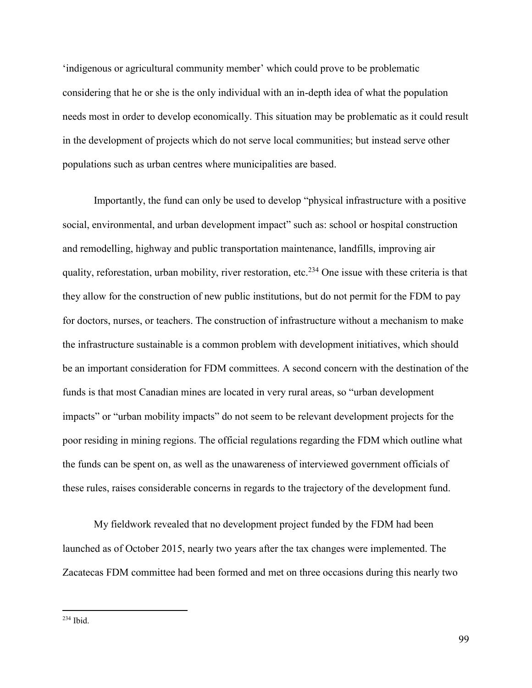'indigenous or agricultural community member' which could prove to be problematic considering that he or she is the only individual with an in-depth idea of what the population needs most in order to develop economically. This situation may be problematic as it could result in the development of projects which do not serve local communities; but instead serve other populations such as urban centres where municipalities are based.

Importantly, the fund can only be used to develop "physical infrastructure with a positive social, environmental, and urban development impact" such as: school or hospital construction and remodelling, highway and public transportation maintenance, landfills, improving air quality, reforestation, urban mobility, river restoration, etc.<sup>234</sup> One issue with these criteria is that they allow for the construction of new public institutions, but do not permit for the FDM to pay for doctors, nurses, or teachers. The construction of infrastructure without a mechanism to make the infrastructure sustainable is a common problem with development initiatives, which should be an important consideration for FDM committees. A second concern with the destination of the funds is that most Canadian mines are located in very rural areas, so "urban development impacts" or "urban mobility impacts" do not seem to be relevant development projects for the poor residing in mining regions. The official regulations regarding the FDM which outline what the funds can be spent on, as well as the unawareness of interviewed government officials of these rules, raises considerable concerns in regards to the trajectory of the development fund.

 My fieldwork revealed that no development project funded by the FDM had been launched as of October 2015, nearly two years after the tax changes were implemented. The Zacatecas FDM committee had been formed and met on three occasions during this nearly two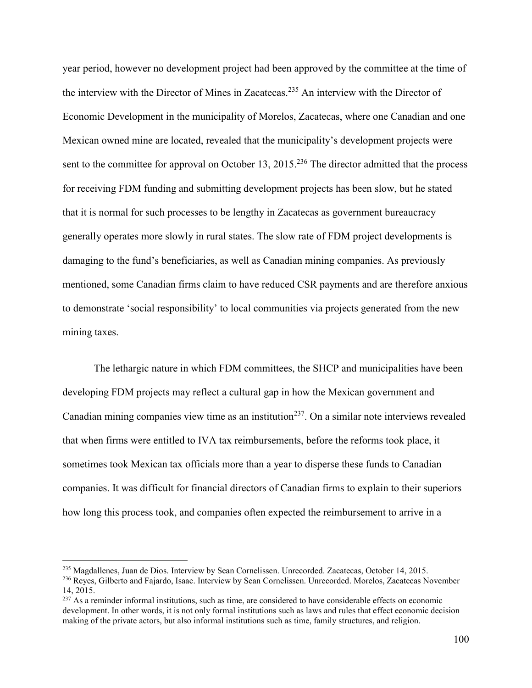year period, however no development project had been approved by the committee at the time of the interview with the Director of Mines in Zacatecas.<sup>235</sup> An interview with the Director of Economic Development in the municipality of Morelos, Zacatecas, where one Canadian and one Mexican owned mine are located, revealed that the municipality's development projects were sent to the committee for approval on October 13, 2015.<sup>236</sup> The director admitted that the process for receiving FDM funding and submitting development projects has been slow, but he stated that it is normal for such processes to be lengthy in Zacatecas as government bureaucracy generally operates more slowly in rural states. The slow rate of FDM project developments is damaging to the fund's beneficiaries, as well as Canadian mining companies. As previously mentioned, some Canadian firms claim to have reduced CSR payments and are therefore anxious to demonstrate 'social responsibility' to local communities via projects generated from the new mining taxes.

The lethargic nature in which FDM committees, the SHCP and municipalities have been developing FDM projects may reflect a cultural gap in how the Mexican government and Canadian mining companies view time as an institution<sup>237</sup>. On a similar note interviews revealed that when firms were entitled to IVA tax reimbursements, before the reforms took place, it sometimes took Mexican tax officials more than a year to disperse these funds to Canadian companies. It was difficult for financial directors of Canadian firms to explain to their superiors how long this process took, and companies often expected the reimbursement to arrive in a

<sup>235</sup> Magdallenes, Juan de Dios. Interview by Sean Cornelissen. Unrecorded. Zacatecas, October 14, 2015.

<sup>236</sup> Reyes, Gilberto and Fajardo, Isaac. Interview by Sean Cornelissen. Unrecorded. Morelos, Zacatecas November 14, 2015.

<sup>&</sup>lt;sup>237</sup> As a reminder informal institutions, such as time, are considered to have considerable effects on economic development. In other words, it is not only formal institutions such as laws and rules that effect economic decision making of the private actors, but also informal institutions such as time, family structures, and religion.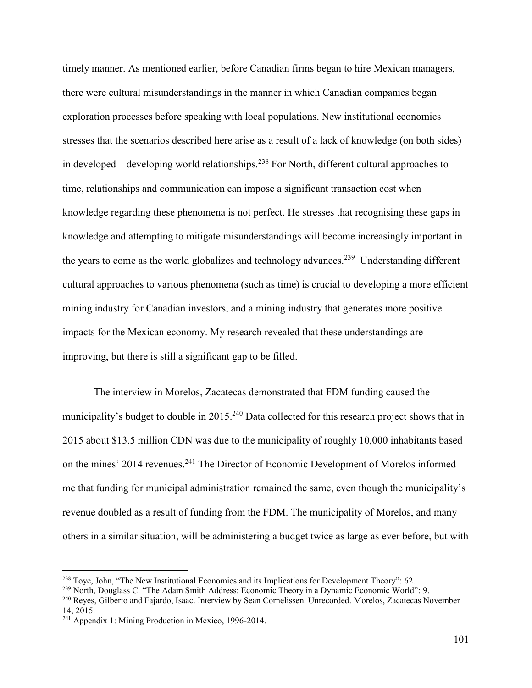timely manner. As mentioned earlier, before Canadian firms began to hire Mexican managers, there were cultural misunderstandings in the manner in which Canadian companies began exploration processes before speaking with local populations. New institutional economics stresses that the scenarios described here arise as a result of a lack of knowledge (on both sides) in developed – developing world relationships.<sup>238</sup> For North, different cultural approaches to time, relationships and communication can impose a significant transaction cost when knowledge regarding these phenomena is not perfect. He stresses that recognising these gaps in knowledge and attempting to mitigate misunderstandings will become increasingly important in the years to come as the world globalizes and technology advances.<sup>239</sup> Understanding different cultural approaches to various phenomena (such as time) is crucial to developing a more efficient mining industry for Canadian investors, and a mining industry that generates more positive impacts for the Mexican economy. My research revealed that these understandings are improving, but there is still a significant gap to be filled.

 The interview in Morelos, Zacatecas demonstrated that FDM funding caused the municipality's budget to double in  $2015<sup>240</sup>$  Data collected for this research project shows that in 2015 about \$13.5 million CDN was due to the municipality of roughly 10,000 inhabitants based on the mines' 2014 revenues.<sup>241</sup> The Director of Economic Development of Morelos informed me that funding for municipal administration remained the same, even though the municipality's revenue doubled as a result of funding from the FDM. The municipality of Morelos, and many others in a similar situation, will be administering a budget twice as large as ever before, but with

<sup>&</sup>lt;sup>238</sup> Toye, John, "The New Institutional Economics and its Implications for Development Theory": 62.

<sup>&</sup>lt;sup>239</sup> North, Douglass C. "The Adam Smith Address: Economic Theory in a Dynamic Economic World": 9.

<sup>240</sup> Reyes, Gilberto and Fajardo, Isaac. Interview by Sean Cornelissen. Unrecorded. Morelos, Zacatecas November 14, 2015.

<sup>241</sup> Appendix 1: Mining Production in Mexico, 1996-2014.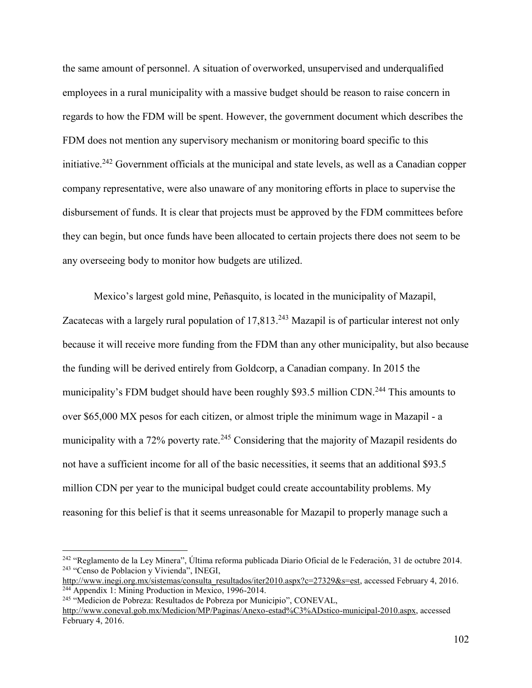the same amount of personnel. A situation of overworked, unsupervised and underqualified employees in a rural municipality with a massive budget should be reason to raise concern in regards to how the FDM will be spent. However, the government document which describes the FDM does not mention any supervisory mechanism or monitoring board specific to this initiative.<sup>242</sup> Government officials at the municipal and state levels, as well as a Canadian copper company representative, were also unaware of any monitoring efforts in place to supervise the disbursement of funds. It is clear that projects must be approved by the FDM committees before they can begin, but once funds have been allocated to certain projects there does not seem to be any overseeing body to monitor how budgets are utilized.

Mexico's largest gold mine, Peñasquito, is located in the municipality of Mazapil, Zacatecas with a largely rural population of  $17,813$ <sup>243</sup> Mazapil is of particular interest not only because it will receive more funding from the FDM than any other municipality, but also because the funding will be derived entirely from Goldcorp, a Canadian company. In 2015 the municipality's FDM budget should have been roughly \$93.5 million CDN.<sup>244</sup> This amounts to over \$65,000 MX pesos for each citizen, or almost triple the minimum wage in Mazapil - a municipality with a 72% poverty rate.<sup>245</sup> Considering that the majority of Mazapil residents do not have a sufficient income for all of the basic necessities, it seems that an additional \$93.5 million CDN per year to the municipal budget could create accountability problems. My reasoning for this belief is that it seems unreasonable for Mazapil to properly manage such a

 $\overline{a}$ 

[http://www.inegi.org.mx/sistemas/consulta\\_resultados/iter2010.aspx?c=27329&s=est,](http://www.inegi.org.mx/sistemas/consulta_resultados/iter2010.aspx?c=27329&s=est) accessed February 4, 2016. <sup>244</sup> Appendix 1: Mining Production in Mexico, 1996-2014.

<sup>245</sup> "Medicion de Pobreza: Resultados de Pobreza por Municipio", CONEVAL, [http://www.coneval.gob.mx/Medicion/MP/Paginas/Anexo-estad%C3%ADstico-municipal-2010.aspx,](http://www.coneval.gob.mx/Medicion/MP/Paginas/Anexo-estad%C3%ADstico-municipal-2010.aspx) accessed February 4, 2016.

<sup>242</sup> "Reglamento de la Ley Minera", Última reforma publicada Diario Oficial de le Federación, 31 de octubre 2014. <sup>243</sup> "Censo de Poblacion y Vivienda", INEGI,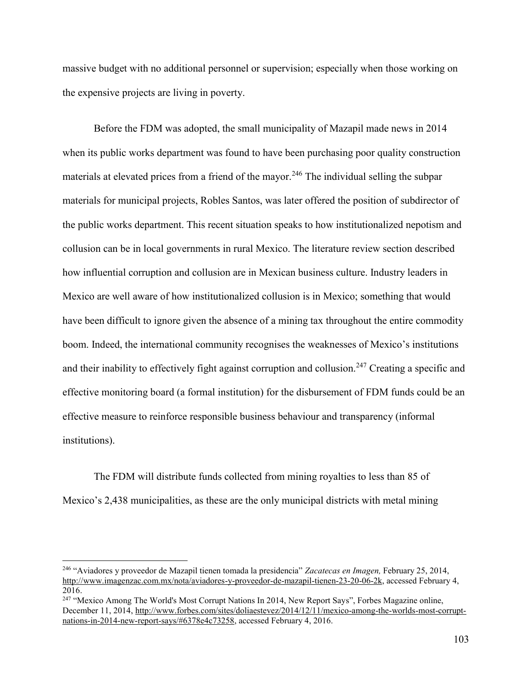massive budget with no additional personnel or supervision; especially when those working on the expensive projects are living in poverty.

Before the FDM was adopted, the small municipality of Mazapil made news in 2014 when its public works department was found to have been purchasing poor quality construction materials at elevated prices from a friend of the mayor.<sup>246</sup> The individual selling the subpar materials for municipal projects, Robles Santos, was later offered the position of subdirector of the public works department. This recent situation speaks to how institutionalized nepotism and collusion can be in local governments in rural Mexico. The literature review section described how influential corruption and collusion are in Mexican business culture. Industry leaders in Mexico are well aware of how institutionalized collusion is in Mexico; something that would have been difficult to ignore given the absence of a mining tax throughout the entire commodity boom. Indeed, the international community recognises the weaknesses of Mexico's institutions and their inability to effectively fight against corruption and collusion.<sup>247</sup> Creating a specific and effective monitoring board (a formal institution) for the disbursement of FDM funds could be an effective measure to reinforce responsible business behaviour and transparency (informal institutions).

 The FDM will distribute funds collected from mining royalties to less than 85 of Mexico's 2,438 municipalities, as these are the only municipal districts with metal mining

<sup>246</sup> "Aviadores y proveedor de Mazapil tienen tomada la presidencia" *Zacatecas en Imagen,* February 25, 2014, [http://www.imagenzac.com.mx/nota/aviadores-y-proveedor-de-mazapil-tienen-23-20-06-2k,](http://www.imagenzac.com.mx/nota/aviadores-y-proveedor-de-mazapil-tienen-23-20-06-2k) accessed February 4, 2016.

<sup>&</sup>lt;sup>247</sup> "Mexico Among The World's Most Corrupt Nations In 2014, New Report Says", Forbes Magazine online, December 11, 2014[, http://www.forbes.com/sites/doliaestevez/2014/12/11/mexico-among-the-worlds-most-corrupt](http://www.forbes.com/sites/doliaestevez/2014/12/11/mexico-among-the-worlds-most-corrupt-nations-in-2014-new-report-says/#6378e4c73258)[nations-in-2014-new-report-says/#6378e4c73258,](http://www.forbes.com/sites/doliaestevez/2014/12/11/mexico-among-the-worlds-most-corrupt-nations-in-2014-new-report-says/#6378e4c73258) accessed February 4, 2016.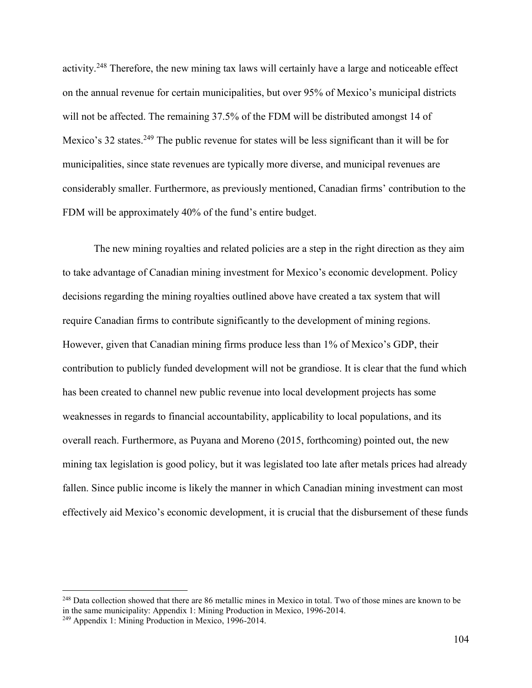activity.<sup>248</sup> Therefore, the new mining tax laws will certainly have a large and noticeable effect on the annual revenue for certain municipalities, but over 95% of Mexico's municipal districts will not be affected. The remaining 37.5% of the FDM will be distributed amongst 14 of Mexico's 32 states.<sup>249</sup> The public revenue for states will be less significant than it will be for municipalities, since state revenues are typically more diverse, and municipal revenues are considerably smaller. Furthermore, as previously mentioned, Canadian firms' contribution to the FDM will be approximately 40% of the fund's entire budget.

 The new mining royalties and related policies are a step in the right direction as they aim to take advantage of Canadian mining investment for Mexico's economic development. Policy decisions regarding the mining royalties outlined above have created a tax system that will require Canadian firms to contribute significantly to the development of mining regions. However, given that Canadian mining firms produce less than 1% of Mexico's GDP, their contribution to publicly funded development will not be grandiose. It is clear that the fund which has been created to channel new public revenue into local development projects has some weaknesses in regards to financial accountability, applicability to local populations, and its overall reach. Furthermore, as Puyana and Moreno (2015, forthcoming) pointed out, the new mining tax legislation is good policy, but it was legislated too late after metals prices had already fallen. Since public income is likely the manner in which Canadian mining investment can most effectively aid Mexico's economic development, it is crucial that the disbursement of these funds

<sup>&</sup>lt;sup>248</sup> Data collection showed that there are 86 metallic mines in Mexico in total. Two of those mines are known to be in the same municipality: Appendix 1: Mining Production in Mexico, 1996-2014.

<sup>249</sup> Appendix 1: Mining Production in Mexico, 1996-2014.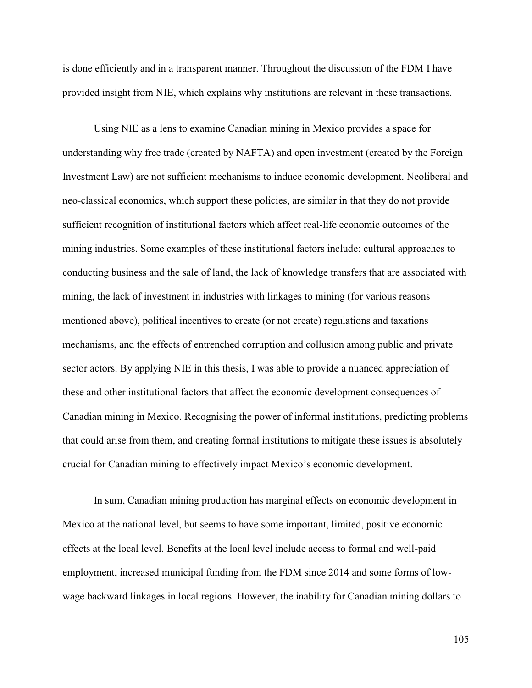is done efficiently and in a transparent manner. Throughout the discussion of the FDM I have provided insight from NIE, which explains why institutions are relevant in these transactions.

Using NIE as a lens to examine Canadian mining in Mexico provides a space for understanding why free trade (created by NAFTA) and open investment (created by the Foreign Investment Law) are not sufficient mechanisms to induce economic development. Neoliberal and neo-classical economics, which support these policies, are similar in that they do not provide sufficient recognition of institutional factors which affect real-life economic outcomes of the mining industries. Some examples of these institutional factors include: cultural approaches to conducting business and the sale of land, the lack of knowledge transfers that are associated with mining, the lack of investment in industries with linkages to mining (for various reasons mentioned above), political incentives to create (or not create) regulations and taxations mechanisms, and the effects of entrenched corruption and collusion among public and private sector actors. By applying NIE in this thesis, I was able to provide a nuanced appreciation of these and other institutional factors that affect the economic development consequences of Canadian mining in Mexico. Recognising the power of informal institutions, predicting problems that could arise from them, and creating formal institutions to mitigate these issues is absolutely crucial for Canadian mining to effectively impact Mexico's economic development.

 In sum, Canadian mining production has marginal effects on economic development in Mexico at the national level, but seems to have some important, limited, positive economic effects at the local level. Benefits at the local level include access to formal and well-paid employment, increased municipal funding from the FDM since 2014 and some forms of lowwage backward linkages in local regions. However, the inability for Canadian mining dollars to

105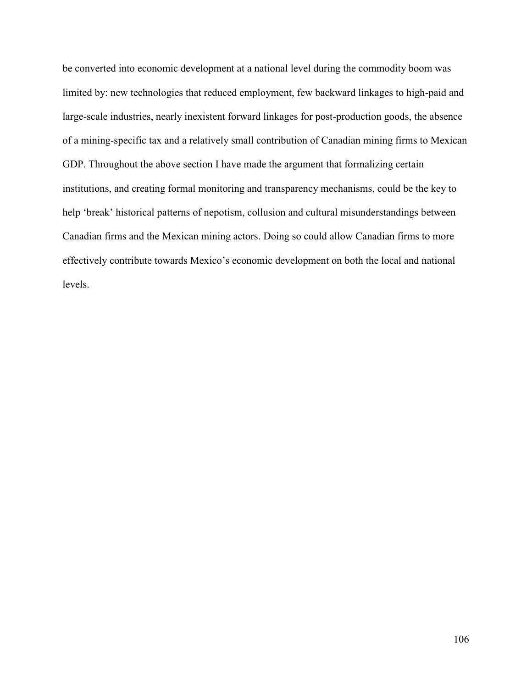be converted into economic development at a national level during the commodity boom was limited by: new technologies that reduced employment, few backward linkages to high-paid and large-scale industries, nearly inexistent forward linkages for post-production goods, the absence of a mining-specific tax and a relatively small contribution of Canadian mining firms to Mexican GDP. Throughout the above section I have made the argument that formalizing certain institutions, and creating formal monitoring and transparency mechanisms, could be the key to help 'break' historical patterns of nepotism, collusion and cultural misunderstandings between Canadian firms and the Mexican mining actors. Doing so could allow Canadian firms to more effectively contribute towards Mexico's economic development on both the local and national levels.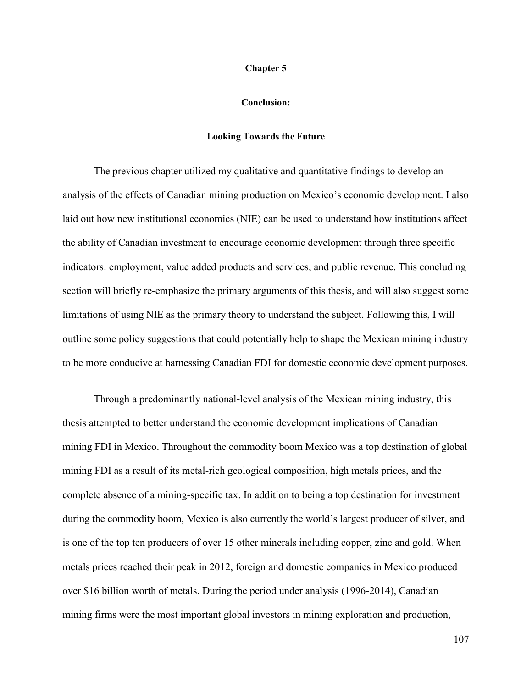#### **Chapter 5**

#### **Conclusion:**

#### **Looking Towards the Future**

 The previous chapter utilized my qualitative and quantitative findings to develop an analysis of the effects of Canadian mining production on Mexico's economic development. I also laid out how new institutional economics (NIE) can be used to understand how institutions affect the ability of Canadian investment to encourage economic development through three specific indicators: employment, value added products and services, and public revenue. This concluding section will briefly re-emphasize the primary arguments of this thesis, and will also suggest some limitations of using NIE as the primary theory to understand the subject. Following this, I will outline some policy suggestions that could potentially help to shape the Mexican mining industry to be more conducive at harnessing Canadian FDI for domestic economic development purposes.

 Through a predominantly national-level analysis of the Mexican mining industry, this thesis attempted to better understand the economic development implications of Canadian mining FDI in Mexico. Throughout the commodity boom Mexico was a top destination of global mining FDI as a result of its metal-rich geological composition, high metals prices, and the complete absence of a mining-specific tax. In addition to being a top destination for investment during the commodity boom, Mexico is also currently the world's largest producer of silver, and is one of the top ten producers of over 15 other minerals including copper, zinc and gold. When metals prices reached their peak in 2012, foreign and domestic companies in Mexico produced over \$16 billion worth of metals. During the period under analysis (1996-2014), Canadian mining firms were the most important global investors in mining exploration and production,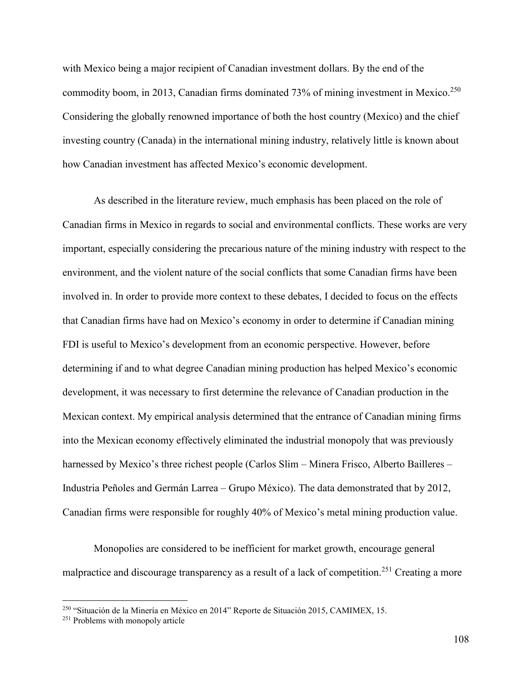with Mexico being a major recipient of Canadian investment dollars. By the end of the commodity boom, in 2013, Canadian firms dominated 73% of mining investment in Mexico.<sup>250</sup> Considering the globally renowned importance of both the host country (Mexico) and the chief investing country (Canada) in the international mining industry, relatively little is known about how Canadian investment has affected Mexico's economic development.

 As described in the literature review, much emphasis has been placed on the role of Canadian firms in Mexico in regards to social and environmental conflicts. These works are very important, especially considering the precarious nature of the mining industry with respect to the environment, and the violent nature of the social conflicts that some Canadian firms have been involved in. In order to provide more context to these debates, I decided to focus on the effects that Canadian firms have had on Mexico's economy in order to determine if Canadian mining FDI is useful to Mexico's development from an economic perspective. However, before determining if and to what degree Canadian mining production has helped Mexico's economic development, it was necessary to first determine the relevance of Canadian production in the Mexican context. My empirical analysis determined that the entrance of Canadian mining firms into the Mexican economy effectively eliminated the industrial monopoly that was previously harnessed by Mexico's three richest people (Carlos Slim – Minera Frisco, Alberto Bailleres – Industria Peñoles and Germán Larrea – Grupo México). The data demonstrated that by 2012, Canadian firms were responsible for roughly 40% of Mexico's metal mining production value.

Monopolies are considered to be inefficient for market growth, encourage general malpractice and discourage transparency as a result of a lack of competition.<sup>251</sup> Creating a more

<sup>250</sup> "Situación de la Minería en México en 2014" Reporte de Situación 2015, CAMIMEX, 15.

<sup>&</sup>lt;sup>251</sup> Problems with monopoly article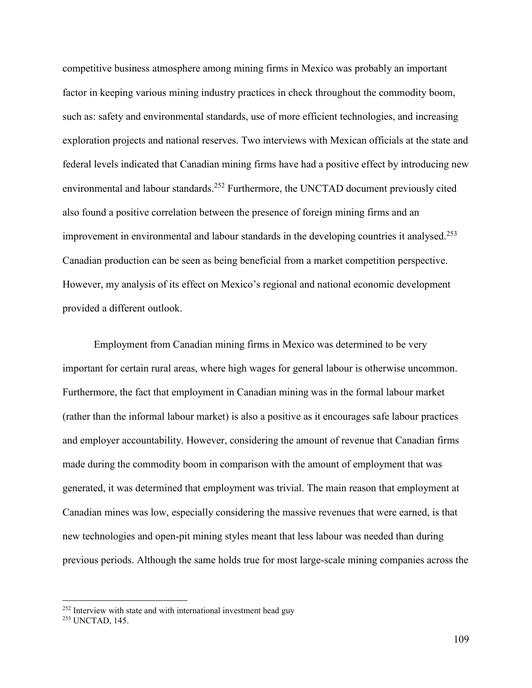competitive business atmosphere among mining firms in Mexico was probably an important factor in keeping various mining industry practices in check throughout the commodity boom, such as: safety and environmental standards, use of more efficient technologies, and increasing exploration projects and national reserves. Two interviews with Mexican officials at the state and federal levels indicated that Canadian mining firms have had a positive effect by introducing new environmental and labour standards.<sup>252</sup> Furthermore, the UNCTAD document previously cited also found a positive correlation between the presence of foreign mining firms and an improvement in environmental and labour standards in the developing countries it analysed.<sup>253</sup> Canadian production can be seen as being beneficial from a market competition perspective. However, my analysis of its effect on Mexico's regional and national economic development provided a different outlook.

Employment from Canadian mining firms in Mexico was determined to be very important for certain rural areas, where high wages for general labour is otherwise uncommon. Furthermore, the fact that employment in Canadian mining was in the formal labour market (rather than the informal labour market) is also a positive as it encourages safe labour practices and employer accountability. However, considering the amount of revenue that Canadian firms made during the commodity boom in comparison with the amount of employment that was generated, it was determined that employment was trivial. The main reason that employment at Canadian mines was low, especially considering the massive revenues that were earned, is that new technologies and open-pit mining styles meant that less labour was needed than during previous periods. Although the same holds true for most large-scale mining companies across the

<sup>252</sup> Interview with state and with international investment head guy

<sup>253</sup> UNCTAD, 145.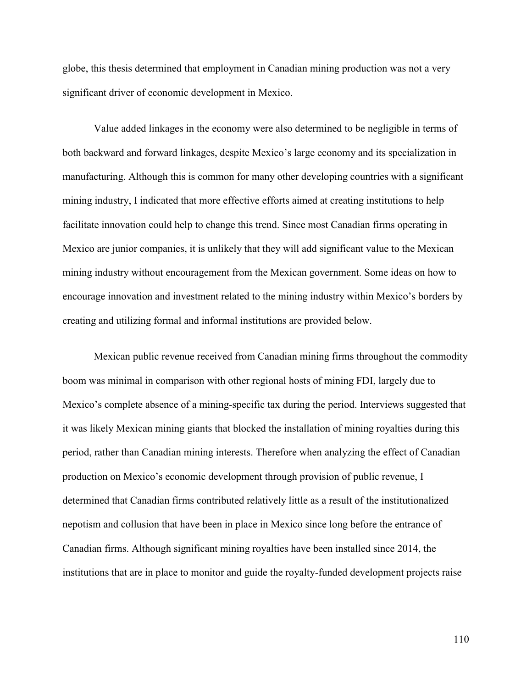globe, this thesis determined that employment in Canadian mining production was not a very significant driver of economic development in Mexico.

Value added linkages in the economy were also determined to be negligible in terms of both backward and forward linkages, despite Mexico's large economy and its specialization in manufacturing. Although this is common for many other developing countries with a significant mining industry, I indicated that more effective efforts aimed at creating institutions to help facilitate innovation could help to change this trend. Since most Canadian firms operating in Mexico are junior companies, it is unlikely that they will add significant value to the Mexican mining industry without encouragement from the Mexican government. Some ideas on how to encourage innovation and investment related to the mining industry within Mexico's borders by creating and utilizing formal and informal institutions are provided below.

Mexican public revenue received from Canadian mining firms throughout the commodity boom was minimal in comparison with other regional hosts of mining FDI, largely due to Mexico's complete absence of a mining-specific tax during the period. Interviews suggested that it was likely Mexican mining giants that blocked the installation of mining royalties during this period, rather than Canadian mining interests. Therefore when analyzing the effect of Canadian production on Mexico's economic development through provision of public revenue, I determined that Canadian firms contributed relatively little as a result of the institutionalized nepotism and collusion that have been in place in Mexico since long before the entrance of Canadian firms. Although significant mining royalties have been installed since 2014, the institutions that are in place to monitor and guide the royalty-funded development projects raise

110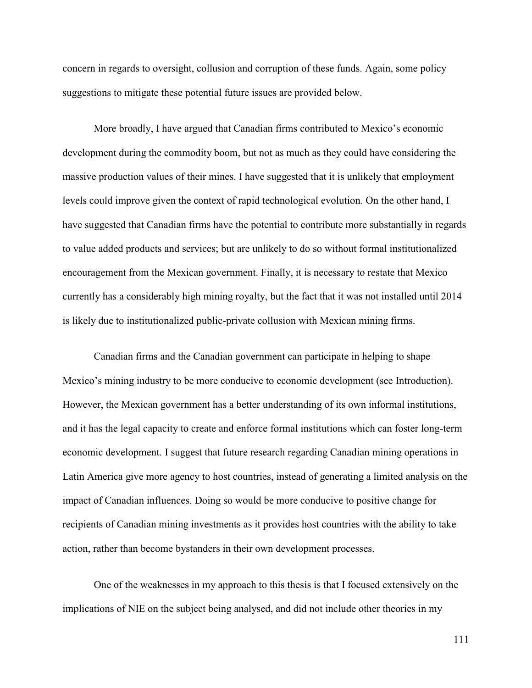concern in regards to oversight, collusion and corruption of these funds. Again, some policy suggestions to mitigate these potential future issues are provided below.

More broadly, I have argued that Canadian firms contributed to Mexico's economic development during the commodity boom, but not as much as they could have considering the massive production values of their mines. I have suggested that it is unlikely that employment levels could improve given the context of rapid technological evolution. On the other hand, I have suggested that Canadian firms have the potential to contribute more substantially in regards to value added products and services; but are unlikely to do so without formal institutionalized encouragement from the Mexican government. Finally, it is necessary to restate that Mexico currently has a considerably high mining royalty, but the fact that it was not installed until 2014 is likely due to institutionalized public-private collusion with Mexican mining firms.

Canadian firms and the Canadian government can participate in helping to shape Mexico's mining industry to be more conducive to economic development (see Introduction). However, the Mexican government has a better understanding of its own informal institutions, and it has the legal capacity to create and enforce formal institutions which can foster long-term economic development. I suggest that future research regarding Canadian mining operations in Latin America give more agency to host countries, instead of generating a limited analysis on the impact of Canadian influences. Doing so would be more conducive to positive change for recipients of Canadian mining investments as it provides host countries with the ability to take action, rather than become bystanders in their own development processes.

One of the weaknesses in my approach to this thesis is that I focused extensively on the implications of NIE on the subject being analysed, and did not include other theories in my

111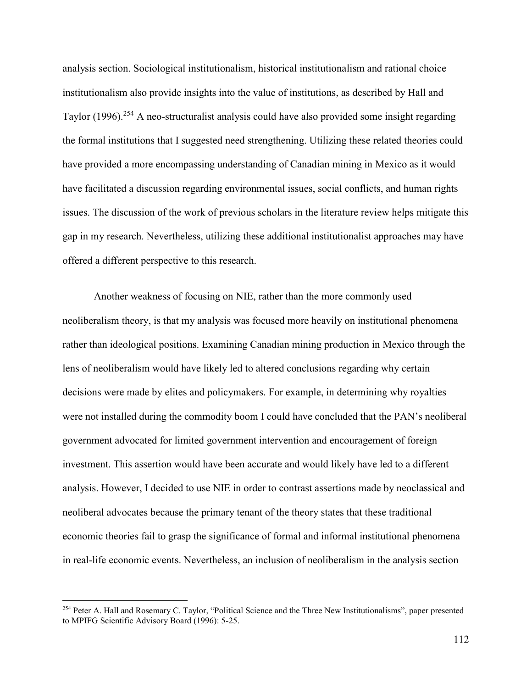analysis section. Sociological institutionalism, historical institutionalism and rational choice institutionalism also provide insights into the value of institutions, as described by Hall and Taylor (1996).<sup>254</sup> A neo-structuralist analysis could have also provided some insight regarding the formal institutions that I suggested need strengthening. Utilizing these related theories could have provided a more encompassing understanding of Canadian mining in Mexico as it would have facilitated a discussion regarding environmental issues, social conflicts, and human rights issues. The discussion of the work of previous scholars in the literature review helps mitigate this gap in my research. Nevertheless, utilizing these additional institutionalist approaches may have offered a different perspective to this research.

Another weakness of focusing on NIE, rather than the more commonly used neoliberalism theory, is that my analysis was focused more heavily on institutional phenomena rather than ideological positions. Examining Canadian mining production in Mexico through the lens of neoliberalism would have likely led to altered conclusions regarding why certain decisions were made by elites and policymakers. For example, in determining why royalties were not installed during the commodity boom I could have concluded that the PAN's neoliberal government advocated for limited government intervention and encouragement of foreign investment. This assertion would have been accurate and would likely have led to a different analysis. However, I decided to use NIE in order to contrast assertions made by neoclassical and neoliberal advocates because the primary tenant of the theory states that these traditional economic theories fail to grasp the significance of formal and informal institutional phenomena in real-life economic events. Nevertheless, an inclusion of neoliberalism in the analysis section

<sup>&</sup>lt;sup>254</sup> Peter A. Hall and Rosemary C. Taylor, "Political Science and the Three New Institutionalisms", paper presented to MPIFG Scientific Advisory Board (1996): 5-25.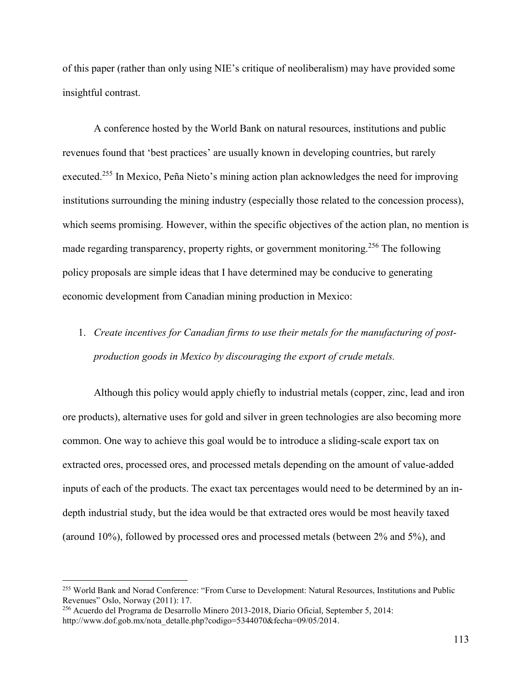of this paper (rather than only using NIE's critique of neoliberalism) may have provided some insightful contrast.

A conference hosted by the World Bank on natural resources, institutions and public revenues found that 'best practices' are usually known in developing countries, but rarely executed.<sup>255</sup> In Mexico, Peña Nieto's mining action plan acknowledges the need for improving institutions surrounding the mining industry (especially those related to the concession process), which seems promising. However, within the specific objectives of the action plan, no mention is made regarding transparency, property rights, or government monitoring.<sup>256</sup> The following policy proposals are simple ideas that I have determined may be conducive to generating economic development from Canadian mining production in Mexico:

# 1. *Create incentives for Canadian firms to use their metals for the manufacturing of postproduction goods in Mexico by discouraging the export of crude metals.*

Although this policy would apply chiefly to industrial metals (copper, zinc, lead and iron ore products), alternative uses for gold and silver in green technologies are also becoming more common. One way to achieve this goal would be to introduce a sliding-scale export tax on extracted ores, processed ores, and processed metals depending on the amount of value-added inputs of each of the products. The exact tax percentages would need to be determined by an indepth industrial study, but the idea would be that extracted ores would be most heavily taxed (around 10%), followed by processed ores and processed metals (between 2% and 5%), and

<sup>255</sup> World Bank and Norad Conference: "From Curse to Development: Natural Resources, Institutions and Public Revenues" Oslo, Norway (2011): 17.

<sup>256</sup> Acuerdo del Programa de Desarrollo Minero 2013-2018, Diario Oficial, September 5, 2014: http://www.dof.gob.mx/nota\_detalle.php?codigo=5344070&fecha=09/05/2014.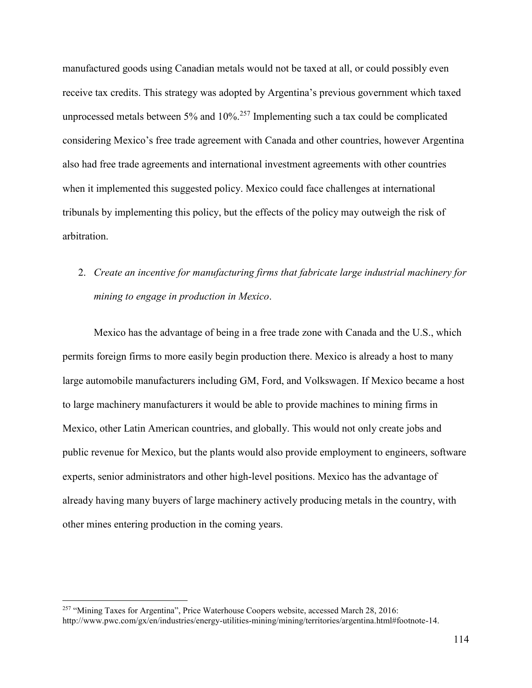manufactured goods using Canadian metals would not be taxed at all, or could possibly even receive tax credits. This strategy was adopted by Argentina's previous government which taxed unprocessed metals between  $5\%$  and  $10\%$ <sup>257</sup> Implementing such a tax could be complicated considering Mexico's free trade agreement with Canada and other countries, however Argentina also had free trade agreements and international investment agreements with other countries when it implemented this suggested policy. Mexico could face challenges at international tribunals by implementing this policy, but the effects of the policy may outweigh the risk of arbitration.

2. *Create an incentive for manufacturing firms that fabricate large industrial machinery for mining to engage in production in Mexico*.

Mexico has the advantage of being in a free trade zone with Canada and the U.S., which permits foreign firms to more easily begin production there. Mexico is already a host to many large automobile manufacturers including GM, Ford, and Volkswagen. If Mexico became a host to large machinery manufacturers it would be able to provide machines to mining firms in Mexico, other Latin American countries, and globally. This would not only create jobs and public revenue for Mexico, but the plants would also provide employment to engineers, software experts, senior administrators and other high-level positions. Mexico has the advantage of already having many buyers of large machinery actively producing metals in the country, with other mines entering production in the coming years.

<sup>257</sup> "Mining Taxes for Argentina", Price Waterhouse Coopers website, accessed March 28, 2016: http://www.pwc.com/gx/en/industries/energy-utilities-mining/mining/territories/argentina.html#footnote-14.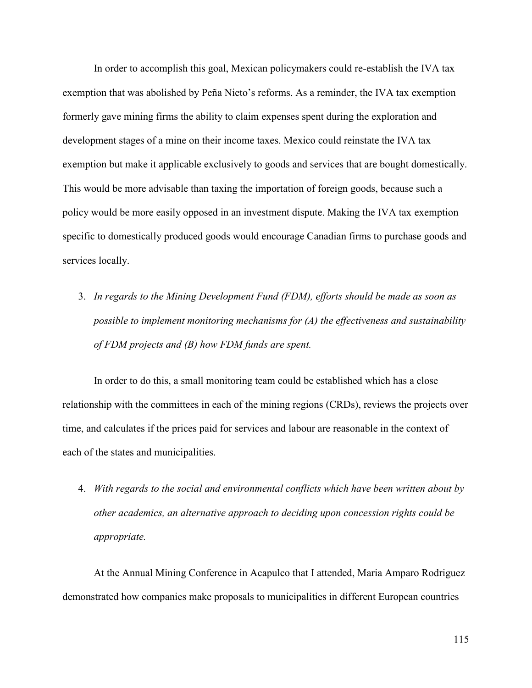In order to accomplish this goal, Mexican policymakers could re-establish the IVA tax exemption that was abolished by Peña Nieto's reforms. As a reminder, the IVA tax exemption formerly gave mining firms the ability to claim expenses spent during the exploration and development stages of a mine on their income taxes. Mexico could reinstate the IVA tax exemption but make it applicable exclusively to goods and services that are bought domestically. This would be more advisable than taxing the importation of foreign goods, because such a policy would be more easily opposed in an investment dispute. Making the IVA tax exemption specific to domestically produced goods would encourage Canadian firms to purchase goods and services locally.

3. *In regards to the Mining Development Fund (FDM), efforts should be made as soon as possible to implement monitoring mechanisms for (A) the effectiveness and sustainability of FDM projects and (B) how FDM funds are spent.*

In order to do this, a small monitoring team could be established which has a close relationship with the committees in each of the mining regions (CRDs), reviews the projects over time, and calculates if the prices paid for services and labour are reasonable in the context of each of the states and municipalities.

4. *With regards to the social and environmental conflicts which have been written about by other academics, an alternative approach to deciding upon concession rights could be appropriate.*

At the Annual Mining Conference in Acapulco that I attended, Maria Amparo Rodriguez demonstrated how companies make proposals to municipalities in different European countries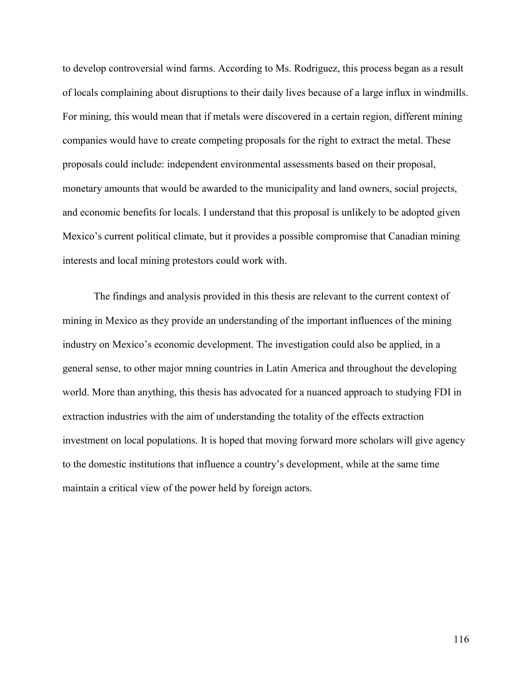to develop controversial wind farms. According to Ms. Rodriguez, this process began as a result of locals complaining about disruptions to their daily lives because of a large influx in windmills. For mining, this would mean that if metals were discovered in a certain region, different mining companies would have to create competing proposals for the right to extract the metal. These proposals could include: independent environmental assessments based on their proposal, monetary amounts that would be awarded to the municipality and land owners, social projects, and economic benefits for locals. I understand that this proposal is unlikely to be adopted given Mexico's current political climate, but it provides a possible compromise that Canadian mining interests and local mining protestors could work with.

The findings and analysis provided in this thesis are relevant to the current context of mining in Mexico as they provide an understanding of the important influences of the mining industry on Mexico's economic development. The investigation could also be applied, in a general sense, to other major mning countries in Latin America and throughout the developing world. More than anything, this thesis has advocated for a nuanced approach to studying FDI in extraction industries with the aim of understanding the totality of the effects extraction investment on local populations. It is hoped that moving forward more scholars will give agency to the domestic institutions that influence a country's development, while at the same time maintain a critical view of the power held by foreign actors.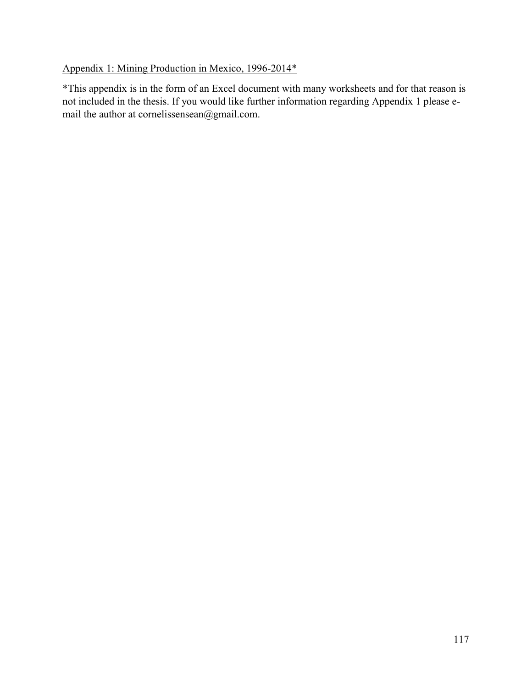## Appendix 1: Mining Production in Mexico, 1996-2014\*

\*This appendix is in the form of an Excel document with many worksheets and for that reason is not included in the thesis. If you would like further information regarding Appendix 1 please email the author at cornelissensean@gmail.com.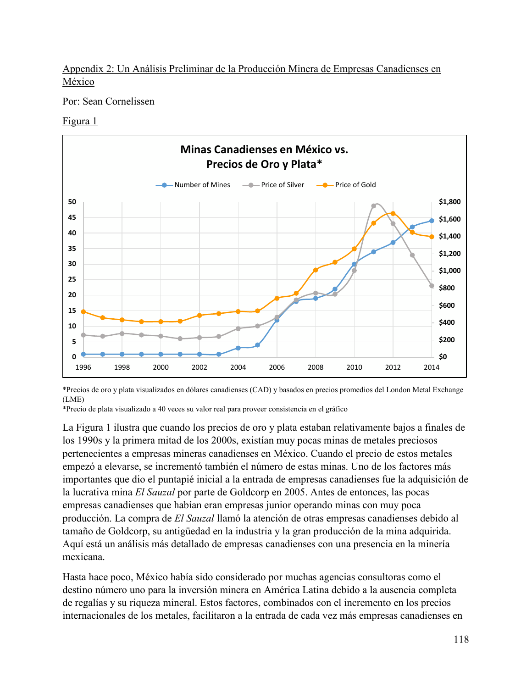Appendix 2: Un Análisis Preliminar de la Producción Minera de Empresas Canadienses en México

Por: Sean Cornelissen

## Figura 1



\*Precios de oro y plata visualizados en dólares canadienses (CAD) y basados en precios promedios del London Metal Exchange (LME)

\*Precio de plata visualizado a 40 veces su valor real para proveer consistencia en el gráfico

La Figura 1 ilustra que cuando los precios de oro y plata estaban relativamente bajos a finales de los 1990s y la primera mitad de los 2000s, existían muy pocas minas de metales preciosos pertenecientes a empresas mineras canadienses en México. Cuando el precio de estos metales empezó a elevarse, se incrementó también el número de estas minas. Uno de los factores más importantes que dio el puntapié inicial a la entrada de empresas canadienses fue la adquisición de la lucrativa mina *El Sauzal* por parte de Goldcorp en 2005. Antes de entonces, las pocas empresas canadienses que habían eran empresas junior operando minas con muy poca producción. La compra de *El Sauzal* llamó la atención de otras empresas canadienses debido al tamaño de Goldcorp, su antigüedad en la industria y la gran producción de la mina adquirida. Aquí está un análisis más detallado de empresas canadienses con una presencia en la minería mexicana.

Hasta hace poco, México había sido considerado por muchas agencias consultoras como el destino número uno para la inversión minera en América Latina debido a la ausencia completa de regalías y su riqueza mineral. Estos factores, combinados con el incremento en los precios internacionales de los metales, facilitaron a la entrada de cada vez más empresas canadienses en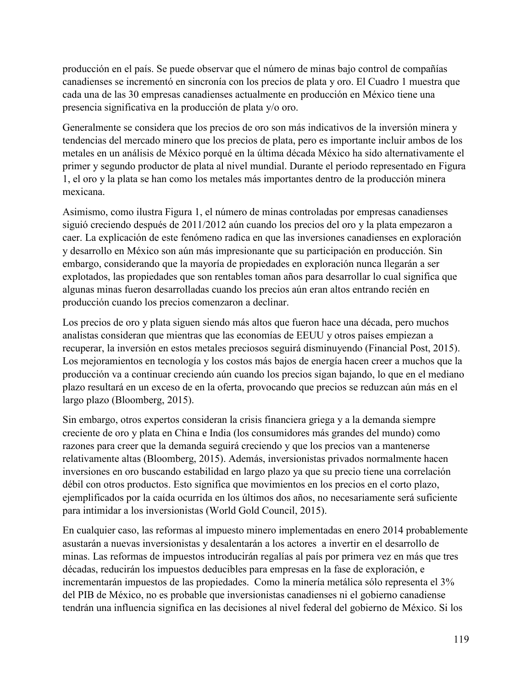producción en el país. Se puede observar que el número de minas bajo control de compañías canadienses se incrementó en sincronía con los precios de plata y oro. El Cuadro 1 muestra que cada una de las 30 empresas canadienses actualmente en producción en México tiene una presencia significativa en la producción de plata y/o oro.

Generalmente se considera que los precios de oro son más indicativos de la inversión minera y tendencias del mercado minero que los precios de plata, pero es importante incluir ambos de los metales en un análisis de México porqué en la última década México ha sido alternativamente el primer y segundo productor de plata al nivel mundial. Durante el periodo representado en Figura 1, el oro y la plata se han como los metales más importantes dentro de la producción minera mexicana.

Asimismo, como ilustra Figura 1, el número de minas controladas por empresas canadienses siguió creciendo después de 2011/2012 aún cuando los precios del oro y la plata empezaron a caer. La explicación de este fenómeno radica en que las inversiones canadienses en exploración y desarrollo en México son aún más impresionante que su participación en producción. Sin embargo, considerando que la mayoría de propiedades en exploración nunca llegarán a ser explotados, las propiedades que son rentables toman años para desarrollar lo cual significa que algunas minas fueron desarrolladas cuando los precios aún eran altos entrando recién en producción cuando los precios comenzaron a declinar.

Los precios de oro y plata siguen siendo más altos que fueron hace una década, pero muchos analistas consideran que mientras que las economías de EEUU y otros países empiezan a recuperar, la inversión en estos metales preciosos seguirá disminuyendo (Financial Post, 2015). Los mejoramientos en tecnología y los costos más bajos de energía hacen creer a muchos que la producción va a continuar creciendo aún cuando los precios sigan bajando, lo que en el mediano plazo resultará en un exceso de en la oferta, provocando que precios se reduzcan aún más en el largo plazo (Bloomberg, 2015).

Sin embargo, otros expertos consideran la crisis financiera griega y a la demanda siempre creciente de oro y plata en China e India (los consumidores más grandes del mundo) como razones para creer que la demanda seguirá creciendo y que los precios van a mantenerse relativamente altas (Bloomberg, 2015). Además, inversionistas privados normalmente hacen inversiones en oro buscando estabilidad en largo plazo ya que su precio tiene una correlación débil con otros productos. Esto significa que movimientos en los precios en el corto plazo, ejemplificados por la caída ocurrida en los últimos dos años, no necesariamente será suficiente para intimidar a los inversionistas (World Gold Council, 2015).

En cualquier caso, las reformas al impuesto minero implementadas en enero 2014 probablemente asustarán a nuevas inversionistas y desalentarán a los actores a invertir en el desarrollo de minas. Las reformas de impuestos introducirán regalías al país por primera vez en más que tres décadas, reducirán los impuestos deducibles para empresas en la fase de exploración, e incrementarán impuestos de las propiedades. Como la minería metálica sólo representa el 3% del PIB de México, no es probable que inversionistas canadienses ni el gobierno canadiense tendrán una influencia significa en las decisiones al nivel federal del gobierno de México. Si los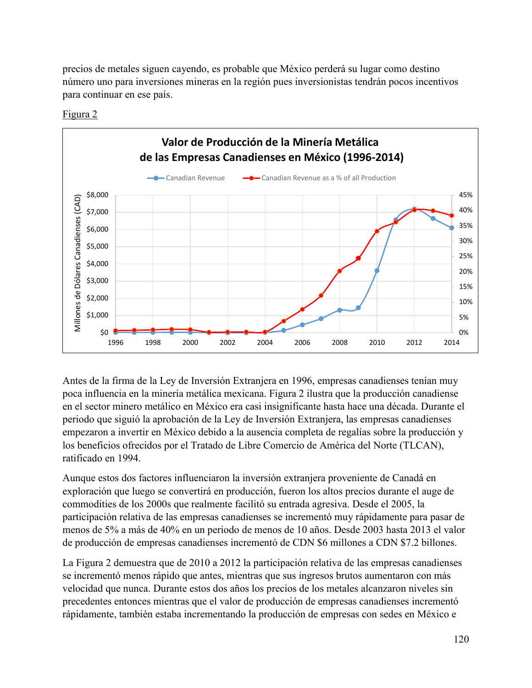precios de metales siguen cayendo, es probable que México perderá su lugar como destino número uno para inversiones mineras en la región pues inversionistas tendrán pocos incentivos para continuar en ese país.



Figura 2

Antes de la firma de la Ley de Inversión Extranjera en 1996, empresas canadienses tenían muy poca influencia en la minería metálica mexicana. Figura 2 ilustra que la producción canadiense en el sector minero metálico en México era casi insignificante hasta hace una década. Durante el periodo que siguió la aprobación de la Ley de Inversión Extranjera, las empresas canadienses empezaron a invertir en México debido a la ausencia completa de regalías sobre la producción y los beneficios ofrecidos por el Tratado de Libre Comercio de América del Norte (TLCAN), ratificado en 1994.

Aunque estos dos factores influenciaron la inversión extranjera proveniente de Canadá en exploración que luego se convertirá en producción, fueron los altos precios durante el auge de commodities de los 2000s que realmente facilitó su entrada agresiva. Desde el 2005, la participación relativa de las empresas canadienses se incrementó muy rápidamente para pasar de menos de 5% a más de 40% en un periodo de menos de 10 años. Desde 2003 hasta 2013 el valor de producción de empresas canadienses incrementó de CDN \$6 millones a CDN \$7.2 billones.

La Figura 2 demuestra que de 2010 a 2012 la participación relativa de las empresas canadienses se incrementó menos rápido que antes, mientras que sus ingresos brutos aumentaron con más velocidad que nunca. Durante estos dos años los precios de los metales alcanzaron niveles sin precedentes entonces mientras que el valor de producción de empresas canadienses incrementó rápidamente, también estaba incrementando la producción de empresas con sedes en México e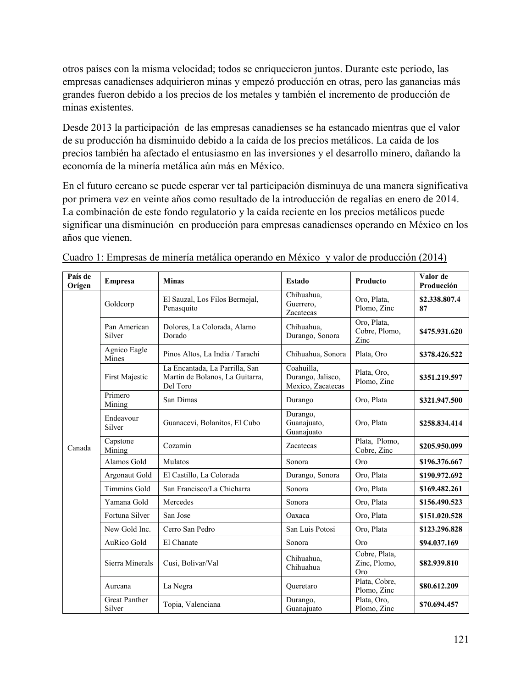otros países con la misma velocidad; todos se enriquecieron juntos. Durante este periodo, las empresas canadienses adquirieron minas y empezó producción en otras, pero las ganancias más grandes fueron debido a los precios de los metales y también el incremento de producción de minas existentes.

Desde 2013 la participación de las empresas canadienses se ha estancado mientras que el valor de su producción ha disminuido debido a la caída de los precios metálicos. La caída de los precios también ha afectado el entusiasmo en las inversiones y el desarrollo minero, dañando la economía de la minería metálica aún más en México.

En el futuro cercano se puede esperar ver tal participación disminuya de una manera significativa por primera vez en veinte años como resultado de la introducción de regalías en enero de 2014. La combinación de este fondo regulatorio y la caída reciente en los precios metálicos puede significar una disminución en producción para empresas canadienses operando en México en los años que vienen.

| País de<br>Orígen | <b>Empresa</b>                 | <b>Minas</b>                                                                  | <b>Estado</b>                                        | <b>Producto</b>                             | Valor de<br>Producción |
|-------------------|--------------------------------|-------------------------------------------------------------------------------|------------------------------------------------------|---------------------------------------------|------------------------|
| Canada            | Goldcorp                       | El Sauzal, Los Filos Bermejal,<br>Penasquito                                  | Chihuahua,<br>Guerrero,<br>Zacatecas                 | Oro, Plata,<br>Plomo, Zinc                  | \$2.338.807.4<br>87    |
|                   | Pan American<br>Silver         | Dolores, La Colorada, Alamo<br>Dorado                                         | Chihuahua,<br>Durango, Sonora                        | Oro, Plata,<br>Cobre, Plomo,<br>Zinc        | \$475.931.620          |
|                   | Agnico Eagle<br>Mines          | Pinos Altos, La India / Tarachi                                               | Chihuahua, Sonora                                    | Plata, Oro                                  | \$378.426.522          |
|                   | First Majestic                 | La Encantada, La Parrilla, San<br>Martin de Bolanos, La Guitarra,<br>Del Toro | Coahuilla,<br>Durango, Jalisco,<br>Mexico, Zacatecas | Plata, Oro,<br>Plomo, Zinc                  | \$351.219.597          |
|                   | Primero<br>Mining              | San Dimas                                                                     | Durango                                              | Oro, Plata                                  | \$321.947.500          |
|                   | Endeavour<br>Silver            | Guanacevi, Bolanitos, El Cubo                                                 | Durango,<br>Guanajuato,<br>Guanajuato                | Oro, Plata                                  | \$258.834.414          |
|                   | Capstone<br>Mining             | Cozamin                                                                       | <b>Zacatecas</b>                                     | Plata, Plomo,<br>Cobre, Zinc                | \$205,950,099          |
|                   | Alamos Gold                    | Mulatos                                                                       | Sonora                                               | Oro                                         | \$196.376.667          |
|                   | Argonaut Gold                  | El Castillo, La Colorada                                                      | Durango, Sonora                                      | Oro, Plata                                  | \$190.972.692          |
|                   | <b>Timmins Gold</b>            | San Francisco/La Chicharra                                                    | Sonora                                               | Oro, Plata                                  | \$169.482.261          |
|                   | Yamana Gold                    | Mercedes                                                                      | Sonora                                               | Oro, Plata                                  | \$156.490.523          |
|                   | Fortuna Silver                 | San Jose                                                                      | Oaxaca                                               | Oro, Plata                                  | \$151.020.528          |
|                   | New Gold Inc.                  | Cerro San Pedro                                                               | San Luis Potosi                                      | Oro, Plata                                  | \$123.296.828          |
|                   | AuRico Gold                    | El Chanate                                                                    | Sonora                                               | <b>Oro</b>                                  | \$94.037.169           |
|                   | Sierra Minerals                | Cusi, Bolivar/Val                                                             | Chihuahua,<br>Chihuahua                              | Cobre, Plata,<br>Zinc, Plomo,<br><b>Oro</b> | \$82.939.810           |
|                   | Aurcana                        | La Negra                                                                      | Oueretaro                                            | Plata, Cobre,<br>Plomo, Zinc                | \$80.612.209           |
|                   | <b>Great Panther</b><br>Silver | Topia, Valenciana                                                             | Durango,<br>Guanajuato                               | Plata, Oro,<br>Plomo, Zinc                  | \$70.694.457           |

Cuadro 1: Empresas de minería metálica operando en México y valor de producción (2014)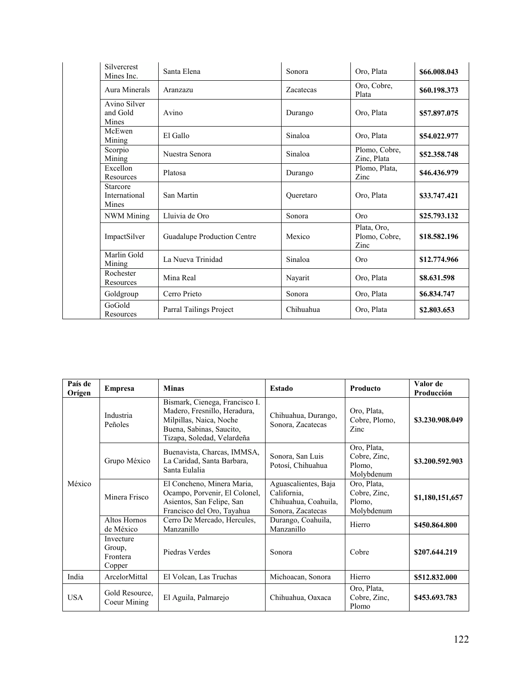|  | <b>Silvercrest</b><br>Mines Inc.          | Santa Elena                 | Sonora    | Oro, Plata                           | \$66.008.043 |
|--|-------------------------------------------|-----------------------------|-----------|--------------------------------------|--------------|
|  | Aura Minerals                             | Aranzazu                    | Zacatecas | Oro, Cobre,<br>Plata                 | \$60.198.373 |
|  | Avino Silver<br>and Gold<br>Mines         | Avino                       | Durango   | Oro, Plata                           | \$57,897,075 |
|  | McEwen<br>Mining                          | El Gallo                    | Sinaloa   | Oro, Plata                           | \$54.022.977 |
|  | Scorpio<br>Mining                         | Nuestra Senora              | Sinaloa   | Plomo, Cobre,<br>Zinc, Plata         | \$52,358,748 |
|  | Excellon<br>Resources                     | Platosa                     | Durango   | Plomo, Plata,<br>Zinc                | \$46.436.979 |
|  | <b>Starcore</b><br>International<br>Mines | San Martin                  | Queretaro | Oro, Plata                           | \$33,747,421 |
|  | <b>NWM</b> Mining                         | Lluivia de Oro              | Sonora    | Oro                                  | \$25,793,132 |
|  | ImpactSilver                              | Guadalupe Production Centre | Mexico    | Plata, Oro,<br>Plomo, Cobre,<br>Zinc | \$18,582,196 |
|  | Marlin Gold<br>Mining                     | La Nueva Trinidad           | Sinaloa   | Oro                                  | \$12,774.966 |
|  | Rochester<br>Resources                    | Mina Real                   | Nayarit   | Oro, Plata                           | \$8,631,598  |
|  | Goldgroup                                 | Cerro Prieto                | Sonora    | Oro, Plata                           | \$6.834.747  |
|  | GoGold<br>Resources                       | Parral Tailings Project     | Chihuahua | Oro, Plata                           | \$2,803,653  |

| País de<br>Orígen | <b>Empresa</b>                            | <b>Minas</b>                                                                                                                                        | Estado                                                                           | Producto                                            | Valor de<br>Producción |
|-------------------|-------------------------------------------|-----------------------------------------------------------------------------------------------------------------------------------------------------|----------------------------------------------------------------------------------|-----------------------------------------------------|------------------------|
| México            | Industria<br>Peñoles                      | Bismark, Cienega, Francisco I.<br>Madero, Fresnillo, Heradura,<br>Milpillas, Naica, Noche<br>Buena, Sabinas, Saucito,<br>Tizapa, Soledad, Velardeña | Chihuahua, Durango,<br>Sonora, Zacatecas                                         | Oro, Plata,<br>Cobre, Plomo,<br>Zinc                | \$3.230.908.049        |
|                   | Grupo México                              | Buenavista, Charcas, IMMSA,<br>La Caridad, Santa Barbara,<br>Santa Eulalia                                                                          | Sonora, San Luis<br>Potosí, Chihuahua                                            | Oro, Plata,<br>Cobre, Zinc,<br>Plomo.<br>Molybdenum | \$3.200.592.903        |
|                   | Minera Frisco                             | El Concheno, Minera Maria,<br>Ocampo, Porvenir, El Colonel,<br>Asientos, San Felipe, San<br>Francisco del Oro, Tayahua                              | Aguascalientes, Baja<br>California.<br>Chihuahua, Coahuila,<br>Sonora, Zacatecas | Oro, Plata,<br>Cobre, Zinc,<br>Plomo.<br>Molybdenum | \$1,180,151,657        |
|                   | Altos Hornos<br>de México                 | Cerro De Mercado, Hercules,<br>Manzanillo                                                                                                           | Durango, Coahuila,<br>Manzanillo                                                 | Hierro                                              | \$450,864,800          |
|                   | Invecture<br>Group,<br>Frontera<br>Copper | Piedras Verdes                                                                                                                                      | Sonora                                                                           | Cobre                                               | \$207.644.219          |
| India             | ArcelorMittal                             | El Volcan, Las Truchas                                                                                                                              | Michoacan, Sonora                                                                | Hierro                                              | \$512,832,000          |
| <b>USA</b>        | Gold Resource.<br>Coeur Mining            | El Aguila, Palmarejo                                                                                                                                | Chihuahua, Oaxaca                                                                | Oro, Plata,<br>Cobre, Zinc.<br>Plomo                | \$453.693.783          |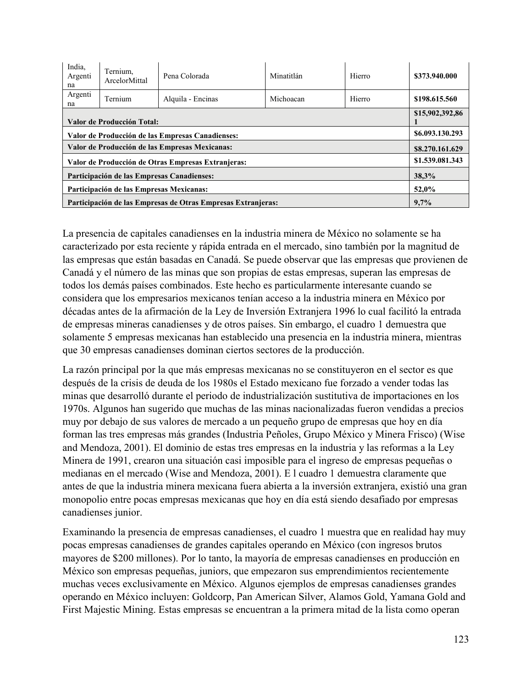| India,<br>Argenti<br>na                                      | Ternium,<br>ArcelorMittal | Pena Colorada     | Minatitlán | Hierro | \$373.940.000 |
|--------------------------------------------------------------|---------------------------|-------------------|------------|--------|---------------|
| Argenti<br>na                                                | Ternium                   | Alquila - Encinas | Michoacan  | Hierro | \$198,615.560 |
| Valor de Producción Total:                                   |                           |                   |            |        |               |
| Valor de Producción de las Empresas Canadienses:             |                           |                   |            |        |               |
| Valor de Producción de las Empresas Mexicanas:               |                           |                   |            |        |               |
| Valor de Producción de Otras Empresas Extranjeras:           |                           |                   |            |        |               |
| Participación de las Empresas Canadienses:                   |                           |                   |            |        |               |
| Participación de las Empresas Mexicanas:                     |                           |                   |            |        |               |
| Participación de las Empresas de Otras Empresas Extranjeras: |                           |                   |            |        | 9,7%          |

La presencia de capitales canadienses en la industria minera de México no solamente se ha caracterizado por esta reciente y rápida entrada en el mercado, sino también por la magnitud de las empresas que están basadas en Canadá. Se puede observar que las empresas que provienen de Canadá y el número de las minas que son propias de estas empresas, superan las empresas de todos los demás países combinados. Este hecho es particularmente interesante cuando se considera que los empresarios mexicanos tenían acceso a la industria minera en México por décadas antes de la afirmación de la Ley de Inversión Extranjera 1996 lo cual facilitó la entrada de empresas mineras canadienses y de otros países. Sin embargo, el cuadro 1 demuestra que solamente 5 empresas mexicanas han establecido una presencia en la industria minera, mientras que 30 empresas canadienses dominan ciertos sectores de la producción.

La razón principal por la que más empresas mexicanas no se constituyeron en el sector es que después de la crisis de deuda de los 1980s el Estado mexicano fue forzado a vender todas las minas que desarrolló durante el periodo de industrialización sustitutiva de importaciones en los 1970s. Algunos han sugerido que muchas de las minas nacionalizadas fueron vendidas a precios muy por debajo de sus valores de mercado a un pequeño grupo de empresas que hoy en día forman las tres empresas más grandes (Industria Peñoles, Grupo México y Minera Frisco) (Wise and Mendoza, 2001). El dominio de estas tres empresas en la industria y las reformas a la Ley Minera de 1991, crearon una situación casi imposible para el ingreso de empresas pequeñas o medianas en el mercado (Wise and Mendoza, 2001). E l cuadro 1 demuestra claramente que antes de que la industria minera mexicana fuera abierta a la inversión extranjera, existió una gran monopolio entre pocas empresas mexicanas que hoy en día está siendo desafiado por empresas canadienses junior.

Examinando la presencia de empresas canadienses, el cuadro 1 muestra que en realidad hay muy pocas empresas canadienses de grandes capitales operando en México (con ingresos brutos mayores de \$200 millones). Por lo tanto, la mayoría de empresas canadienses en producción en México son empresas pequeñas, juniors, que empezaron sus emprendimientos recientemente muchas veces exclusivamente en México. Algunos ejemplos de empresas canadienses grandes operando en México incluyen: Goldcorp, Pan American Silver, Alamos Gold, Yamana Gold and First Majestic Mining. Estas empresas se encuentran a la primera mitad de la lista como operan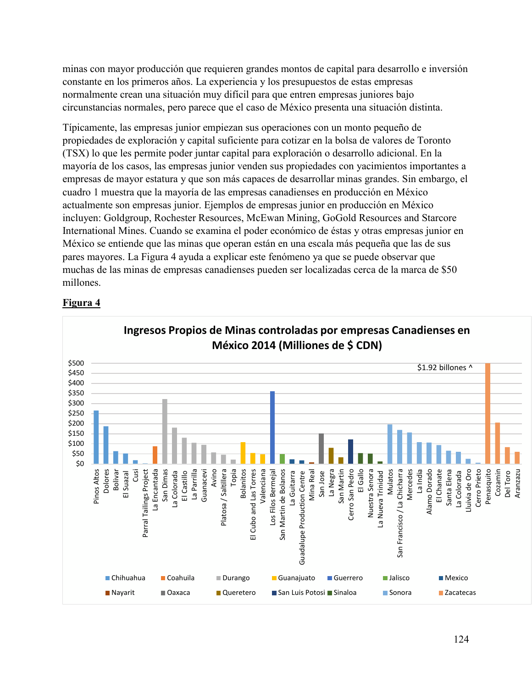minas con mayor producción que requieren grandes montos de capital para desarrollo e inversión constante en los primeros años. La experiencia y los presupuestos de estas empresas normalmente crean una situación muy difícil para que entren empresas juniores bajo circunstancias normales, pero parece que el caso de México presenta una situación distinta.

Típicamente, las empresas junior empiezan sus operaciones con un monto pequeño de propiedades de exploración y capital suficiente para cotizar en la bolsa de valores de Toronto (TSX) lo que les permite poder juntar capital para exploración o desarrollo adicional. En la mayoría de los casos, las empresas junior venden sus propiedades con yacimientos importantes a empresas de mayor estatura y que son más capaces de desarrollar minas grandes. Sin embargo, el cuadro 1 muestra que la mayoría de las empresas canadienses en producción en México actualmente son empresas junior. Ejemplos de empresas junior en producción en México incluyen: Goldgroup, Rochester Resources, McEwan Mining, GoGold Resources and Starcore International Mines. Cuando se examina el poder económico de éstas y otras empresas junior en México se entiende que las minas que operan están en una escala más pequeña que las de sus pares mayores. La Figura 4 ayuda a explicar este fenómeno ya que se puede observar que muchas de las minas de empresas canadienses pueden ser localizadas cerca de la marca de \$50 millones.



## **Figura 4**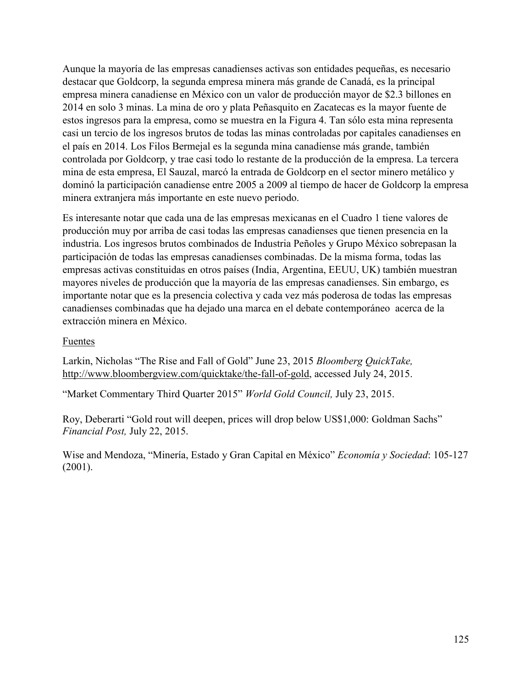Aunque la mayoría de las empresas canadienses activas son entidades pequeñas, es necesario destacar que Goldcorp, la segunda empresa minera más grande de Canadá, es la principal empresa minera canadiense en México con un valor de producción mayor de \$2.3 billones en 2014 en solo 3 minas. La mina de oro y plata Peñasquito en Zacatecas es la mayor fuente de estos ingresos para la empresa, como se muestra en la Figura 4. Tan sólo esta mina representa casi un tercio de los ingresos brutos de todas las minas controladas por capitales canadienses en el país en 2014. Los Filos Bermejal es la segunda mina canadiense más grande, también controlada por Goldcorp, y trae casi todo lo restante de la producción de la empresa. La tercera mina de esta empresa, El Sauzal, marcó la entrada de Goldcorp en el sector minero metálico y dominó la participación canadiense entre 2005 a 2009 al tiempo de hacer de Goldcorp la empresa minera extranjera más importante en este nuevo periodo.

Es interesante notar que cada una de las empresas mexicanas en el Cuadro 1 tiene valores de producción muy por arriba de casi todas las empresas canadienses que tienen presencia en la industria. Los ingresos brutos combinados de Industria Peñoles y Grupo México sobrepasan la participación de todas las empresas canadienses combinadas. De la misma forma, todas las empresas activas constituidas en otros países (India, Argentina, EEUU, UK) también muestran mayores niveles de producción que la mayoría de las empresas canadienses. Sin embargo, es importante notar que es la presencia colectiva y cada vez más poderosa de todas las empresas canadienses combinadas que ha dejado una marca en el debate contemporáneo acerca de la extracción minera en México.

#### Fuentes

Larkin, Nicholas "The Rise and Fall of Gold" June 23, 2015 *Bloomberg QuickTake,* [http://www.bloombergview.com/quicktake/the-fall-of-gold,](http://www.bloombergview.com/quicktake/the-fall-of-gold) accessed July 24, 2015.

"Market Commentary Third Quarter 2015" *World Gold Council,* July 23, 2015.

Roy, Deberarti "Gold rout will deepen, prices will drop below US\$1,000: Goldman Sachs" *Financial Post,* July 22, 2015.

Wise and Mendoza, "Minería, Estado y Gran Capital en México" *Economía y Sociedad*: 105-127 (2001).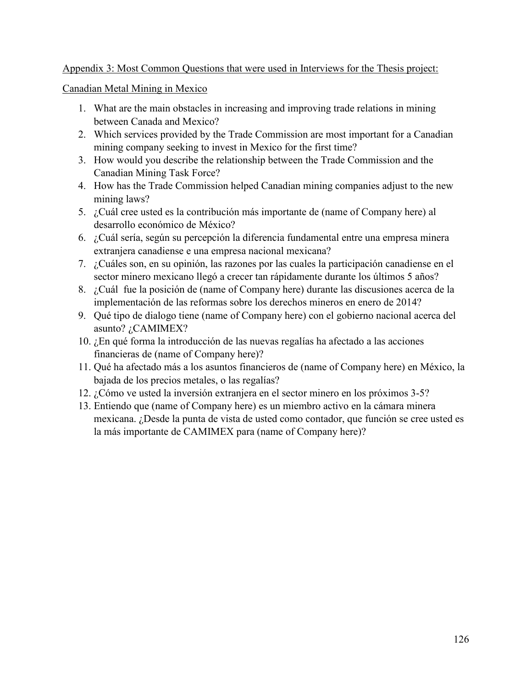#### Appendix 3: Most Common Questions that were used in Interviews for the Thesis project:

Canadian Metal Mining in Mexico

- 1. What are the main obstacles in increasing and improving trade relations in mining between Canada and Mexico?
- 2. Which services provided by the Trade Commission are most important for a Canadian mining company seeking to invest in Mexico for the first time?
- 3. How would you describe the relationship between the Trade Commission and the Canadian Mining Task Force?
- 4. How has the Trade Commission helped Canadian mining companies adjust to the new mining laws?
- 5. ¿Cuál cree usted es la contribución más importante de (name of Company here) al desarrollo económico de México?
- 6. ¿Cuál sería, según su percepción la diferencia fundamental entre una empresa minera extranjera canadiense e una empresa nacional mexicana?
- 7. ¿Cuáles son, en su opinión, las razones por las cuales la participación canadiense en el sector minero mexicano llegó a crecer tan rápidamente durante los últimos 5 años?
- 8. ¿Cuál fue la posición de (name of Company here) durante las discusiones acerca de la implementación de las reformas sobre los derechos mineros en enero de 2014?
- 9. Qué tipo de dialogo tiene (name of Company here) con el gobierno nacional acerca del asunto? ¿CAMIMEX?
- 10. ¿En qué forma la introducción de las nuevas regalías ha afectado a las acciones financieras de (name of Company here)?
- 11. Qué ha afectado más a los asuntos financieros de (name of Company here) en México, la bajada de los precios metales, o las regalías?
- 12. ¿Cómo ve usted la inversión extranjera en el sector minero en los próximos 3-5?
- 13. Entiendo que (name of Company here) es un miembro activo en la cámara minera mexicana. ¿Desde la punta de vista de usted como contador, que función se cree usted es la más importante de CAMIMEX para (name of Company here)?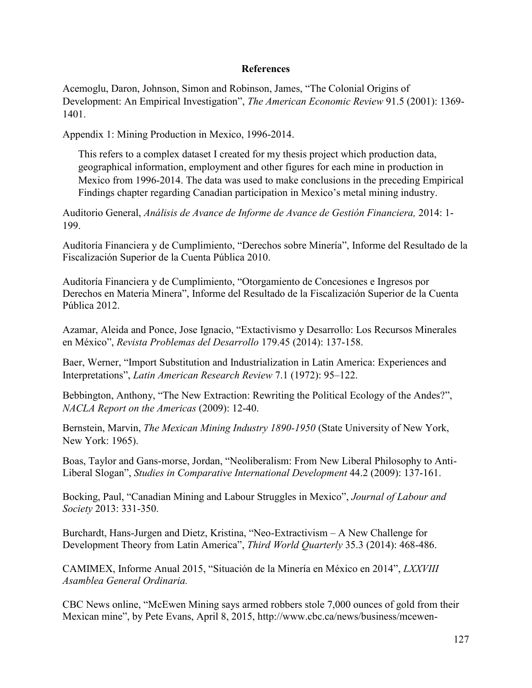#### **References**

Acemoglu, Daron, Johnson, Simon and Robinson, James, "The Colonial Origins of Development: An Empirical Investigation", *The American Economic Review* 91.5 (2001): 1369- 1401.

Appendix 1: Mining Production in Mexico, 1996-2014.

This refers to a complex dataset I created for my thesis project which production data, geographical information, employment and other figures for each mine in production in Mexico from 1996-2014. The data was used to make conclusions in the preceding Empirical Findings chapter regarding Canadian participation in Mexico's metal mining industry.

Auditorio General, *Análisis de Avance de Informe de Avance de Gestión Financiera,* 2014: 1- 199.

Auditoría Financiera y de Cumplimiento, "Derechos sobre Minería", Informe del Resultado de la Fiscalización Superior de la Cuenta Pública 2010.

Auditoría Financiera y de Cumplimiento, "Otorgamiento de Concesiones e Ingresos por Derechos en Materia Minera", Informe del Resultado de la Fiscalización Superior de la Cuenta Pública 2012.

Azamar, Aleida and Ponce, Jose Ignacio, "Extactivismo y Desarrollo: Los Recursos Minerales en México", *Revista Problemas del Desarrollo* 179.45 (2014): 137-158.

Baer, Werner, "Import Substitution and Industrialization in Latin America: Experiences and Interpretations", *Latin American Research Review* 7.1 (1972): 95–122.

Bebbington, Anthony, "The New Extraction: Rewriting the Political Ecology of the Andes?", *NACLA Report on the Americas* (2009): 12-40.

Bernstein, Marvin, *The Mexican Mining Industry 1890-1950* (State University of New York, New York: 1965).

Boas, Taylor and Gans-morse, Jordan, "Neoliberalism: From New Liberal Philosophy to Anti-Liberal Slogan", *Studies in Comparative International Development* 44.2 (2009): 137-161.

Bocking, Paul, "Canadian Mining and Labour Struggles in Mexico", *Journal of Labour and Society* 2013: 331-350.

Burchardt, Hans-Jurgen and Dietz, Kristina, "Neo-Extractivism – A New Challenge for Development Theory from Latin America", *Third World Quarterly* 35.3 (2014): 468-486.

CAMIMEX, Informe Anual 2015, "Situación de la Minería en México en 2014", *LXXVIII Asamblea General Ordinaria.* 

CBC News online, "McEwen Mining says armed robbers stole 7,000 ounces of gold from their Mexican mine", by Pete Evans, April 8, 2015, http://www.cbc.ca/news/business/mcewen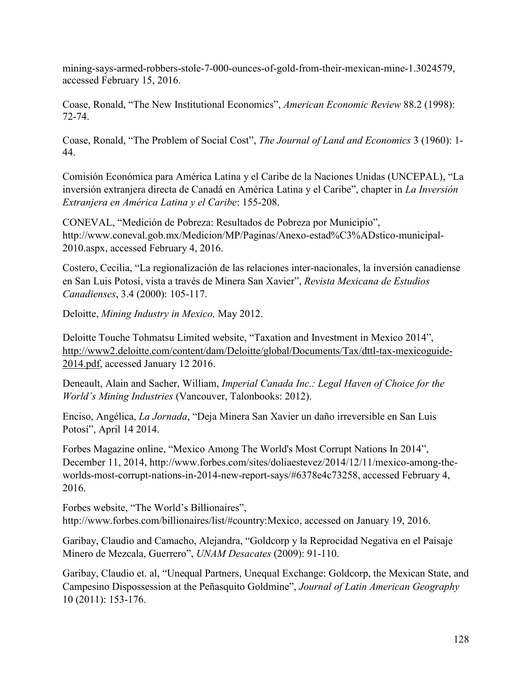mining-says-armed-robbers-stole-7-000-ounces-of-gold-from-their-mexican-mine-1.3024579, accessed February 15, 2016.

Coase, Ronald, "The New Institutional Economics", *American Economic Review* 88.2 (1998): 72-74.

Coase, Ronald, "The Problem of Social Cost", *The Journal of Land and Economics* 3 (1960): 1- 44.

Comisión Económica para América Latina y el Caribe de la Naciones Unidas (UNCEPAL), "La inversión extranjera directa de Canadá en América Latina y el Caribe", chapter in *La Inversión Extranjera en América Latina y el Caribe*: 155-208.

CONEVAL, "Medición de Pobreza: Resultados de Pobreza por Municipio", http://www.coneval.gob.mx/Medicion/MP/Paginas/Anexo-estad%C3%ADstico-municipal-2010.aspx, accessed February 4, 2016.

Costero, Cecilia, "La regionalización de las relaciones inter-nacionales, la inversión canadiense en San Luis Potosí, vista a través de Minera San Xavier", *Revista Mexicana de Estudios Canadienses*, 3.4 (2000): 105-117.

Deloitte, *Mining Industry in Mexico,* May 2012.

Deloitte Touche Tohmatsu Limited website, "Taxation and Investment in Mexico 2014", [http://www2.deloitte.com/content/dam/Deloitte/global/Documents/Tax/dttl-tax-mexicoguide-](http://www2.deloitte.com/content/dam/Deloitte/global/Documents/Tax/dttl-tax-mexicoguide-2014.pdf)[2014.pdf,](http://www2.deloitte.com/content/dam/Deloitte/global/Documents/Tax/dttl-tax-mexicoguide-2014.pdf) accessed January 12 2016.

Deneault, Alain and Sacher, William, *Imperial Canada Inc.: Legal Haven of Choice for the World's Mining Industries* (Vancouver, Talonbooks: 2012).

Enciso, Angélica, *La Jornada*, "Deja Minera San Xavier un daño irreversible en San Luis Potosí", April 14 2014.

Forbes Magazine online, "Mexico Among The World's Most Corrupt Nations In 2014", December 11, 2014, http://www.forbes.com/sites/doliaestevez/2014/12/11/mexico-among-theworlds-most-corrupt-nations-in-2014-new-report-says/#6378e4c73258, accessed February 4, 2016.

Forbes website, "The World's Billionaires", http://www.forbes.com/billionaires/list/#country:Mexico, accessed on January 19, 2016.

Garibay, Claudio and Camacho, Alejandra, "Goldcorp y la Reprocidad Negativa en el Paisaje Minero de Mezcala, Guerrero", *UNAM Desacates* (2009): 91-110.

Garibay, Claudio et. al, "Unequal Partners, Unequal Exchange: Goldcorp, the Mexican State, and Campesino Dispossession at the Peñasquito Goldmine", *Journal of Latin American Geography*  10 (2011): 153-176.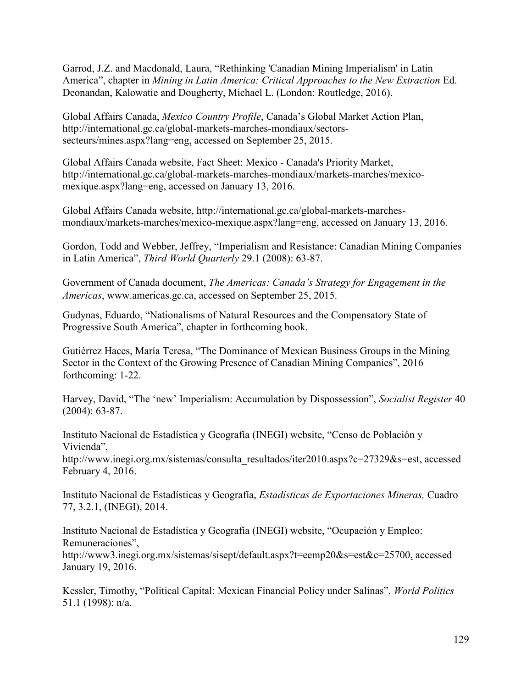Garrod, J.Z. and Macdonald, Laura, "Rethinking 'Canadian Mining Imperialism' in Latin America", chapter in *Mining in Latin America: Critical Approaches to the New Extraction* Ed. Deonandan, Kalowatie and Dougherty, Michael L. (London: Routledge, 2016).

Global Affairs Canada, *Mexico Country Profile*, Canada's Global Market Action Plan, http://international.gc.ca/global-markets-marches-mondiaux/sectorssecteurs/mines.aspx?lang=eng, accessed on September 25, 2015.

Global Affairs Canada website, Fact Sheet: Mexico - Canada's Priority Market, http://international.gc.ca/global-markets-marches-mondiaux/markets-marches/mexicomexique.aspx?lang=eng, accessed on January 13, 2016.

Global Affairs Canada website, http://international.gc.ca/global-markets-marchesmondiaux/markets-marches/mexico-mexique.aspx?lang=eng, accessed on January 13, 2016.

Gordon, Todd and Webber, Jeffrey, "Imperialism and Resistance: Canadian Mining Companies in Latin America", *Third World Quarterly* 29.1 (2008): 63-87.

Government of Canada document, *The Americas: Canada's Strategy for Engagement in the Americas*, www.americas.gc.ca, accessed on September 25, 2015.

Gudynas, Eduardo, "Nationalisms of Natural Resources and the Compensatory State of Progressive South America", chapter in forthcoming book.

Gutiérrez Haces, María Teresa, "The Dominance of Mexican Business Groups in the Mining Sector in the Context of the Growing Presence of Canadian Mining Companies", 2016 forthcoming: 1-22.

Harvey, David, "The 'new' Imperialism: Accumulation by Dispossession", *Socialist Register* 40 (2004): 63-87.

Instituto Nacional de Estadística y Geografía (INEGI) website, "Censo de Población y Vivienda",

http://www.inegi.org.mx/sistemas/consulta\_resultados/iter2010.aspx?c=27329&s=est, accessed February 4, 2016.

Instituto Nacional de Estadísticas y Geografía, *Estadísticas de Exportaciones Mineras,* Cuadro 77, 3.2.1, (INEGI), 2014.

Instituto Nacional de Estadística y Geografía (INEGI) website, "Ocupación y Empleo: Remuneraciones",

http://www3.inegi.org.mx/sistemas/sisept/default.aspx?t=eemp20&s=est&c=25700, accessed January 19, 2016.

Kessler, Timothy, "Political Capital: Mexican Financial Policy under Salinas", *World Politics* 51.1 (1998): n/a.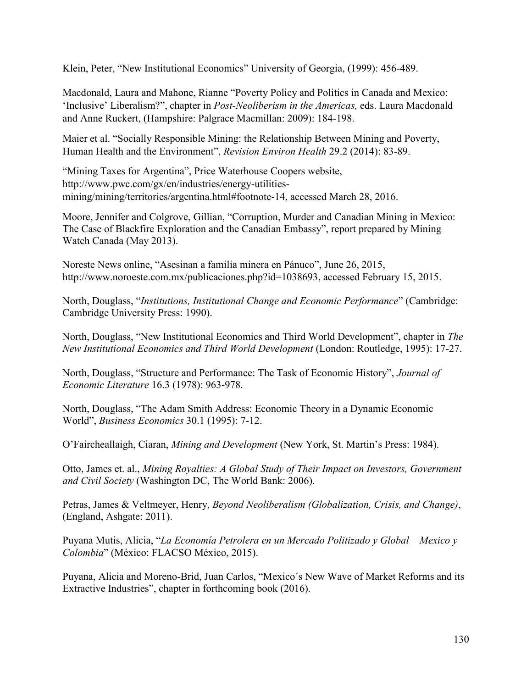Klein, Peter, "New Institutional Economics" University of Georgia, (1999): 456-489.

Macdonald, Laura and Mahone, Rianne "Poverty Policy and Politics in Canada and Mexico: 'Inclusive' Liberalism?", chapter in *Post-Neoliberism in the Americas,* eds. Laura Macdonald and Anne Ruckert, (Hampshire: Palgrace Macmillan: 2009): 184-198.

Maier et al. "Socially Responsible Mining: the Relationship Between Mining and Poverty, Human Health and the Environment", *Revision Environ Health* 29.2 (2014): 83-89.

"Mining Taxes for Argentina", Price Waterhouse Coopers website, http://www.pwc.com/gx/en/industries/energy-utilitiesmining/mining/territories/argentina.html#footnote-14, accessed March 28, 2016.

Moore, Jennifer and Colgrove, Gillian, "Corruption, Murder and Canadian Mining in Mexico: The Case of Blackfire Exploration and the Canadian Embassy", report prepared by Mining Watch Canada (May 2013).

Noreste News online, "Asesinan a familia minera en Pánuco", June 26, 2015, http://www.noroeste.com.mx/publicaciones.php?id=1038693, accessed February 15, 2015.

North, Douglass, "*Institutions, Institutional Change and Economic Performance*" (Cambridge: Cambridge University Press: 1990).

North, Douglass, "New Institutional Economics and Third World Development", chapter in *The New Institutional Economics and Third World Development* (London: Routledge, 1995): 17-27.

North, Douglass, "Structure and Performance: The Task of Economic History", *Journal of Economic Literature* 16.3 (1978): 963-978.

North, Douglass, "The Adam Smith Address: Economic Theory in a Dynamic Economic World", *Business Economics* 30.1 (1995): 7-12.

O'Faircheallaigh, Ciaran, *Mining and Development* (New York, St. Martin's Press: 1984).

Otto, James et. al., *Mining Royalties: A Global Study of Their Impact on Investors, Government and Civil Society* (Washington DC, The World Bank: 2006).

Petras, James & Veltmeyer, Henry, *Beyond Neoliberalism (Globalization, Crisis, and Change)*, (England, Ashgate: 2011).

Puyana Mutis, Alicia, "*La Economía Petrolera en un Mercado Politizado y Global – Mexico y Colombia*" (México: FLACSO México, 2015).

Puyana, Alicia and Moreno-Brid, Juan Carlos, "Mexico´s New Wave of Market Reforms and its Extractive Industries", chapter in forthcoming book (2016).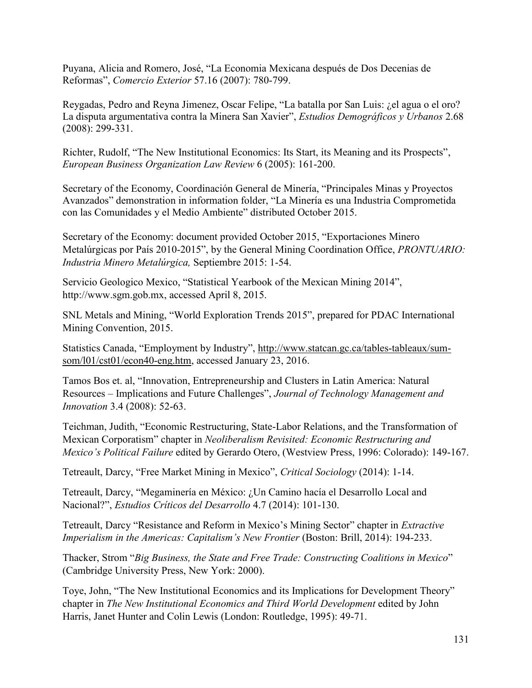Puyana, Alicia and Romero, José, "La Economia Mexicana después de Dos Decenias de Reformas", *Comercio Exterior* 57.16 (2007): 780-799.

Reygadas, Pedro and Reyna Jimenez, Oscar Felipe, "La batalla por San Luis: ¿el agua o el oro? La disputa argumentativa contra la Minera San Xavier", *Estudios Demográficos y Urbanos* 2.68 (2008): 299-331.

Richter, Rudolf, "The New Institutional Economics: Its Start, its Meaning and its Prospects", *European Business Organization Law Review* 6 (2005): 161-200.

Secretary of the Economy, Coordinación General de Minería, "Principales Minas y Proyectos Avanzados" demonstration in information folder, "La Minería es una Industria Comprometida con las Comunidades y el Medio Ambiente" distributed October 2015.

Secretary of the Economy: document provided October 2015, "Exportaciones Minero Metalúrgicas por País 2010-2015", by the General Mining Coordination Office, *PRONTUARIO: Industria Minero Metalúrgica,* Septiembre 2015: 1-54.

Servicio Geologico Mexico, "Statistical Yearbook of the Mexican Mining 2014", http://www.sgm.gob.mx, accessed April 8, 2015.

SNL Metals and Mining, "World Exploration Trends 2015", prepared for PDAC International Mining Convention, 2015.

Statistics Canada, "Employment by Industry", [http://www.statcan.gc.ca/tables-tableaux/sum](http://www.statcan.gc.ca/tables-tableaux/sum-som/l01/cst01/econ40-eng.htm)[som/l01/cst01/econ40-eng.htm,](http://www.statcan.gc.ca/tables-tableaux/sum-som/l01/cst01/econ40-eng.htm) accessed January 23, 2016.

Tamos Bos et. al, "Innovation, Entrepreneurship and Clusters in Latin America: Natural Resources – Implications and Future Challenges", *Journal of Technology Management and Innovation* 3.4 (2008): 52-63.

Teichman, Judith, "Economic Restructuring, State-Labor Relations, and the Transformation of Mexican Corporatism" chapter in *Neoliberalism Revisited: Economic Restructuring and Mexico's Political Failure* edited by Gerardo Otero, (Westview Press, 1996: Colorado): 149-167.

Tetreault, Darcy, "Free Market Mining in Mexico", *Critical Sociology* (2014): 1-14.

Tetreault, Darcy, "Megaminería en México: ¿Un Camino hacía el Desarrollo Local and Nacional?", *Estudios Críticos del Desarrollo* 4.7 (2014): 101-130.

Tetreault, Darcy "Resistance and Reform in Mexico's Mining Sector" chapter in *Extractive Imperialism in the Americas: Capitalism's New Frontier (Boston: Brill, 2014): 194-233.* 

Thacker, Strom "*Big Business, the State and Free Trade: Constructing Coalitions in Mexico*" (Cambridge University Press, New York: 2000).

Toye, John, "The New Institutional Economics and its Implications for Development Theory" chapter in *The New Institutional Economics and Third World Development* edited by John Harris, Janet Hunter and Colin Lewis (London: Routledge, 1995): 49-71.